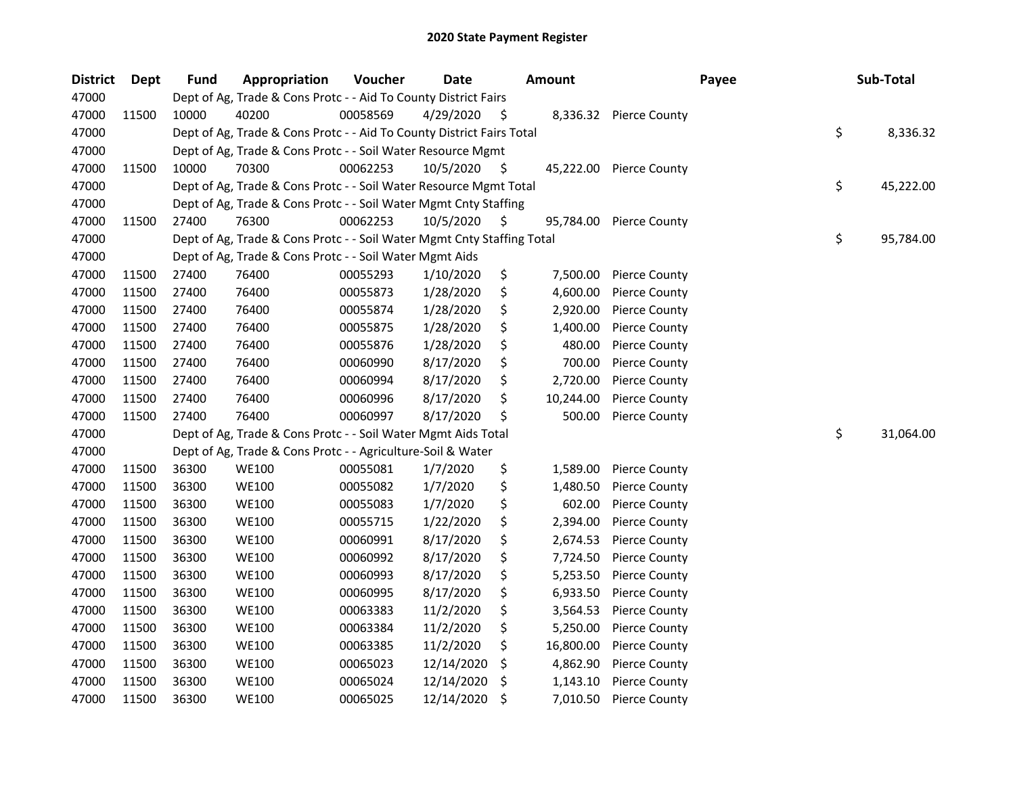| <b>District</b> | Dept  | <b>Fund</b> | Appropriation                                                          | Voucher  | <b>Date</b> |     | <b>Amount</b> | Payee                | Sub-Total       |
|-----------------|-------|-------------|------------------------------------------------------------------------|----------|-------------|-----|---------------|----------------------|-----------------|
| 47000           |       |             | Dept of Ag, Trade & Cons Protc - - Aid To County District Fairs        |          |             |     |               |                      |                 |
| 47000           | 11500 | 10000       | 40200                                                                  | 00058569 | 4/29/2020   | -\$ | 8,336.32      | <b>Pierce County</b> |                 |
| 47000           |       |             | Dept of Ag, Trade & Cons Protc - - Aid To County District Fairs Total  |          |             |     |               |                      | \$<br>8,336.32  |
| 47000           |       |             | Dept of Ag, Trade & Cons Protc - - Soil Water Resource Mgmt            |          |             |     |               |                      |                 |
| 47000           | 11500 | 10000       | 70300                                                                  | 00062253 | 10/5/2020   | -S  | 45,222.00     | <b>Pierce County</b> |                 |
| 47000           |       |             | Dept of Ag, Trade & Cons Protc - - Soil Water Resource Mgmt Total      |          |             |     |               |                      | \$<br>45,222.00 |
| 47000           |       |             | Dept of Ag, Trade & Cons Protc - - Soil Water Mgmt Cnty Staffing       |          |             |     |               |                      |                 |
| 47000           | 11500 | 27400       | 76300                                                                  | 00062253 | 10/5/2020   | -\$ | 95,784.00     | <b>Pierce County</b> |                 |
| 47000           |       |             | Dept of Ag, Trade & Cons Protc - - Soil Water Mgmt Cnty Staffing Total |          |             |     |               |                      | \$<br>95,784.00 |
| 47000           |       |             | Dept of Ag, Trade & Cons Protc - - Soil Water Mgmt Aids                |          |             |     |               |                      |                 |
| 47000           | 11500 | 27400       | 76400                                                                  | 00055293 | 1/10/2020   | \$  | 7,500.00      | <b>Pierce County</b> |                 |
| 47000           | 11500 | 27400       | 76400                                                                  | 00055873 | 1/28/2020   | \$  | 4,600.00      | <b>Pierce County</b> |                 |
| 47000           | 11500 | 27400       | 76400                                                                  | 00055874 | 1/28/2020   | \$  | 2,920.00      | <b>Pierce County</b> |                 |
| 47000           | 11500 | 27400       | 76400                                                                  | 00055875 | 1/28/2020   | \$  | 1,400.00      | <b>Pierce County</b> |                 |
| 47000           | 11500 | 27400       | 76400                                                                  | 00055876 | 1/28/2020   | \$  | 480.00        | <b>Pierce County</b> |                 |
| 47000           | 11500 | 27400       | 76400                                                                  | 00060990 | 8/17/2020   | \$  | 700.00        | <b>Pierce County</b> |                 |
| 47000           | 11500 | 27400       | 76400                                                                  | 00060994 | 8/17/2020   | \$  | 2,720.00      | <b>Pierce County</b> |                 |
| 47000           | 11500 | 27400       | 76400                                                                  | 00060996 | 8/17/2020   | \$  | 10,244.00     | <b>Pierce County</b> |                 |
| 47000           | 11500 | 27400       | 76400                                                                  | 00060997 | 8/17/2020   | \$  | 500.00        | <b>Pierce County</b> |                 |
| 47000           |       |             | Dept of Ag, Trade & Cons Protc - - Soil Water Mgmt Aids Total          |          |             |     |               |                      | \$<br>31,064.00 |
| 47000           |       |             | Dept of Ag, Trade & Cons Protc - - Agriculture-Soil & Water            |          |             |     |               |                      |                 |
| 47000           | 11500 | 36300       | <b>WE100</b>                                                           | 00055081 | 1/7/2020    | \$  | 1,589.00      | <b>Pierce County</b> |                 |
| 47000           | 11500 | 36300       | <b>WE100</b>                                                           | 00055082 | 1/7/2020    | \$  | 1,480.50      | <b>Pierce County</b> |                 |
| 47000           | 11500 | 36300       | <b>WE100</b>                                                           | 00055083 | 1/7/2020    | \$  | 602.00        | <b>Pierce County</b> |                 |
| 47000           | 11500 | 36300       | <b>WE100</b>                                                           | 00055715 | 1/22/2020   | \$  | 2,394.00      | <b>Pierce County</b> |                 |
| 47000           | 11500 | 36300       | <b>WE100</b>                                                           | 00060991 | 8/17/2020   | \$  | 2,674.53      | <b>Pierce County</b> |                 |
| 47000           | 11500 | 36300       | <b>WE100</b>                                                           | 00060992 | 8/17/2020   | \$  | 7,724.50      | <b>Pierce County</b> |                 |
| 47000           | 11500 | 36300       | <b>WE100</b>                                                           | 00060993 | 8/17/2020   | \$  | 5,253.50      | <b>Pierce County</b> |                 |
| 47000           | 11500 | 36300       | <b>WE100</b>                                                           | 00060995 | 8/17/2020   | \$  | 6,933.50      | <b>Pierce County</b> |                 |
| 47000           | 11500 | 36300       | <b>WE100</b>                                                           | 00063383 | 11/2/2020   | \$  | 3,564.53      | Pierce County        |                 |
| 47000           | 11500 | 36300       | <b>WE100</b>                                                           | 00063384 | 11/2/2020   | \$  | 5,250.00      | <b>Pierce County</b> |                 |
| 47000           | 11500 | 36300       | <b>WE100</b>                                                           | 00063385 | 11/2/2020   | \$  | 16,800.00     | <b>Pierce County</b> |                 |
| 47000           | 11500 | 36300       | <b>WE100</b>                                                           | 00065023 | 12/14/2020  | \$  | 4,862.90      | <b>Pierce County</b> |                 |
| 47000           | 11500 | 36300       | <b>WE100</b>                                                           | 00065024 | 12/14/2020  | \$  | 1,143.10      | <b>Pierce County</b> |                 |
| 47000           | 11500 | 36300       | <b>WE100</b>                                                           | 00065025 | 12/14/2020  | \$  | 7,010.50      | <b>Pierce County</b> |                 |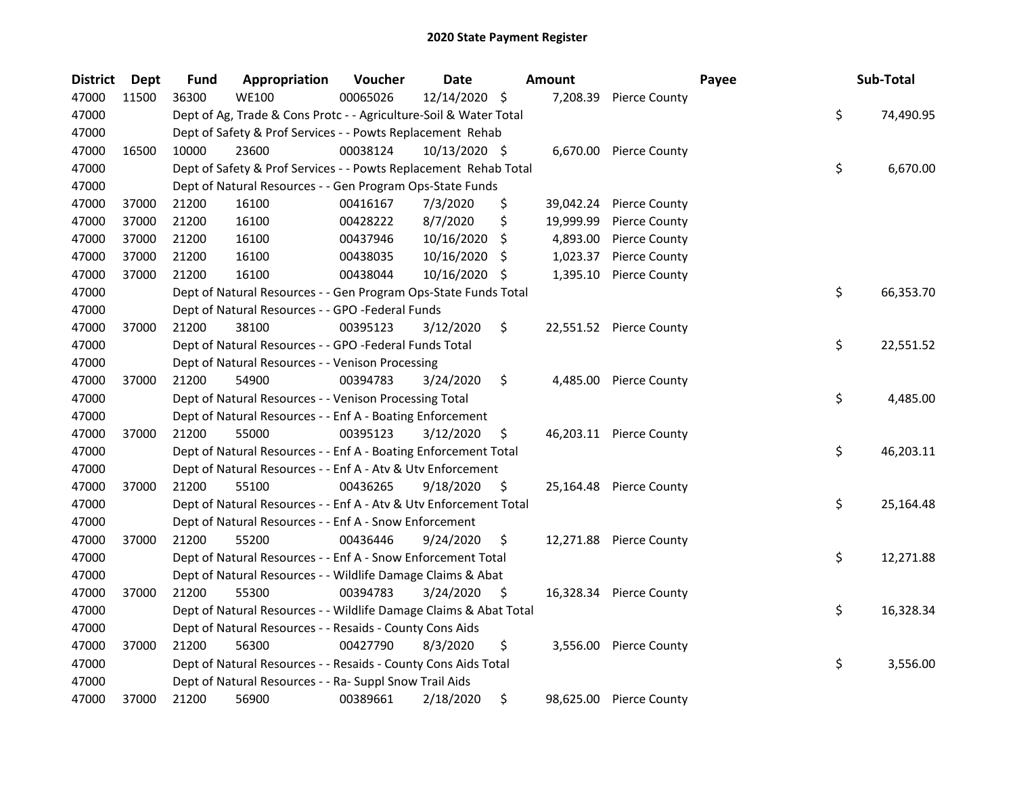| <b>District</b> | <b>Dept</b> | <b>Fund</b> | Appropriation                                                     | Voucher  | <b>Date</b>   |     | <b>Amount</b> |                         | Payee | Sub-Total       |
|-----------------|-------------|-------------|-------------------------------------------------------------------|----------|---------------|-----|---------------|-------------------------|-------|-----------------|
| 47000           | 11500       | 36300       | <b>WE100</b>                                                      | 00065026 | 12/14/2020 \$ |     | 7,208.39      | <b>Pierce County</b>    |       |                 |
| 47000           |             |             | Dept of Ag, Trade & Cons Protc - - Agriculture-Soil & Water Total |          |               |     |               |                         |       | \$<br>74,490.95 |
| 47000           |             |             | Dept of Safety & Prof Services - - Powts Replacement Rehab        |          |               |     |               |                         |       |                 |
| 47000           | 16500       | 10000       | 23600                                                             | 00038124 | 10/13/2020 \$ |     |               | 6,670.00 Pierce County  |       |                 |
| 47000           |             |             | Dept of Safety & Prof Services - - Powts Replacement Rehab Total  |          |               |     |               |                         |       | \$<br>6,670.00  |
| 47000           |             |             | Dept of Natural Resources - - Gen Program Ops-State Funds         |          |               |     |               |                         |       |                 |
| 47000           | 37000       | 21200       | 16100                                                             | 00416167 | 7/3/2020      | \$  | 39,042.24     | <b>Pierce County</b>    |       |                 |
| 47000           | 37000       | 21200       | 16100                                                             | 00428222 | 8/7/2020      | \$  | 19,999.99     | Pierce County           |       |                 |
| 47000           | 37000       | 21200       | 16100                                                             | 00437946 | 10/16/2020    | \$  | 4,893.00      | Pierce County           |       |                 |
| 47000           | 37000       | 21200       | 16100                                                             | 00438035 | 10/16/2020    | -\$ | 1,023.37      | <b>Pierce County</b>    |       |                 |
| 47000           | 37000       | 21200       | 16100                                                             | 00438044 | 10/16/2020 \$ |     | 1,395.10      | <b>Pierce County</b>    |       |                 |
| 47000           |             |             | Dept of Natural Resources - - Gen Program Ops-State Funds Total   |          |               |     |               |                         |       | \$<br>66,353.70 |
| 47000           |             |             | Dept of Natural Resources - - GPO -Federal Funds                  |          |               |     |               |                         |       |                 |
| 47000           | 37000       | 21200       | 38100                                                             | 00395123 | 3/12/2020     | \$  |               | 22,551.52 Pierce County |       |                 |
| 47000           |             |             | Dept of Natural Resources - - GPO -Federal Funds Total            |          |               |     |               |                         |       | \$<br>22,551.52 |
| 47000           |             |             | Dept of Natural Resources - - Venison Processing                  |          |               |     |               |                         |       |                 |
| 47000           | 37000       | 21200       | 54900                                                             | 00394783 | 3/24/2020     | \$  | 4,485.00      | <b>Pierce County</b>    |       |                 |
| 47000           |             |             | Dept of Natural Resources - - Venison Processing Total            |          |               |     |               |                         |       | \$<br>4,485.00  |
| 47000           |             |             | Dept of Natural Resources - - Enf A - Boating Enforcement         |          |               |     |               |                         |       |                 |
| 47000           | 37000       | 21200       | 55000                                                             | 00395123 | 3/12/2020     | \$  |               | 46,203.11 Pierce County |       |                 |
| 47000           |             |             | Dept of Natural Resources - - Enf A - Boating Enforcement Total   |          |               |     |               |                         |       | \$<br>46,203.11 |
| 47000           |             |             | Dept of Natural Resources - - Enf A - Atv & Utv Enforcement       |          |               |     |               |                         |       |                 |
| 47000           | 37000       | 21200       | 55100                                                             | 00436265 | 9/18/2020     | \$. |               | 25,164.48 Pierce County |       |                 |
| 47000           |             |             | Dept of Natural Resources - - Enf A - Atv & Utv Enforcement Total |          |               |     |               |                         |       | \$<br>25,164.48 |
| 47000           |             |             | Dept of Natural Resources - - Enf A - Snow Enforcement            |          |               |     |               |                         |       |                 |
| 47000           | 37000       | 21200       | 55200                                                             | 00436446 | 9/24/2020     | \$  |               | 12,271.88 Pierce County |       |                 |
| 47000           |             |             | Dept of Natural Resources - - Enf A - Snow Enforcement Total      |          |               |     |               |                         |       | \$<br>12,271.88 |
| 47000           |             |             | Dept of Natural Resources - - Wildlife Damage Claims & Abat       |          |               |     |               |                         |       |                 |
| 47000           | 37000       | 21200       | 55300                                                             | 00394783 | 3/24/2020     | S   |               | 16,328.34 Pierce County |       |                 |
| 47000           |             |             | Dept of Natural Resources - - Wildlife Damage Claims & Abat Total |          |               |     |               |                         |       | \$<br>16,328.34 |
| 47000           |             |             | Dept of Natural Resources - - Resaids - County Cons Aids          |          |               |     |               |                         |       |                 |
| 47000           | 37000       | 21200       | 56300                                                             | 00427790 | 8/3/2020      | \$  |               | 3,556.00 Pierce County  |       |                 |
| 47000           |             |             | Dept of Natural Resources - - Resaids - County Cons Aids Total    |          |               |     |               |                         |       | \$<br>3,556.00  |
| 47000           |             |             | Dept of Natural Resources - - Ra- Suppl Snow Trail Aids           |          |               |     |               |                         |       |                 |
| 47000           | 37000       | 21200       | 56900                                                             | 00389661 | 2/18/2020     | \$  |               | 98,625.00 Pierce County |       |                 |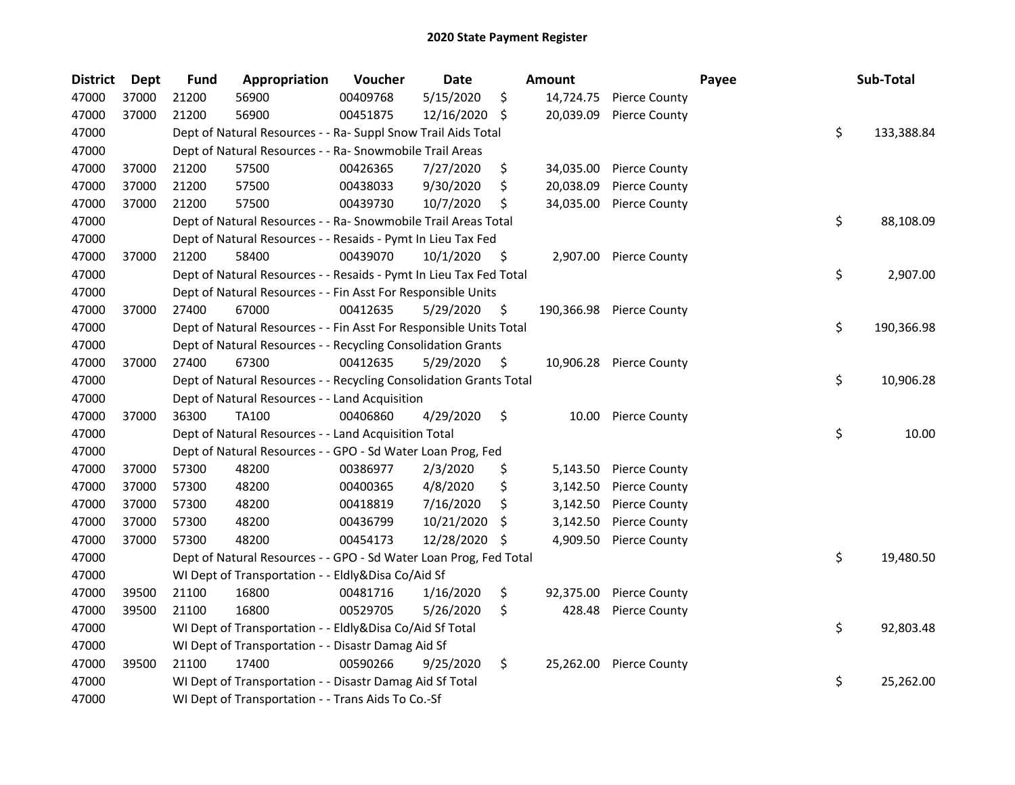| <b>District</b> | <b>Dept</b> | <b>Fund</b> | Appropriation                                                      | Voucher  | Date          |     | <b>Amount</b> |                         | Payee | Sub-Total        |
|-----------------|-------------|-------------|--------------------------------------------------------------------|----------|---------------|-----|---------------|-------------------------|-------|------------------|
| 47000           | 37000       | 21200       | 56900                                                              | 00409768 | 5/15/2020     | \$  | 14,724.75     | <b>Pierce County</b>    |       |                  |
| 47000           | 37000       | 21200       | 56900                                                              | 00451875 | 12/16/2020 \$ |     | 20,039.09     | Pierce County           |       |                  |
| 47000           |             |             | Dept of Natural Resources - - Ra- Suppl Snow Trail Aids Total      |          |               |     |               |                         |       | \$<br>133,388.84 |
| 47000           |             |             | Dept of Natural Resources - - Ra- Snowmobile Trail Areas           |          |               |     |               |                         |       |                  |
| 47000           | 37000       | 21200       | 57500                                                              | 00426365 | 7/27/2020     | \$  | 34,035.00     | <b>Pierce County</b>    |       |                  |
| 47000           | 37000       | 21200       | 57500                                                              | 00438033 | 9/30/2020     | \$  | 20,038.09     | <b>Pierce County</b>    |       |                  |
| 47000           | 37000       | 21200       | 57500                                                              | 00439730 | 10/7/2020     | \$  | 34,035.00     | <b>Pierce County</b>    |       |                  |
| 47000           |             |             | Dept of Natural Resources - - Ra- Snowmobile Trail Areas Total     |          |               |     |               |                         |       | \$<br>88,108.09  |
| 47000           |             |             | Dept of Natural Resources - - Resaids - Pymt In Lieu Tax Fed       |          |               |     |               |                         |       |                  |
| 47000           | 37000       | 21200       | 58400                                                              | 00439070 | 10/1/2020     | \$  |               | 2,907.00 Pierce County  |       |                  |
| 47000           |             |             | Dept of Natural Resources - - Resaids - Pymt In Lieu Tax Fed Total |          |               |     |               |                         |       | \$<br>2,907.00   |
| 47000           |             |             | Dept of Natural Resources - - Fin Asst For Responsible Units       |          |               |     |               |                         |       |                  |
| 47000           | 37000       | 27400       | 67000                                                              | 00412635 | 5/29/2020     | \$  | 190,366.98    | <b>Pierce County</b>    |       |                  |
| 47000           |             |             | Dept of Natural Resources - - Fin Asst For Responsible Units Total |          |               |     |               |                         |       | \$<br>190,366.98 |
| 47000           |             |             | Dept of Natural Resources - - Recycling Consolidation Grants       |          |               |     |               |                         |       |                  |
| 47000           | 37000       | 27400       | 67300                                                              | 00412635 | 5/29/2020     | \$  |               | 10,906.28 Pierce County |       |                  |
| 47000           |             |             | Dept of Natural Resources - - Recycling Consolidation Grants Total |          |               |     |               |                         |       | \$<br>10,906.28  |
| 47000           |             |             | Dept of Natural Resources - - Land Acquisition                     |          |               |     |               |                         |       |                  |
| 47000           | 37000       | 36300       | <b>TA100</b>                                                       | 00406860 | 4/29/2020     | \$  | 10.00         | <b>Pierce County</b>    |       |                  |
| 47000           |             |             | Dept of Natural Resources - - Land Acquisition Total               |          |               |     |               |                         |       | \$<br>10.00      |
| 47000           |             |             | Dept of Natural Resources - - GPO - Sd Water Loan Prog, Fed        |          |               |     |               |                         |       |                  |
| 47000           | 37000       | 57300       | 48200                                                              | 00386977 | 2/3/2020      | \$  | 5,143.50      | <b>Pierce County</b>    |       |                  |
| 47000           | 37000       | 57300       | 48200                                                              | 00400365 | 4/8/2020      | \$  | 3,142.50      | <b>Pierce County</b>    |       |                  |
| 47000           | 37000       | 57300       | 48200                                                              | 00418819 | 7/16/2020     | \$  | 3,142.50      | Pierce County           |       |                  |
| 47000           | 37000       | 57300       | 48200                                                              | 00436799 | 10/21/2020    | \$  | 3,142.50      | Pierce County           |       |                  |
| 47000           | 37000       | 57300       | 48200                                                              | 00454173 | 12/28/2020    | -\$ | 4,909.50      | <b>Pierce County</b>    |       |                  |
| 47000           |             |             | Dept of Natural Resources - - GPO - Sd Water Loan Prog, Fed Total  |          |               |     |               |                         |       | \$<br>19,480.50  |
| 47000           |             |             | WI Dept of Transportation - - Eldly&Disa Co/Aid Sf                 |          |               |     |               |                         |       |                  |
| 47000           | 39500       | 21100       | 16800                                                              | 00481716 | 1/16/2020     | \$  | 92,375.00     | Pierce County           |       |                  |
| 47000           | 39500       | 21100       | 16800                                                              | 00529705 | 5/26/2020     | \$  | 428.48        | <b>Pierce County</b>    |       |                  |
| 47000           |             |             | WI Dept of Transportation - - Eldly&Disa Co/Aid Sf Total           |          |               |     |               |                         |       | \$<br>92,803.48  |
| 47000           |             |             | WI Dept of Transportation - - Disastr Damag Aid Sf                 |          |               |     |               |                         |       |                  |
| 47000           | 39500       | 21100       | 17400                                                              | 00590266 | 9/25/2020     | \$  |               | 25,262.00 Pierce County |       |                  |
| 47000           |             |             | WI Dept of Transportation - - Disastr Damag Aid Sf Total           |          |               |     |               |                         |       | \$<br>25,262.00  |
| 47000           |             |             | WI Dept of Transportation - - Trans Aids To Co.-Sf                 |          |               |     |               |                         |       |                  |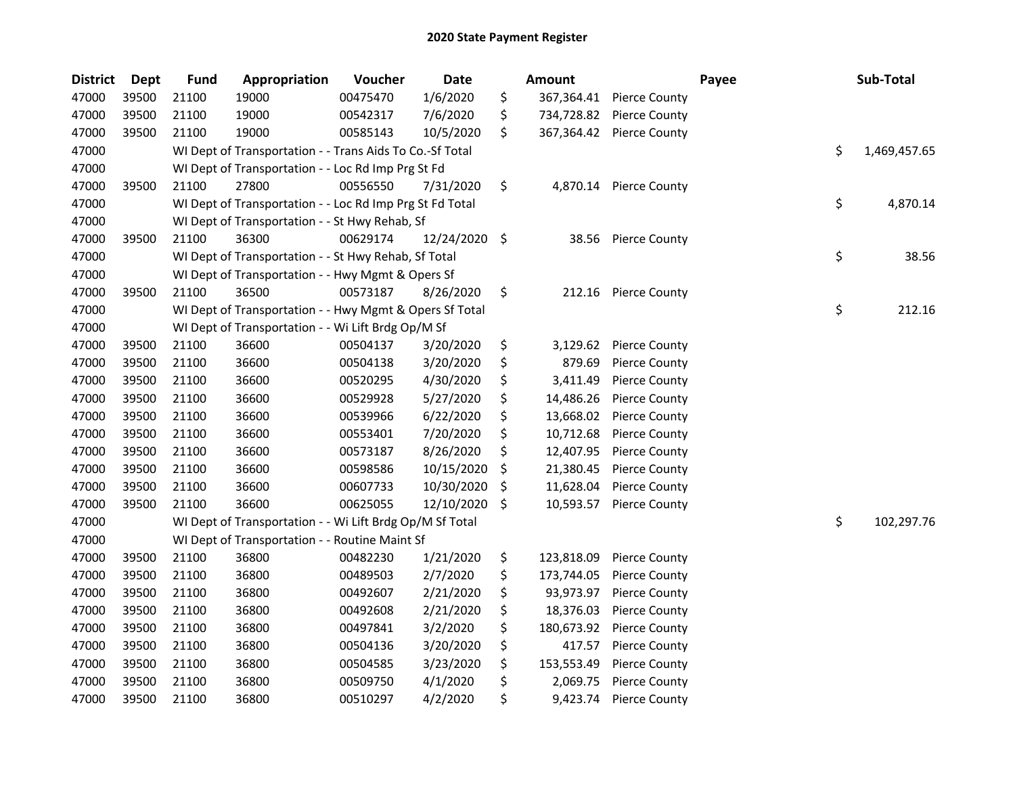| <b>District</b> | Dept  | <b>Fund</b> | Appropriation                                            | Voucher  | <b>Date</b>   |                     | <b>Amount</b> |                      | Payee | Sub-Total    |
|-----------------|-------|-------------|----------------------------------------------------------|----------|---------------|---------------------|---------------|----------------------|-------|--------------|
| 47000           | 39500 | 21100       | 19000                                                    | 00475470 | 1/6/2020      | \$                  | 367,364.41    | <b>Pierce County</b> |       |              |
| 47000           | 39500 | 21100       | 19000                                                    | 00542317 | 7/6/2020      | \$                  | 734,728.82    | <b>Pierce County</b> |       |              |
| 47000           | 39500 | 21100       | 19000                                                    | 00585143 | 10/5/2020     | \$                  | 367,364.42    | <b>Pierce County</b> |       |              |
| 47000           |       |             | WI Dept of Transportation - - Trans Aids To Co.-Sf Total |          |               |                     |               |                      | \$    | 1,469,457.65 |
| 47000           |       |             | WI Dept of Transportation - - Loc Rd Imp Prg St Fd       |          |               |                     |               |                      |       |              |
| 47000           | 39500 | 21100       | 27800                                                    | 00556550 | 7/31/2020     | \$                  | 4,870.14      | <b>Pierce County</b> |       |              |
| 47000           |       |             | WI Dept of Transportation - - Loc Rd Imp Prg St Fd Total |          |               |                     |               |                      | \$    | 4,870.14     |
| 47000           |       |             | WI Dept of Transportation - - St Hwy Rehab, Sf           |          |               |                     |               |                      |       |              |
| 47000           | 39500 | 21100       | 36300                                                    | 00629174 | 12/24/2020 \$ |                     | 38.56         | Pierce County        |       |              |
| 47000           |       |             | WI Dept of Transportation - - St Hwy Rehab, Sf Total     |          |               |                     |               |                      | \$    | 38.56        |
| 47000           |       |             | WI Dept of Transportation - - Hwy Mgmt & Opers Sf        |          |               |                     |               |                      |       |              |
| 47000           | 39500 | 21100       | 36500                                                    | 00573187 | 8/26/2020     | \$                  | 212.16        | <b>Pierce County</b> |       |              |
| 47000           |       |             | WI Dept of Transportation - - Hwy Mgmt & Opers Sf Total  |          |               |                     |               |                      | \$    | 212.16       |
| 47000           |       |             | WI Dept of Transportation - - Wi Lift Brdg Op/M Sf       |          |               |                     |               |                      |       |              |
| 47000           | 39500 | 21100       | 36600                                                    | 00504137 | 3/20/2020     | \$                  | 3,129.62      | <b>Pierce County</b> |       |              |
| 47000           | 39500 | 21100       | 36600                                                    | 00504138 | 3/20/2020     | \$                  | 879.69        | <b>Pierce County</b> |       |              |
| 47000           | 39500 | 21100       | 36600                                                    | 00520295 | 4/30/2020     | \$                  | 3,411.49      | <b>Pierce County</b> |       |              |
| 47000           | 39500 | 21100       | 36600                                                    | 00529928 | 5/27/2020     | \$                  | 14,486.26     | <b>Pierce County</b> |       |              |
| 47000           | 39500 | 21100       | 36600                                                    | 00539966 | 6/22/2020     | \$                  | 13,668.02     | <b>Pierce County</b> |       |              |
| 47000           | 39500 | 21100       | 36600                                                    | 00553401 | 7/20/2020     | \$                  | 10,712.68     | <b>Pierce County</b> |       |              |
| 47000           | 39500 | 21100       | 36600                                                    | 00573187 | 8/26/2020     | \$                  | 12,407.95     | <b>Pierce County</b> |       |              |
| 47000           | 39500 | 21100       | 36600                                                    | 00598586 | 10/15/2020    | $\zeta$             | 21,380.45     | <b>Pierce County</b> |       |              |
| 47000           | 39500 | 21100       | 36600                                                    | 00607733 | 10/30/2020    | $\ddot{\mathsf{S}}$ | 11,628.04     | <b>Pierce County</b> |       |              |
| 47000           | 39500 | 21100       | 36600                                                    | 00625055 | 12/10/2020    | -\$                 | 10,593.57     | <b>Pierce County</b> |       |              |
| 47000           |       |             | WI Dept of Transportation - - Wi Lift Brdg Op/M Sf Total |          |               |                     |               |                      | \$    | 102,297.76   |
| 47000           |       |             | WI Dept of Transportation - - Routine Maint Sf           |          |               |                     |               |                      |       |              |
| 47000           | 39500 | 21100       | 36800                                                    | 00482230 | 1/21/2020     | \$                  | 123,818.09    | <b>Pierce County</b> |       |              |
| 47000           | 39500 | 21100       | 36800                                                    | 00489503 | 2/7/2020      | \$                  | 173,744.05    | <b>Pierce County</b> |       |              |
| 47000           | 39500 | 21100       | 36800                                                    | 00492607 | 2/21/2020     | \$                  | 93,973.97     | <b>Pierce County</b> |       |              |
| 47000           | 39500 | 21100       | 36800                                                    | 00492608 | 2/21/2020     | \$                  | 18,376.03     | <b>Pierce County</b> |       |              |
| 47000           | 39500 | 21100       | 36800                                                    | 00497841 | 3/2/2020      | \$                  | 180,673.92    | <b>Pierce County</b> |       |              |
| 47000           | 39500 | 21100       | 36800                                                    | 00504136 | 3/20/2020     | \$                  | 417.57        | <b>Pierce County</b> |       |              |
| 47000           | 39500 | 21100       | 36800                                                    | 00504585 | 3/23/2020     | \$                  | 153,553.49    | <b>Pierce County</b> |       |              |
| 47000           | 39500 | 21100       | 36800                                                    | 00509750 | 4/1/2020      | \$                  | 2,069.75      | <b>Pierce County</b> |       |              |
| 47000           | 39500 | 21100       | 36800                                                    | 00510297 | 4/2/2020      | \$                  | 9,423.74      | <b>Pierce County</b> |       |              |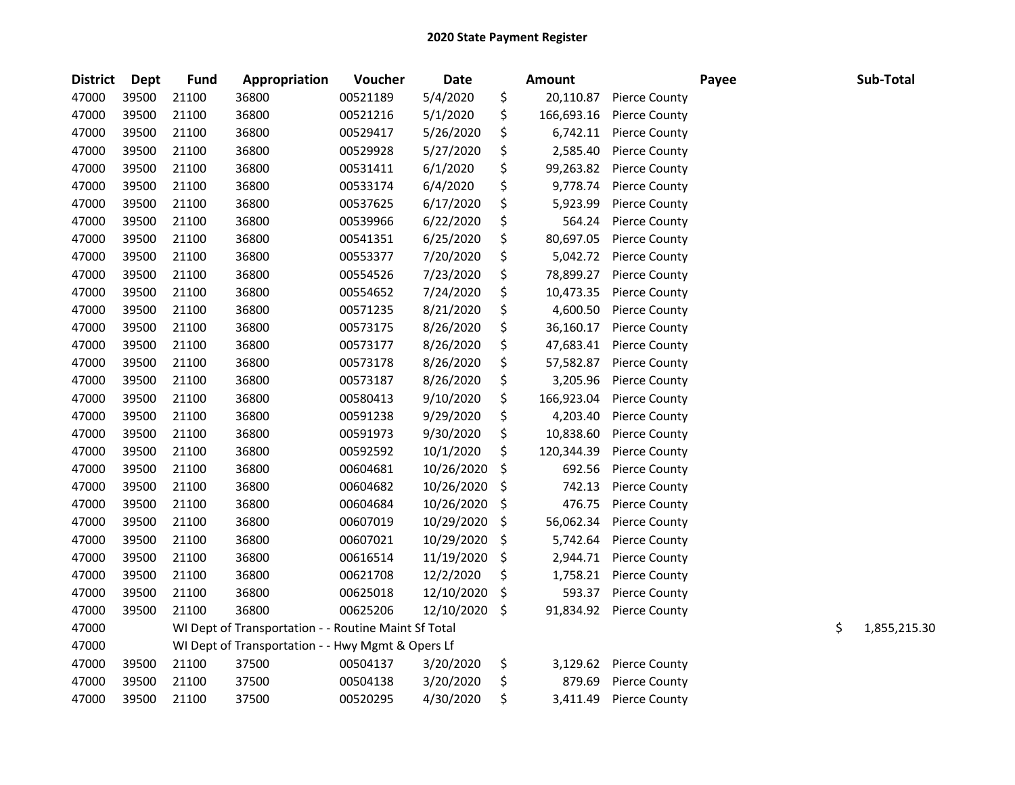| <b>District</b> | Dept  | <b>Fund</b> | Appropriation                                        | Voucher  | Date       |         | <b>Amount</b> |                      | Payee | Sub-Total          |
|-----------------|-------|-------------|------------------------------------------------------|----------|------------|---------|---------------|----------------------|-------|--------------------|
| 47000           | 39500 | 21100       | 36800                                                | 00521189 | 5/4/2020   | \$      | 20,110.87     | <b>Pierce County</b> |       |                    |
| 47000           | 39500 | 21100       | 36800                                                | 00521216 | 5/1/2020   | \$      | 166,693.16    | <b>Pierce County</b> |       |                    |
| 47000           | 39500 | 21100       | 36800                                                | 00529417 | 5/26/2020  | \$      | 6,742.11      | <b>Pierce County</b> |       |                    |
| 47000           | 39500 | 21100       | 36800                                                | 00529928 | 5/27/2020  | \$      | 2,585.40      | <b>Pierce County</b> |       |                    |
| 47000           | 39500 | 21100       | 36800                                                | 00531411 | 6/1/2020   | \$      | 99,263.82     | <b>Pierce County</b> |       |                    |
| 47000           | 39500 | 21100       | 36800                                                | 00533174 | 6/4/2020   | \$      | 9,778.74      | <b>Pierce County</b> |       |                    |
| 47000           | 39500 | 21100       | 36800                                                | 00537625 | 6/17/2020  | \$      | 5,923.99      | <b>Pierce County</b> |       |                    |
| 47000           | 39500 | 21100       | 36800                                                | 00539966 | 6/22/2020  | \$      | 564.24        | <b>Pierce County</b> |       |                    |
| 47000           | 39500 | 21100       | 36800                                                | 00541351 | 6/25/2020  | \$      | 80,697.05     | <b>Pierce County</b> |       |                    |
| 47000           | 39500 | 21100       | 36800                                                | 00553377 | 7/20/2020  | \$      | 5,042.72      | <b>Pierce County</b> |       |                    |
| 47000           | 39500 | 21100       | 36800                                                | 00554526 | 7/23/2020  | \$      | 78,899.27     | <b>Pierce County</b> |       |                    |
| 47000           | 39500 | 21100       | 36800                                                | 00554652 | 7/24/2020  | \$      | 10,473.35     | <b>Pierce County</b> |       |                    |
| 47000           | 39500 | 21100       | 36800                                                | 00571235 | 8/21/2020  | \$      | 4,600.50      | <b>Pierce County</b> |       |                    |
| 47000           | 39500 | 21100       | 36800                                                | 00573175 | 8/26/2020  | \$      | 36,160.17     | <b>Pierce County</b> |       |                    |
| 47000           | 39500 | 21100       | 36800                                                | 00573177 | 8/26/2020  | \$      | 47,683.41     | <b>Pierce County</b> |       |                    |
| 47000           | 39500 | 21100       | 36800                                                | 00573178 | 8/26/2020  | \$      | 57,582.87     | <b>Pierce County</b> |       |                    |
| 47000           | 39500 | 21100       | 36800                                                | 00573187 | 8/26/2020  | \$      | 3,205.96      | <b>Pierce County</b> |       |                    |
| 47000           | 39500 | 21100       | 36800                                                | 00580413 | 9/10/2020  | \$      | 166,923.04    | <b>Pierce County</b> |       |                    |
| 47000           | 39500 | 21100       | 36800                                                | 00591238 | 9/29/2020  | \$      | 4,203.40      | <b>Pierce County</b> |       |                    |
| 47000           | 39500 | 21100       | 36800                                                | 00591973 | 9/30/2020  | \$      | 10,838.60     | <b>Pierce County</b> |       |                    |
| 47000           | 39500 | 21100       | 36800                                                | 00592592 | 10/1/2020  | \$      | 120,344.39    | <b>Pierce County</b> |       |                    |
| 47000           | 39500 | 21100       | 36800                                                | 00604681 | 10/26/2020 | \$      | 692.56        | <b>Pierce County</b> |       |                    |
| 47000           | 39500 | 21100       | 36800                                                | 00604682 | 10/26/2020 | \$      | 742.13        | <b>Pierce County</b> |       |                    |
| 47000           | 39500 | 21100       | 36800                                                | 00604684 | 10/26/2020 | \$      | 476.75        | <b>Pierce County</b> |       |                    |
| 47000           | 39500 | 21100       | 36800                                                | 00607019 | 10/29/2020 | $\zeta$ | 56,062.34     | <b>Pierce County</b> |       |                    |
| 47000           | 39500 | 21100       | 36800                                                | 00607021 | 10/29/2020 | \$      | 5,742.64      | <b>Pierce County</b> |       |                    |
| 47000           | 39500 | 21100       | 36800                                                | 00616514 | 11/19/2020 | \$      | 2,944.71      | <b>Pierce County</b> |       |                    |
| 47000           | 39500 | 21100       | 36800                                                | 00621708 | 12/2/2020  | \$      | 1,758.21      | <b>Pierce County</b> |       |                    |
| 47000           | 39500 | 21100       | 36800                                                | 00625018 | 12/10/2020 | \$      | 593.37        | <b>Pierce County</b> |       |                    |
| 47000           | 39500 | 21100       | 36800                                                | 00625206 | 12/10/2020 | \$      | 91,834.92     | <b>Pierce County</b> |       |                    |
| 47000           |       |             | WI Dept of Transportation - - Routine Maint Sf Total |          |            |         |               |                      |       | \$<br>1,855,215.30 |
| 47000           |       |             | WI Dept of Transportation - - Hwy Mgmt & Opers Lf    |          |            |         |               |                      |       |                    |
| 47000           | 39500 | 21100       | 37500                                                | 00504137 | 3/20/2020  | \$      | 3,129.62      | <b>Pierce County</b> |       |                    |
| 47000           | 39500 | 21100       | 37500                                                | 00504138 | 3/20/2020  | \$      | 879.69        | <b>Pierce County</b> |       |                    |
| 47000           | 39500 | 21100       | 37500                                                | 00520295 | 4/30/2020  | \$      | 3,411.49      | <b>Pierce County</b> |       |                    |
|                 |       |             |                                                      |          |            |         |               |                      |       |                    |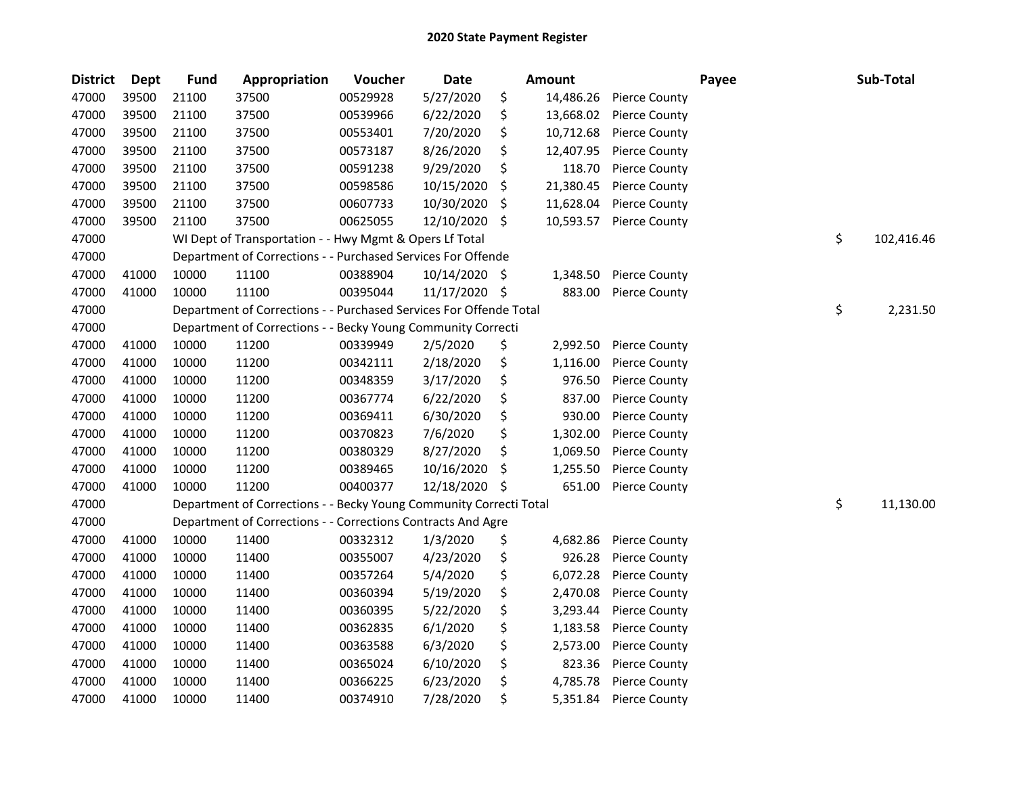| <b>District</b> | Dept  | <b>Fund</b> | Appropriation                                                      | Voucher  | <b>Date</b>   |     | <b>Amount</b> |                      | Payee | Sub-Total        |
|-----------------|-------|-------------|--------------------------------------------------------------------|----------|---------------|-----|---------------|----------------------|-------|------------------|
| 47000           | 39500 | 21100       | 37500                                                              | 00529928 | 5/27/2020     | \$  | 14,486.26     | <b>Pierce County</b> |       |                  |
| 47000           | 39500 | 21100       | 37500                                                              | 00539966 | 6/22/2020     | \$  | 13,668.02     | <b>Pierce County</b> |       |                  |
| 47000           | 39500 | 21100       | 37500                                                              | 00553401 | 7/20/2020     | \$  | 10,712.68     | <b>Pierce County</b> |       |                  |
| 47000           | 39500 | 21100       | 37500                                                              | 00573187 | 8/26/2020     | \$  | 12,407.95     | <b>Pierce County</b> |       |                  |
| 47000           | 39500 | 21100       | 37500                                                              | 00591238 | 9/29/2020     | \$  | 118.70        | <b>Pierce County</b> |       |                  |
| 47000           | 39500 | 21100       | 37500                                                              | 00598586 | 10/15/2020    | \$, | 21,380.45     | <b>Pierce County</b> |       |                  |
| 47000           | 39500 | 21100       | 37500                                                              | 00607733 | 10/30/2020    | \$  | 11,628.04     | <b>Pierce County</b> |       |                  |
| 47000           | 39500 | 21100       | 37500                                                              | 00625055 | 12/10/2020    | \$  | 10,593.57     | <b>Pierce County</b> |       |                  |
| 47000           |       |             | WI Dept of Transportation - - Hwy Mgmt & Opers Lf Total            |          |               |     |               |                      |       | \$<br>102,416.46 |
| 47000           |       |             | Department of Corrections - - Purchased Services For Offende       |          |               |     |               |                      |       |                  |
| 47000           | 41000 | 10000       | 11100                                                              | 00388904 | 10/14/2020 \$ |     | 1,348.50      | Pierce County        |       |                  |
| 47000           | 41000 | 10000       | 11100                                                              | 00395044 | 11/17/2020    | \$. | 883.00        | <b>Pierce County</b> |       |                  |
| 47000           |       |             | Department of Corrections - - Purchased Services For Offende Total |          |               |     |               |                      |       | \$<br>2,231.50   |
| 47000           |       |             | Department of Corrections - - Becky Young Community Correcti       |          |               |     |               |                      |       |                  |
| 47000           | 41000 | 10000       | 11200                                                              | 00339949 | 2/5/2020      | \$  | 2,992.50      | <b>Pierce County</b> |       |                  |
| 47000           | 41000 | 10000       | 11200                                                              | 00342111 | 2/18/2020     | \$  | 1,116.00      | <b>Pierce County</b> |       |                  |
| 47000           | 41000 | 10000       | 11200                                                              | 00348359 | 3/17/2020     | \$  | 976.50        | <b>Pierce County</b> |       |                  |
| 47000           | 41000 | 10000       | 11200                                                              | 00367774 | 6/22/2020     | \$  | 837.00        | <b>Pierce County</b> |       |                  |
| 47000           | 41000 | 10000       | 11200                                                              | 00369411 | 6/30/2020     | \$  | 930.00        | <b>Pierce County</b> |       |                  |
| 47000           | 41000 | 10000       | 11200                                                              | 00370823 | 7/6/2020      | \$  | 1,302.00      | <b>Pierce County</b> |       |                  |
| 47000           | 41000 | 10000       | 11200                                                              | 00380329 | 8/27/2020     | \$  | 1,069.50      | Pierce County        |       |                  |
| 47000           | 41000 | 10000       | 11200                                                              | 00389465 | 10/16/2020    | \$, | 1,255.50      | <b>Pierce County</b> |       |                  |
| 47000           | 41000 | 10000       | 11200                                                              | 00400377 | 12/18/2020    | S   | 651.00        | <b>Pierce County</b> |       |                  |
| 47000           |       |             | Department of Corrections - - Becky Young Community Correcti Total |          |               |     |               |                      |       | \$<br>11,130.00  |
| 47000           |       |             | Department of Corrections - - Corrections Contracts And Agre       |          |               |     |               |                      |       |                  |
| 47000           | 41000 | 10000       | 11400                                                              | 00332312 | 1/3/2020      | \$  | 4,682.86      | <b>Pierce County</b> |       |                  |
| 47000           | 41000 | 10000       | 11400                                                              | 00355007 | 4/23/2020     | \$  | 926.28        | <b>Pierce County</b> |       |                  |
| 47000           | 41000 | 10000       | 11400                                                              | 00357264 | 5/4/2020      | \$  | 6,072.28      | Pierce County        |       |                  |
| 47000           | 41000 | 10000       | 11400                                                              | 00360394 | 5/19/2020     | \$  | 2,470.08      | <b>Pierce County</b> |       |                  |
| 47000           | 41000 | 10000       | 11400                                                              | 00360395 | 5/22/2020     | \$  | 3,293.44      | <b>Pierce County</b> |       |                  |
| 47000           | 41000 | 10000       | 11400                                                              | 00362835 | 6/1/2020      | \$  | 1,183.58      | <b>Pierce County</b> |       |                  |
| 47000           | 41000 | 10000       | 11400                                                              | 00363588 | 6/3/2020      | \$  | 2,573.00      | Pierce County        |       |                  |
| 47000           | 41000 | 10000       | 11400                                                              | 00365024 | 6/10/2020     | \$  | 823.36        | <b>Pierce County</b> |       |                  |
| 47000           | 41000 | 10000       | 11400                                                              | 00366225 | 6/23/2020     | \$  | 4,785.78      | Pierce County        |       |                  |
| 47000           | 41000 | 10000       | 11400                                                              | 00374910 | 7/28/2020     | \$  | 5,351.84      | <b>Pierce County</b> |       |                  |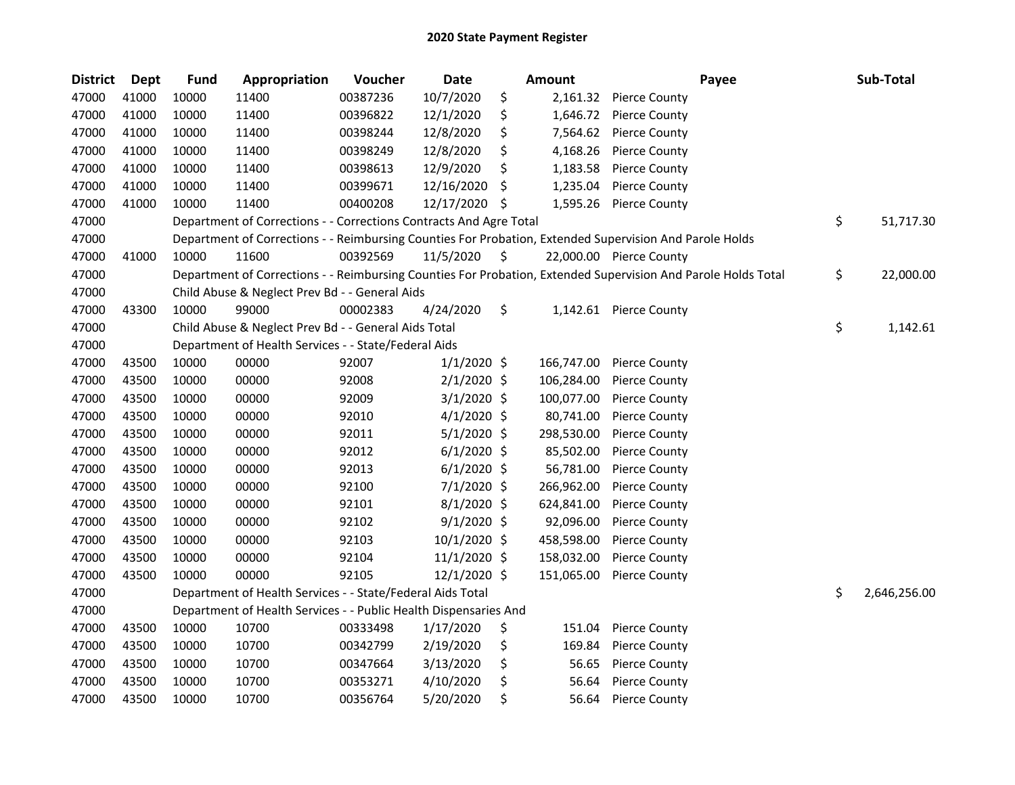| <b>District</b> | Dept  | <b>Fund</b> | Appropriation                                                      | Voucher  | <b>Date</b>   |     | <b>Amount</b> | Payee                                                                                                         | Sub-Total          |
|-----------------|-------|-------------|--------------------------------------------------------------------|----------|---------------|-----|---------------|---------------------------------------------------------------------------------------------------------------|--------------------|
| 47000           | 41000 | 10000       | 11400                                                              | 00387236 | 10/7/2020     | \$  | 2,161.32      | <b>Pierce County</b>                                                                                          |                    |
| 47000           | 41000 | 10000       | 11400                                                              | 00396822 | 12/1/2020     | \$  | 1,646.72      | Pierce County                                                                                                 |                    |
| 47000           | 41000 | 10000       | 11400                                                              | 00398244 | 12/8/2020     | \$  | 7,564.62      | <b>Pierce County</b>                                                                                          |                    |
| 47000           | 41000 | 10000       | 11400                                                              | 00398249 | 12/8/2020     | \$  | 4,168.26      | <b>Pierce County</b>                                                                                          |                    |
| 47000           | 41000 | 10000       | 11400                                                              | 00398613 | 12/9/2020     | \$  | 1,183.58      | <b>Pierce County</b>                                                                                          |                    |
| 47000           | 41000 | 10000       | 11400                                                              | 00399671 | 12/16/2020    | \$, | 1,235.04      | <b>Pierce County</b>                                                                                          |                    |
| 47000           | 41000 | 10000       | 11400                                                              | 00400208 | 12/17/2020    | \$  | 1,595.26      | <b>Pierce County</b>                                                                                          |                    |
| 47000           |       |             | Department of Corrections - - Corrections Contracts And Agre Total |          |               |     |               |                                                                                                               | \$<br>51,717.30    |
| 47000           |       |             |                                                                    |          |               |     |               | Department of Corrections - - Reimbursing Counties For Probation, Extended Supervision And Parole Holds       |                    |
| 47000           | 41000 | 10000       | 11600                                                              | 00392569 | 11/5/2020     | \$  |               | 22,000.00 Pierce County                                                                                       |                    |
| 47000           |       |             |                                                                    |          |               |     |               | Department of Corrections - - Reimbursing Counties For Probation, Extended Supervision And Parole Holds Total | \$<br>22,000.00    |
| 47000           |       |             | Child Abuse & Neglect Prev Bd - - General Aids                     |          |               |     |               |                                                                                                               |                    |
| 47000           | 43300 | 10000       | 99000                                                              | 00002383 | 4/24/2020     | \$  |               | 1,142.61 Pierce County                                                                                        |                    |
| 47000           |       |             | Child Abuse & Neglect Prev Bd - - General Aids Total               |          |               |     |               |                                                                                                               | \$<br>1,142.61     |
| 47000           |       |             | Department of Health Services - - State/Federal Aids               |          |               |     |               |                                                                                                               |                    |
| 47000           | 43500 | 10000       | 00000                                                              | 92007    | $1/1/2020$ \$ |     | 166,747.00    | <b>Pierce County</b>                                                                                          |                    |
| 47000           | 43500 | 10000       | 00000                                                              | 92008    | $2/1/2020$ \$ |     | 106,284.00    | <b>Pierce County</b>                                                                                          |                    |
| 47000           | 43500 | 10000       | 00000                                                              | 92009    | $3/1/2020$ \$ |     | 100,077.00    | <b>Pierce County</b>                                                                                          |                    |
| 47000           | 43500 | 10000       | 00000                                                              | 92010    | $4/1/2020$ \$ |     | 80,741.00     | <b>Pierce County</b>                                                                                          |                    |
| 47000           | 43500 | 10000       | 00000                                                              | 92011    | $5/1/2020$ \$ |     | 298,530.00    | <b>Pierce County</b>                                                                                          |                    |
| 47000           | 43500 | 10000       | 00000                                                              | 92012    | $6/1/2020$ \$ |     | 85,502.00     | <b>Pierce County</b>                                                                                          |                    |
| 47000           | 43500 | 10000       | 00000                                                              | 92013    | $6/1/2020$ \$ |     | 56,781.00     | <b>Pierce County</b>                                                                                          |                    |
| 47000           | 43500 | 10000       | 00000                                                              | 92100    | 7/1/2020 \$   |     | 266,962.00    | <b>Pierce County</b>                                                                                          |                    |
| 47000           | 43500 | 10000       | 00000                                                              | 92101    | $8/1/2020$ \$ |     | 624,841.00    | <b>Pierce County</b>                                                                                          |                    |
| 47000           | 43500 | 10000       | 00000                                                              | 92102    | $9/1/2020$ \$ |     | 92,096.00     | <b>Pierce County</b>                                                                                          |                    |
| 47000           | 43500 | 10000       | 00000                                                              | 92103    | 10/1/2020 \$  |     | 458,598.00    | <b>Pierce County</b>                                                                                          |                    |
| 47000           | 43500 | 10000       | 00000                                                              | 92104    | 11/1/2020 \$  |     | 158,032.00    | <b>Pierce County</b>                                                                                          |                    |
| 47000           | 43500 | 10000       | 00000                                                              | 92105    | 12/1/2020 \$  |     | 151,065.00    | <b>Pierce County</b>                                                                                          |                    |
| 47000           |       |             | Department of Health Services - - State/Federal Aids Total         |          |               |     |               |                                                                                                               | \$<br>2,646,256.00 |
| 47000           |       |             | Department of Health Services - - Public Health Dispensaries And   |          |               |     |               |                                                                                                               |                    |
| 47000           | 43500 | 10000       | 10700                                                              | 00333498 | 1/17/2020     | \$  | 151.04        | <b>Pierce County</b>                                                                                          |                    |
| 47000           | 43500 | 10000       | 10700                                                              | 00342799 | 2/19/2020     | \$  | 169.84        | <b>Pierce County</b>                                                                                          |                    |
| 47000           | 43500 | 10000       | 10700                                                              | 00347664 | 3/13/2020     | \$  | 56.65         | <b>Pierce County</b>                                                                                          |                    |
| 47000           | 43500 | 10000       | 10700                                                              | 00353271 | 4/10/2020     | \$  | 56.64         | <b>Pierce County</b>                                                                                          |                    |
| 47000           | 43500 | 10000       | 10700                                                              | 00356764 | 5/20/2020     | \$  | 56.64         | <b>Pierce County</b>                                                                                          |                    |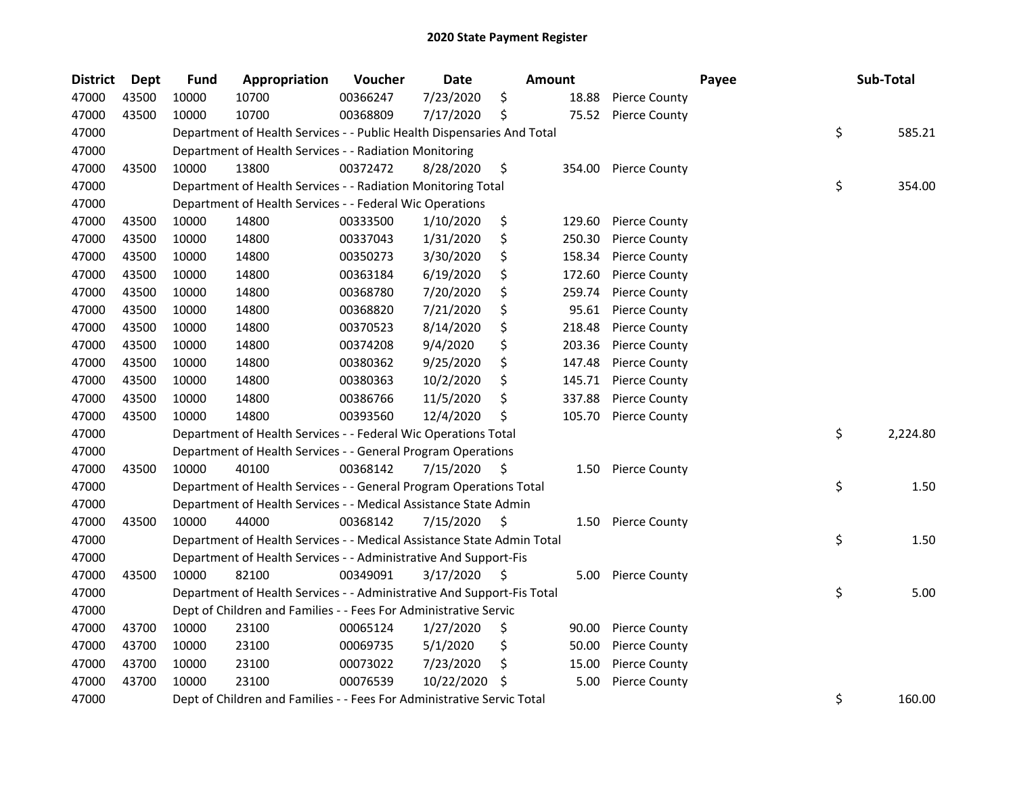| <b>District</b> | Dept  | <b>Fund</b> | Appropriation                                                          | Voucher  | <b>Date</b> | <b>Amount</b> |        |                      | Payee | Sub-Total      |
|-----------------|-------|-------------|------------------------------------------------------------------------|----------|-------------|---------------|--------|----------------------|-------|----------------|
| 47000           | 43500 | 10000       | 10700                                                                  | 00366247 | 7/23/2020   | \$            | 18.88  | <b>Pierce County</b> |       |                |
| 47000           | 43500 | 10000       | 10700                                                                  | 00368809 | 7/17/2020   | \$            | 75.52  | <b>Pierce County</b> |       |                |
| 47000           |       |             | Department of Health Services - - Public Health Dispensaries And Total |          |             |               |        |                      |       | \$<br>585.21   |
| 47000           |       |             | Department of Health Services - - Radiation Monitoring                 |          |             |               |        |                      |       |                |
| 47000           | 43500 | 10000       | 13800                                                                  | 00372472 | 8/28/2020   | \$            |        | 354.00 Pierce County |       |                |
| 47000           |       |             | Department of Health Services - - Radiation Monitoring Total           |          |             |               |        |                      |       | \$<br>354.00   |
| 47000           |       |             | Department of Health Services - - Federal Wic Operations               |          |             |               |        |                      |       |                |
| 47000           | 43500 | 10000       | 14800                                                                  | 00333500 | 1/10/2020   | \$            | 129.60 | <b>Pierce County</b> |       |                |
| 47000           | 43500 | 10000       | 14800                                                                  | 00337043 | 1/31/2020   | \$            | 250.30 | <b>Pierce County</b> |       |                |
| 47000           | 43500 | 10000       | 14800                                                                  | 00350273 | 3/30/2020   | \$            | 158.34 | <b>Pierce County</b> |       |                |
| 47000           | 43500 | 10000       | 14800                                                                  | 00363184 | 6/19/2020   | \$            | 172.60 | <b>Pierce County</b> |       |                |
| 47000           | 43500 | 10000       | 14800                                                                  | 00368780 | 7/20/2020   | \$            | 259.74 | <b>Pierce County</b> |       |                |
| 47000           | 43500 | 10000       | 14800                                                                  | 00368820 | 7/21/2020   | \$            | 95.61  | <b>Pierce County</b> |       |                |
| 47000           | 43500 | 10000       | 14800                                                                  | 00370523 | 8/14/2020   | \$            | 218.48 | <b>Pierce County</b> |       |                |
| 47000           | 43500 | 10000       | 14800                                                                  | 00374208 | 9/4/2020    | \$            | 203.36 | <b>Pierce County</b> |       |                |
| 47000           | 43500 | 10000       | 14800                                                                  | 00380362 | 9/25/2020   | \$            | 147.48 | <b>Pierce County</b> |       |                |
| 47000           | 43500 | 10000       | 14800                                                                  | 00380363 | 10/2/2020   | \$            | 145.71 | <b>Pierce County</b> |       |                |
| 47000           | 43500 | 10000       | 14800                                                                  | 00386766 | 11/5/2020   | \$            | 337.88 | <b>Pierce County</b> |       |                |
| 47000           | 43500 | 10000       | 14800                                                                  | 00393560 | 12/4/2020   | \$            | 105.70 | <b>Pierce County</b> |       |                |
| 47000           |       |             | Department of Health Services - - Federal Wic Operations Total         |          |             |               |        |                      |       | \$<br>2,224.80 |
| 47000           |       |             | Department of Health Services - - General Program Operations           |          |             |               |        |                      |       |                |
| 47000           | 43500 | 10000       | 40100                                                                  | 00368142 | 7/15/2020   | \$            |        | 1.50 Pierce County   |       |                |
| 47000           |       |             | Department of Health Services - - General Program Operations Total     |          |             |               |        |                      |       | \$<br>1.50     |
| 47000           |       |             | Department of Health Services - - Medical Assistance State Admin       |          |             |               |        |                      |       |                |
| 47000           | 43500 | 10000       | 44000                                                                  | 00368142 | 7/15/2020   | \$            |        | 1.50 Pierce County   |       |                |
| 47000           |       |             | Department of Health Services - - Medical Assistance State Admin Total |          |             |               |        |                      |       | \$<br>1.50     |
| 47000           |       |             | Department of Health Services - - Administrative And Support-Fis       |          |             |               |        |                      |       |                |
| 47000           | 43500 | 10000       | 82100                                                                  | 00349091 | 3/17/2020   | Ŝ.            |        | 5.00 Pierce County   |       |                |
| 47000           |       |             | Department of Health Services - - Administrative And Support-Fis Total |          |             |               |        |                      |       | \$<br>5.00     |
| 47000           |       |             | Dept of Children and Families - - Fees For Administrative Servic       |          |             |               |        |                      |       |                |
| 47000           | 43700 | 10000       | 23100                                                                  | 00065124 | 1/27/2020   | \$            | 90.00  | <b>Pierce County</b> |       |                |
| 47000           | 43700 | 10000       | 23100                                                                  | 00069735 | 5/1/2020    | \$            | 50.00  | Pierce County        |       |                |
| 47000           | 43700 | 10000       | 23100                                                                  | 00073022 | 7/23/2020   | \$            | 15.00  | Pierce County        |       |                |
| 47000           | 43700 | 10000       | 23100                                                                  | 00076539 | 10/22/2020  | \$            | 5.00   | <b>Pierce County</b> |       |                |
| 47000           |       |             | Dept of Children and Families - - Fees For Administrative Servic Total |          |             |               |        |                      |       | \$<br>160.00   |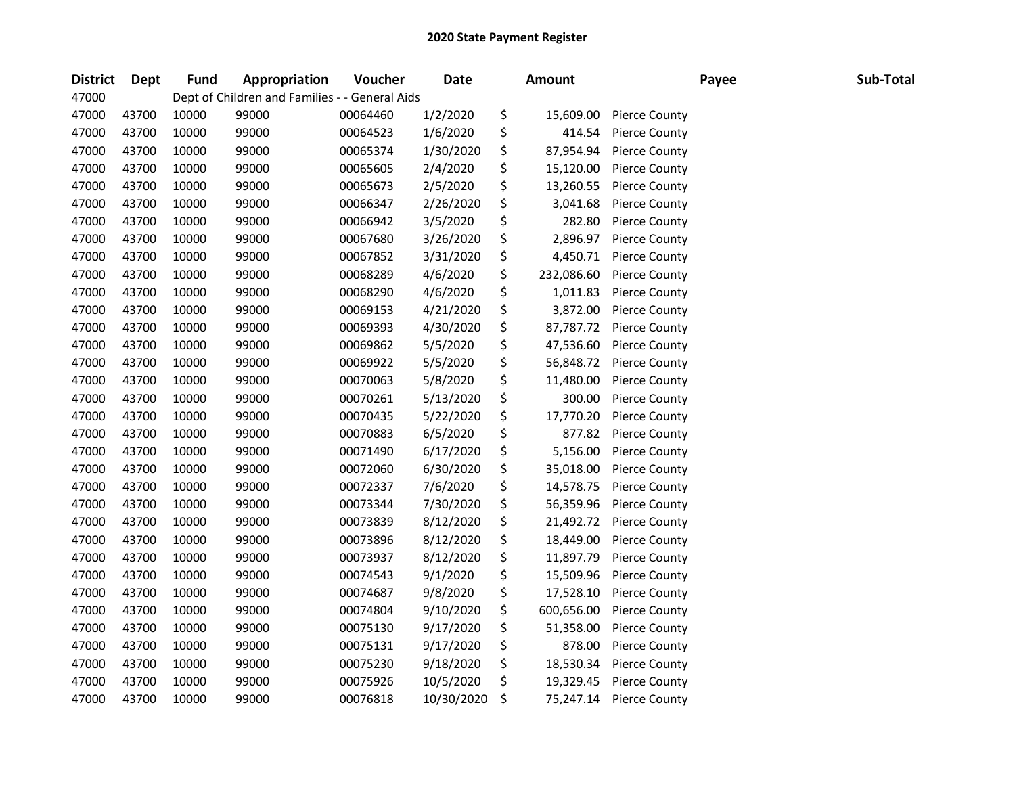| <b>District</b> | Dept  | <b>Fund</b> | Appropriation                                  | Voucher  | <b>Date</b> | <b>Amount</b>    |                      | Payee | Sub-Total |
|-----------------|-------|-------------|------------------------------------------------|----------|-------------|------------------|----------------------|-------|-----------|
| 47000           |       |             | Dept of Children and Families - - General Aids |          |             |                  |                      |       |           |
| 47000           | 43700 | 10000       | 99000                                          | 00064460 | 1/2/2020    | \$<br>15,609.00  | <b>Pierce County</b> |       |           |
| 47000           | 43700 | 10000       | 99000                                          | 00064523 | 1/6/2020    | \$<br>414.54     | <b>Pierce County</b> |       |           |
| 47000           | 43700 | 10000       | 99000                                          | 00065374 | 1/30/2020   | \$<br>87,954.94  | <b>Pierce County</b> |       |           |
| 47000           | 43700 | 10000       | 99000                                          | 00065605 | 2/4/2020    | \$<br>15,120.00  | <b>Pierce County</b> |       |           |
| 47000           | 43700 | 10000       | 99000                                          | 00065673 | 2/5/2020    | \$<br>13,260.55  | <b>Pierce County</b> |       |           |
| 47000           | 43700 | 10000       | 99000                                          | 00066347 | 2/26/2020   | \$<br>3,041.68   | <b>Pierce County</b> |       |           |
| 47000           | 43700 | 10000       | 99000                                          | 00066942 | 3/5/2020    | \$<br>282.80     | <b>Pierce County</b> |       |           |
| 47000           | 43700 | 10000       | 99000                                          | 00067680 | 3/26/2020   | \$<br>2,896.97   | Pierce County        |       |           |
| 47000           | 43700 | 10000       | 99000                                          | 00067852 | 3/31/2020   | \$<br>4,450.71   | <b>Pierce County</b> |       |           |
| 47000           | 43700 | 10000       | 99000                                          | 00068289 | 4/6/2020    | \$<br>232,086.60 | <b>Pierce County</b> |       |           |
| 47000           | 43700 | 10000       | 99000                                          | 00068290 | 4/6/2020    | \$<br>1,011.83   | <b>Pierce County</b> |       |           |
| 47000           | 43700 | 10000       | 99000                                          | 00069153 | 4/21/2020   | \$<br>3,872.00   | <b>Pierce County</b> |       |           |
| 47000           | 43700 | 10000       | 99000                                          | 00069393 | 4/30/2020   | \$<br>87,787.72  | <b>Pierce County</b> |       |           |
| 47000           | 43700 | 10000       | 99000                                          | 00069862 | 5/5/2020    | \$<br>47,536.60  | <b>Pierce County</b> |       |           |
| 47000           | 43700 | 10000       | 99000                                          | 00069922 | 5/5/2020    | \$<br>56,848.72  | <b>Pierce County</b> |       |           |
| 47000           | 43700 | 10000       | 99000                                          | 00070063 | 5/8/2020    | \$<br>11,480.00  | <b>Pierce County</b> |       |           |
| 47000           | 43700 | 10000       | 99000                                          | 00070261 | 5/13/2020   | \$<br>300.00     | <b>Pierce County</b> |       |           |
| 47000           | 43700 | 10000       | 99000                                          | 00070435 | 5/22/2020   | \$<br>17,770.20  | <b>Pierce County</b> |       |           |
| 47000           | 43700 | 10000       | 99000                                          | 00070883 | 6/5/2020    | \$<br>877.82     | <b>Pierce County</b> |       |           |
| 47000           | 43700 | 10000       | 99000                                          | 00071490 | 6/17/2020   | \$<br>5,156.00   | <b>Pierce County</b> |       |           |
| 47000           | 43700 | 10000       | 99000                                          | 00072060 | 6/30/2020   | \$<br>35,018.00  | <b>Pierce County</b> |       |           |
| 47000           | 43700 | 10000       | 99000                                          | 00072337 | 7/6/2020    | \$<br>14,578.75  | <b>Pierce County</b> |       |           |
| 47000           | 43700 | 10000       | 99000                                          | 00073344 | 7/30/2020   | \$<br>56,359.96  | <b>Pierce County</b> |       |           |
| 47000           | 43700 | 10000       | 99000                                          | 00073839 | 8/12/2020   | \$<br>21,492.72  | <b>Pierce County</b> |       |           |
| 47000           | 43700 | 10000       | 99000                                          | 00073896 | 8/12/2020   | \$<br>18,449.00  | <b>Pierce County</b> |       |           |
| 47000           | 43700 | 10000       | 99000                                          | 00073937 | 8/12/2020   | \$<br>11,897.79  | <b>Pierce County</b> |       |           |
| 47000           | 43700 | 10000       | 99000                                          | 00074543 | 9/1/2020    | \$<br>15,509.96  | Pierce County        |       |           |
| 47000           | 43700 | 10000       | 99000                                          | 00074687 | 9/8/2020    | \$<br>17,528.10  | <b>Pierce County</b> |       |           |
| 47000           | 43700 | 10000       | 99000                                          | 00074804 | 9/10/2020   | \$<br>600,656.00 | <b>Pierce County</b> |       |           |
| 47000           | 43700 | 10000       | 99000                                          | 00075130 | 9/17/2020   | \$<br>51,358.00  | <b>Pierce County</b> |       |           |
| 47000           | 43700 | 10000       | 99000                                          | 00075131 | 9/17/2020   | \$<br>878.00     | <b>Pierce County</b> |       |           |
| 47000           | 43700 | 10000       | 99000                                          | 00075230 | 9/18/2020   | \$<br>18,530.34  | <b>Pierce County</b> |       |           |
| 47000           | 43700 | 10000       | 99000                                          | 00075926 | 10/5/2020   | \$<br>19,329.45  | <b>Pierce County</b> |       |           |
| 47000           | 43700 | 10000       | 99000                                          | 00076818 | 10/30/2020  | \$<br>75,247.14  | <b>Pierce County</b> |       |           |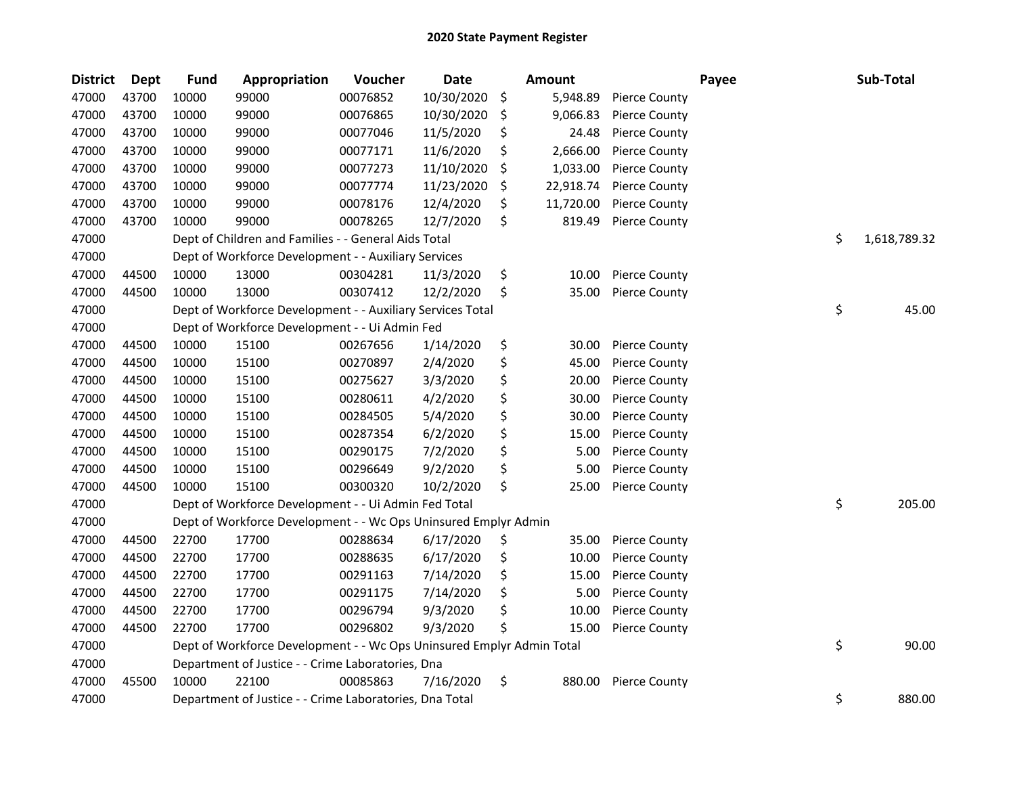| <b>District</b> | <b>Dept</b> | <b>Fund</b> | Appropriation                                                         | Voucher  | <b>Date</b> | Amount          |                      | Payee | Sub-Total          |
|-----------------|-------------|-------------|-----------------------------------------------------------------------|----------|-------------|-----------------|----------------------|-------|--------------------|
| 47000           | 43700       | 10000       | 99000                                                                 | 00076852 | 10/30/2020  | \$<br>5,948.89  | <b>Pierce County</b> |       |                    |
| 47000           | 43700       | 10000       | 99000                                                                 | 00076865 | 10/30/2020  | \$<br>9,066.83  | <b>Pierce County</b> |       |                    |
| 47000           | 43700       | 10000       | 99000                                                                 | 00077046 | 11/5/2020   | \$<br>24.48     | <b>Pierce County</b> |       |                    |
| 47000           | 43700       | 10000       | 99000                                                                 | 00077171 | 11/6/2020   | \$<br>2,666.00  | <b>Pierce County</b> |       |                    |
| 47000           | 43700       | 10000       | 99000                                                                 | 00077273 | 11/10/2020  | \$<br>1,033.00  | <b>Pierce County</b> |       |                    |
| 47000           | 43700       | 10000       | 99000                                                                 | 00077774 | 11/23/2020  | \$<br>22,918.74 | <b>Pierce County</b> |       |                    |
| 47000           | 43700       | 10000       | 99000                                                                 | 00078176 | 12/4/2020   | \$<br>11,720.00 | <b>Pierce County</b> |       |                    |
| 47000           | 43700       | 10000       | 99000                                                                 | 00078265 | 12/7/2020   | \$<br>819.49    | <b>Pierce County</b> |       |                    |
| 47000           |             |             | Dept of Children and Families - - General Aids Total                  |          |             |                 |                      |       | \$<br>1,618,789.32 |
| 47000           |             |             | Dept of Workforce Development - - Auxiliary Services                  |          |             |                 |                      |       |                    |
| 47000           | 44500       | 10000       | 13000                                                                 | 00304281 | 11/3/2020   | \$<br>10.00     | Pierce County        |       |                    |
| 47000           | 44500       | 10000       | 13000                                                                 | 00307412 | 12/2/2020   | \$<br>35.00     | Pierce County        |       |                    |
| 47000           |             |             | Dept of Workforce Development - - Auxiliary Services Total            |          |             |                 |                      |       | \$<br>45.00        |
| 47000           |             |             | Dept of Workforce Development - - Ui Admin Fed                        |          |             |                 |                      |       |                    |
| 47000           | 44500       | 10000       | 15100                                                                 | 00267656 | 1/14/2020   | \$<br>30.00     | <b>Pierce County</b> |       |                    |
| 47000           | 44500       | 10000       | 15100                                                                 | 00270897 | 2/4/2020    | \$<br>45.00     | <b>Pierce County</b> |       |                    |
| 47000           | 44500       | 10000       | 15100                                                                 | 00275627 | 3/3/2020    | \$<br>20.00     | <b>Pierce County</b> |       |                    |
| 47000           | 44500       | 10000       | 15100                                                                 | 00280611 | 4/2/2020    | \$<br>30.00     | <b>Pierce County</b> |       |                    |
| 47000           | 44500       | 10000       | 15100                                                                 | 00284505 | 5/4/2020    | \$<br>30.00     | Pierce County        |       |                    |
| 47000           | 44500       | 10000       | 15100                                                                 | 00287354 | 6/2/2020    | \$<br>15.00     | <b>Pierce County</b> |       |                    |
| 47000           | 44500       | 10000       | 15100                                                                 | 00290175 | 7/2/2020    | \$<br>5.00      | <b>Pierce County</b> |       |                    |
| 47000           | 44500       | 10000       | 15100                                                                 | 00296649 | 9/2/2020    | \$<br>5.00      | <b>Pierce County</b> |       |                    |
| 47000           | 44500       | 10000       | 15100                                                                 | 00300320 | 10/2/2020   | \$<br>25.00     | <b>Pierce County</b> |       |                    |
| 47000           |             |             | Dept of Workforce Development - - Ui Admin Fed Total                  |          |             |                 |                      |       | \$<br>205.00       |
| 47000           |             |             | Dept of Workforce Development - - Wc Ops Uninsured Emplyr Admin       |          |             |                 |                      |       |                    |
| 47000           | 44500       | 22700       | 17700                                                                 | 00288634 | 6/17/2020   | \$<br>35.00     | <b>Pierce County</b> |       |                    |
| 47000           | 44500       | 22700       | 17700                                                                 | 00288635 | 6/17/2020   | \$<br>10.00     | <b>Pierce County</b> |       |                    |
| 47000           | 44500       | 22700       | 17700                                                                 | 00291163 | 7/14/2020   | \$<br>15.00     | <b>Pierce County</b> |       |                    |
| 47000           | 44500       | 22700       | 17700                                                                 | 00291175 | 7/14/2020   | \$<br>5.00      | <b>Pierce County</b> |       |                    |
| 47000           | 44500       | 22700       | 17700                                                                 | 00296794 | 9/3/2020    | \$<br>10.00     | <b>Pierce County</b> |       |                    |
| 47000           | 44500       | 22700       | 17700                                                                 | 00296802 | 9/3/2020    | \$<br>15.00     | <b>Pierce County</b> |       |                    |
| 47000           |             |             | Dept of Workforce Development - - Wc Ops Uninsured Emplyr Admin Total |          |             |                 |                      |       | \$<br>90.00        |
| 47000           |             |             | Department of Justice - - Crime Laboratories, Dna                     |          |             |                 |                      |       |                    |
| 47000           | 45500       | 10000       | 22100                                                                 | 00085863 | 7/16/2020   | \$<br>880.00    | <b>Pierce County</b> |       |                    |
| 47000           |             |             | Department of Justice - - Crime Laboratories, Dna Total               |          |             |                 |                      |       | \$<br>880.00       |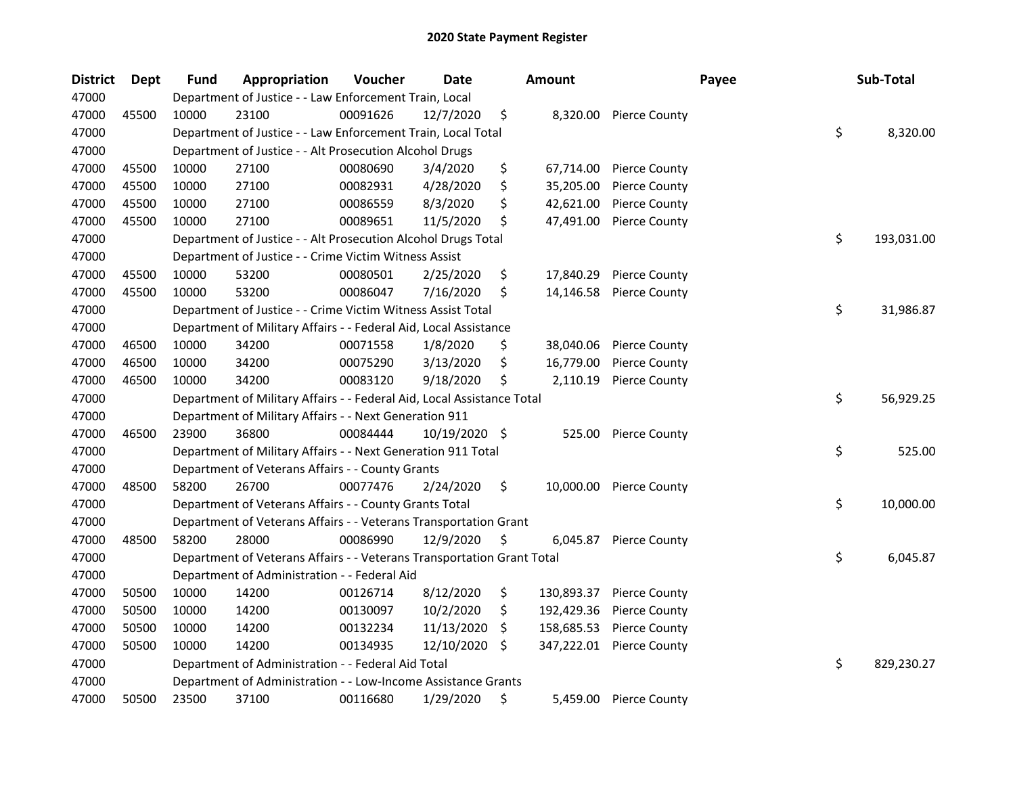| <b>District</b> | Dept  | <b>Fund</b> | Appropriation                                                          | Voucher  | Date       | <b>Amount</b>    |                         | Payee | Sub-Total        |
|-----------------|-------|-------------|------------------------------------------------------------------------|----------|------------|------------------|-------------------------|-------|------------------|
| 47000           |       |             | Department of Justice - - Law Enforcement Train, Local                 |          |            |                  |                         |       |                  |
| 47000           | 45500 | 10000       | 23100                                                                  | 00091626 | 12/7/2020  | \$               | 8,320.00 Pierce County  |       |                  |
| 47000           |       |             | Department of Justice - - Law Enforcement Train, Local Total           |          |            |                  |                         |       | \$<br>8,320.00   |
| 47000           |       |             | Department of Justice - - Alt Prosecution Alcohol Drugs                |          |            |                  |                         |       |                  |
| 47000           | 45500 | 10000       | 27100                                                                  | 00080690 | 3/4/2020   | \$<br>67,714.00  | <b>Pierce County</b>    |       |                  |
| 47000           | 45500 | 10000       | 27100                                                                  | 00082931 | 4/28/2020  | \$<br>35,205.00  | Pierce County           |       |                  |
| 47000           | 45500 | 10000       | 27100                                                                  | 00086559 | 8/3/2020   | \$<br>42,621.00  | <b>Pierce County</b>    |       |                  |
| 47000           | 45500 | 10000       | 27100                                                                  | 00089651 | 11/5/2020  | \$<br>47,491.00  | <b>Pierce County</b>    |       |                  |
| 47000           |       |             | Department of Justice - - Alt Prosecution Alcohol Drugs Total          |          |            |                  |                         |       | \$<br>193,031.00 |
| 47000           |       |             | Department of Justice - - Crime Victim Witness Assist                  |          |            |                  |                         |       |                  |
| 47000           | 45500 | 10000       | 53200                                                                  | 00080501 | 2/25/2020  | \$<br>17,840.29  | <b>Pierce County</b>    |       |                  |
| 47000           | 45500 | 10000       | 53200                                                                  | 00086047 | 7/16/2020  | \$<br>14,146.58  | <b>Pierce County</b>    |       |                  |
| 47000           |       |             | Department of Justice - - Crime Victim Witness Assist Total            |          |            |                  |                         |       | \$<br>31,986.87  |
| 47000           |       |             | Department of Military Affairs - - Federal Aid, Local Assistance       |          |            |                  |                         |       |                  |
| 47000           | 46500 | 10000       | 34200                                                                  | 00071558 | 1/8/2020   | \$<br>38,040.06  | <b>Pierce County</b>    |       |                  |
| 47000           | 46500 | 10000       | 34200                                                                  | 00075290 | 3/13/2020  | \$<br>16,779.00  | <b>Pierce County</b>    |       |                  |
| 47000           | 46500 | 10000       | 34200                                                                  | 00083120 | 9/18/2020  | \$<br>2,110.19   | <b>Pierce County</b>    |       |                  |
| 47000           |       |             | Department of Military Affairs - - Federal Aid, Local Assistance Total |          |            |                  |                         |       | \$<br>56,929.25  |
| 47000           |       |             | Department of Military Affairs - - Next Generation 911                 |          |            |                  |                         |       |                  |
| 47000           | 46500 | 23900       | 36800                                                                  | 00084444 | 10/19/2020 | \$<br>525.00     | <b>Pierce County</b>    |       |                  |
| 47000           |       |             | Department of Military Affairs - - Next Generation 911 Total           |          |            |                  |                         |       | \$<br>525.00     |
| 47000           |       |             | Department of Veterans Affairs - - County Grants                       |          |            |                  |                         |       |                  |
| 47000           | 48500 | 58200       | 26700                                                                  | 00077476 | 2/24/2020  | \$               | 10,000.00 Pierce County |       |                  |
| 47000           |       |             | Department of Veterans Affairs - - County Grants Total                 |          |            |                  |                         |       | \$<br>10,000.00  |
| 47000           |       |             | Department of Veterans Affairs - - Veterans Transportation Grant       |          |            |                  |                         |       |                  |
| 47000           | 48500 | 58200       | 28000                                                                  | 00086990 | 12/9/2020  | \$<br>6,045.87   | <b>Pierce County</b>    |       |                  |
| 47000           |       |             | Department of Veterans Affairs - - Veterans Transportation Grant Total |          |            |                  |                         |       | \$<br>6,045.87   |
| 47000           |       |             | Department of Administration - - Federal Aid                           |          |            |                  |                         |       |                  |
| 47000           | 50500 | 10000       | 14200                                                                  | 00126714 | 8/12/2020  | \$<br>130,893.37 | <b>Pierce County</b>    |       |                  |
| 47000           | 50500 | 10000       | 14200                                                                  | 00130097 | 10/2/2020  | \$<br>192,429.36 | <b>Pierce County</b>    |       |                  |
| 47000           | 50500 | 10000       | 14200                                                                  | 00132234 | 11/13/2020 | \$<br>158,685.53 | <b>Pierce County</b>    |       |                  |
| 47000           | 50500 | 10000       | 14200                                                                  | 00134935 | 12/10/2020 | \$<br>347,222.01 | <b>Pierce County</b>    |       |                  |
| 47000           |       |             | Department of Administration - - Federal Aid Total                     |          |            |                  |                         |       | \$<br>829,230.27 |
| 47000           |       |             | Department of Administration - - Low-Income Assistance Grants          |          |            |                  |                         |       |                  |
| 47000           | 50500 | 23500       | 37100                                                                  | 00116680 | 1/29/2020  | \$<br>5,459.00   | <b>Pierce County</b>    |       |                  |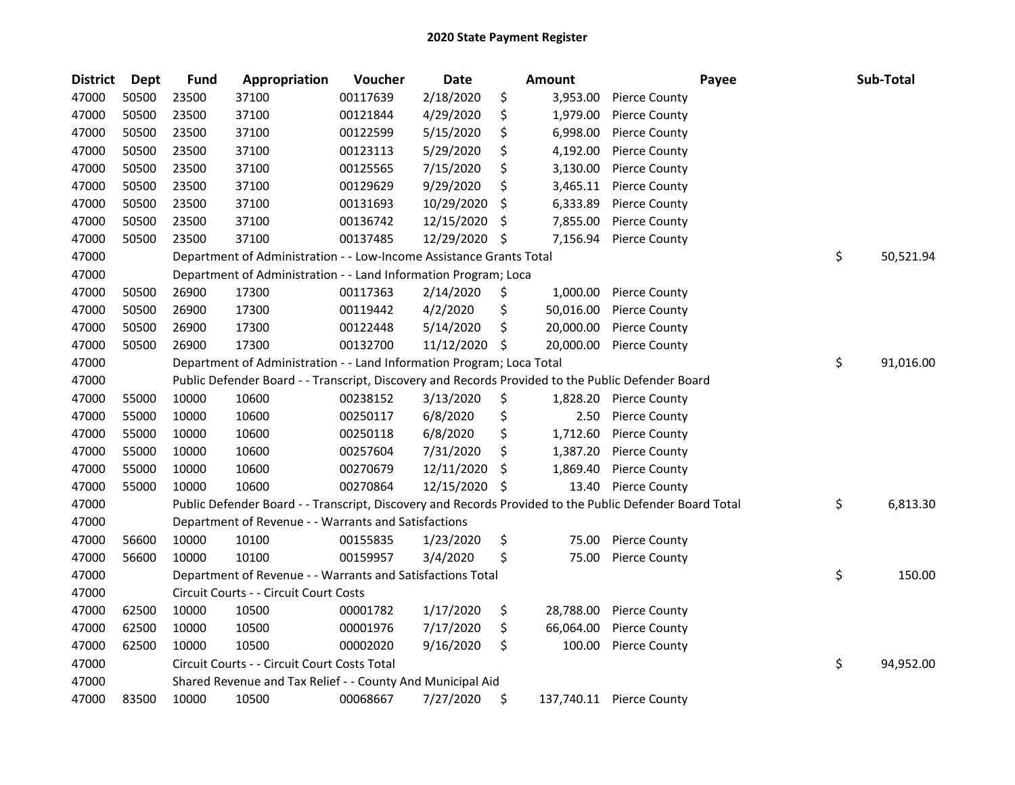| <b>District</b> | <b>Dept</b> | <b>Fund</b> | Appropriation                                                                                     | Voucher  | <b>Date</b> |    | Amount    | Payee                                                                                                   | Sub-Total       |
|-----------------|-------------|-------------|---------------------------------------------------------------------------------------------------|----------|-------------|----|-----------|---------------------------------------------------------------------------------------------------------|-----------------|
| 47000           | 50500       | 23500       | 37100                                                                                             | 00117639 | 2/18/2020   | \$ | 3,953.00  | <b>Pierce County</b>                                                                                    |                 |
| 47000           | 50500       | 23500       | 37100                                                                                             | 00121844 | 4/29/2020   | \$ | 1,979.00  | <b>Pierce County</b>                                                                                    |                 |
| 47000           | 50500       | 23500       | 37100                                                                                             | 00122599 | 5/15/2020   | \$ | 6,998.00  | <b>Pierce County</b>                                                                                    |                 |
| 47000           | 50500       | 23500       | 37100                                                                                             | 00123113 | 5/29/2020   | \$ | 4,192.00  | <b>Pierce County</b>                                                                                    |                 |
| 47000           | 50500       | 23500       | 37100                                                                                             | 00125565 | 7/15/2020   | \$ | 3,130.00  | <b>Pierce County</b>                                                                                    |                 |
| 47000           | 50500       | 23500       | 37100                                                                                             | 00129629 | 9/29/2020   | \$ | 3,465.11  | <b>Pierce County</b>                                                                                    |                 |
| 47000           | 50500       | 23500       | 37100                                                                                             | 00131693 | 10/29/2020  | \$ | 6,333.89  | <b>Pierce County</b>                                                                                    |                 |
| 47000           | 50500       | 23500       | 37100                                                                                             | 00136742 | 12/15/2020  | S  | 7,855.00  | <b>Pierce County</b>                                                                                    |                 |
| 47000           | 50500       | 23500       | 37100                                                                                             | 00137485 | 12/29/2020  | \$ | 7,156.94  | <b>Pierce County</b>                                                                                    |                 |
| 47000           |             |             | Department of Administration - - Low-Income Assistance Grants Total                               |          |             |    |           |                                                                                                         | \$<br>50,521.94 |
| 47000           |             |             | Department of Administration - - Land Information Program; Loca                                   |          |             |    |           |                                                                                                         |                 |
| 47000           | 50500       | 26900       | 17300                                                                                             | 00117363 | 2/14/2020   | \$ | 1,000.00  | <b>Pierce County</b>                                                                                    |                 |
| 47000           | 50500       | 26900       | 17300                                                                                             | 00119442 | 4/2/2020    | \$ | 50,016.00 | <b>Pierce County</b>                                                                                    |                 |
| 47000           | 50500       | 26900       | 17300                                                                                             | 00122448 | 5/14/2020   | \$ | 20,000.00 | <b>Pierce County</b>                                                                                    |                 |
| 47000           | 50500       | 26900       | 17300                                                                                             | 00132700 | 11/12/2020  | \$ | 20,000.00 | <b>Pierce County</b>                                                                                    |                 |
| 47000           |             |             | Department of Administration - - Land Information Program; Loca Total                             |          |             |    |           |                                                                                                         | \$<br>91,016.00 |
| 47000           |             |             | Public Defender Board - - Transcript, Discovery and Records Provided to the Public Defender Board |          |             |    |           |                                                                                                         |                 |
| 47000           | 55000       | 10000       | 10600                                                                                             | 00238152 | 3/13/2020   | \$ | 1,828.20  | <b>Pierce County</b>                                                                                    |                 |
| 47000           | 55000       | 10000       | 10600                                                                                             | 00250117 | 6/8/2020    | \$ | 2.50      | <b>Pierce County</b>                                                                                    |                 |
| 47000           | 55000       | 10000       | 10600                                                                                             | 00250118 | 6/8/2020    | \$ | 1,712.60  | <b>Pierce County</b>                                                                                    |                 |
| 47000           | 55000       | 10000       | 10600                                                                                             | 00257604 | 7/31/2020   | \$ | 1,387.20  | <b>Pierce County</b>                                                                                    |                 |
| 47000           | 55000       | 10000       | 10600                                                                                             | 00270679 | 12/11/2020  | S  | 1,869.40  | <b>Pierce County</b>                                                                                    |                 |
| 47000           | 55000       | 10000       | 10600                                                                                             | 00270864 | 12/15/2020  | \$ | 13.40     | <b>Pierce County</b>                                                                                    |                 |
| 47000           |             |             |                                                                                                   |          |             |    |           | Public Defender Board - - Transcript, Discovery and Records Provided to the Public Defender Board Total | \$<br>6,813.30  |
| 47000           |             |             | Department of Revenue - - Warrants and Satisfactions                                              |          |             |    |           |                                                                                                         |                 |
| 47000           | 56600       | 10000       | 10100                                                                                             | 00155835 | 1/23/2020   | \$ | 75.00     | Pierce County                                                                                           |                 |
| 47000           | 56600       | 10000       | 10100                                                                                             | 00159957 | 3/4/2020    | \$ | 75.00     | <b>Pierce County</b>                                                                                    |                 |
| 47000           |             |             | Department of Revenue - - Warrants and Satisfactions Total                                        |          |             |    |           |                                                                                                         | \$<br>150.00    |
| 47000           |             |             | Circuit Courts - - Circuit Court Costs                                                            |          |             |    |           |                                                                                                         |                 |
| 47000           | 62500       | 10000       | 10500                                                                                             | 00001782 | 1/17/2020   | \$ | 28,788.00 | <b>Pierce County</b>                                                                                    |                 |
| 47000           | 62500       | 10000       | 10500                                                                                             | 00001976 | 7/17/2020   | \$ | 66,064.00 | <b>Pierce County</b>                                                                                    |                 |
| 47000           | 62500       | 10000       | 10500                                                                                             | 00002020 | 9/16/2020   | \$ | 100.00    | <b>Pierce County</b>                                                                                    |                 |
| 47000           |             |             | Circuit Courts - - Circuit Court Costs Total                                                      |          |             |    |           |                                                                                                         | \$<br>94,952.00 |
| 47000           |             |             | Shared Revenue and Tax Relief - - County And Municipal Aid                                        |          |             |    |           |                                                                                                         |                 |
| 47000           | 83500       | 10000       | 10500                                                                                             | 00068667 | 7/27/2020   | \$ |           | 137,740.11 Pierce County                                                                                |                 |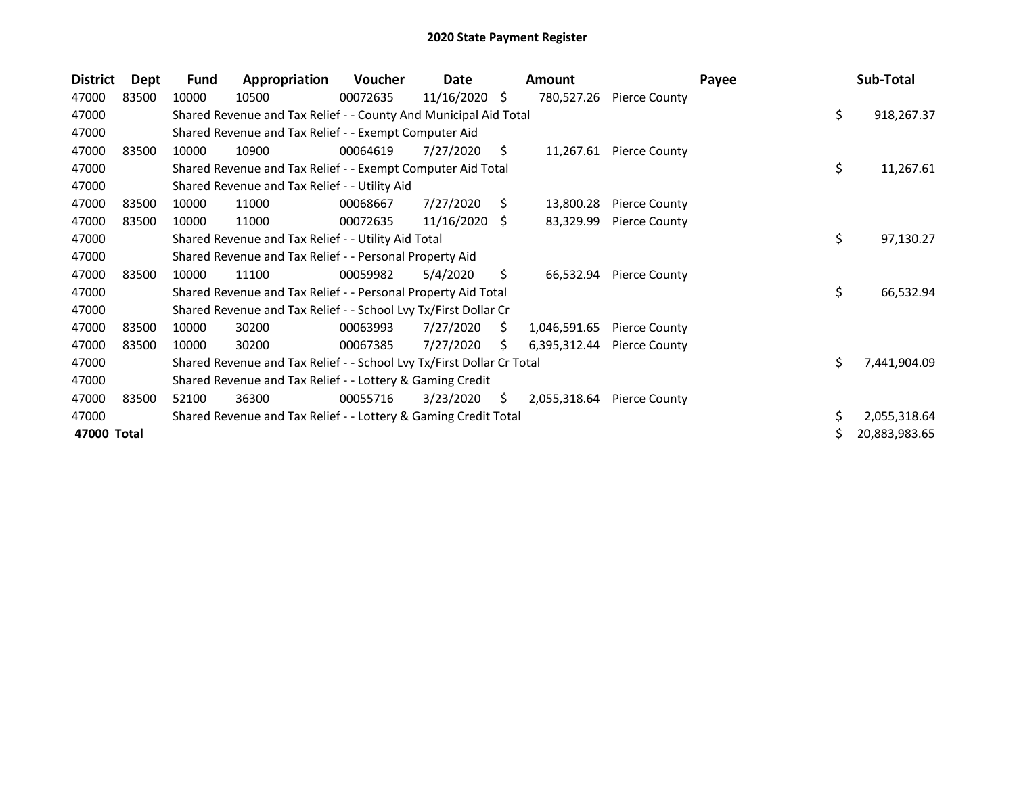| <b>District</b> | Dept  | <b>Fund</b> | Appropriation                                                         | <b>Voucher</b> | Date            |    | Amount       |                      | Payee |     | Sub-Total     |
|-----------------|-------|-------------|-----------------------------------------------------------------------|----------------|-----------------|----|--------------|----------------------|-------|-----|---------------|
| 47000           | 83500 | 10000       | 10500                                                                 | 00072635       | $11/16/2020$ \$ |    | 780,527.26   | <b>Pierce County</b> |       |     |               |
| 47000           |       |             | Shared Revenue and Tax Relief - - County And Municipal Aid Total      |                |                 |    |              |                      |       | \$  | 918,267.37    |
| 47000           |       |             | Shared Revenue and Tax Relief - - Exempt Computer Aid                 |                |                 |    |              |                      |       |     |               |
| 47000           | 83500 | 10000       | 10900                                                                 | 00064619       | 7/27/2020       | S  | 11,267.61    | <b>Pierce County</b> |       |     |               |
| 47000           |       |             | Shared Revenue and Tax Relief - - Exempt Computer Aid Total           |                |                 |    |              |                      |       | \$  | 11,267.61     |
| 47000           |       |             | Shared Revenue and Tax Relief - - Utility Aid                         |                |                 |    |              |                      |       |     |               |
| 47000           | 83500 | 10000       | 11000                                                                 | 00068667       | 7/27/2020       | S. | 13,800.28    | <b>Pierce County</b> |       |     |               |
| 47000           | 83500 | 10000       | 11000                                                                 | 00072635       | 11/16/2020      | -S | 83,329.99    | <b>Pierce County</b> |       |     |               |
| 47000           |       |             | Shared Revenue and Tax Relief - - Utility Aid Total                   |                |                 |    |              |                      |       | \$. | 97,130.27     |
| 47000           |       |             | Shared Revenue and Tax Relief - - Personal Property Aid               |                |                 |    |              |                      |       |     |               |
| 47000           | 83500 | 10000       | 11100                                                                 | 00059982       | 5/4/2020        | S. | 66,532.94    | <b>Pierce County</b> |       |     |               |
| 47000           |       |             | Shared Revenue and Tax Relief - - Personal Property Aid Total         |                |                 |    |              |                      |       | \$  | 66,532.94     |
| 47000           |       |             | Shared Revenue and Tax Relief - - School Lvy Tx/First Dollar Cr       |                |                 |    |              |                      |       |     |               |
| 47000           | 83500 | 10000       | 30200                                                                 | 00063993       | 7/27/2020       | S. | 1,046,591.65 | <b>Pierce County</b> |       |     |               |
| 47000           | 83500 | 10000       | 30200                                                                 | 00067385       | 7/27/2020       | S. | 6,395,312.44 | <b>Pierce County</b> |       |     |               |
| 47000           |       |             | Shared Revenue and Tax Relief - - School Lvy Tx/First Dollar Cr Total |                |                 |    |              |                      |       | \$  | 7,441,904.09  |
| 47000           |       |             | Shared Revenue and Tax Relief - - Lottery & Gaming Credit             |                |                 |    |              |                      |       |     |               |
| 47000           | 83500 | 52100       | 36300                                                                 | 00055716       | 3/23/2020       | S. | 2,055,318.64 | Pierce County        |       |     |               |
| 47000           |       |             | Shared Revenue and Tax Relief - - Lottery & Gaming Credit Total       |                |                 |    |              |                      |       | \$. | 2,055,318.64  |
| 47000 Total     |       |             |                                                                       |                |                 |    |              |                      |       |     | 20,883,983.65 |
|                 |       |             |                                                                       |                |                 |    |              |                      |       |     |               |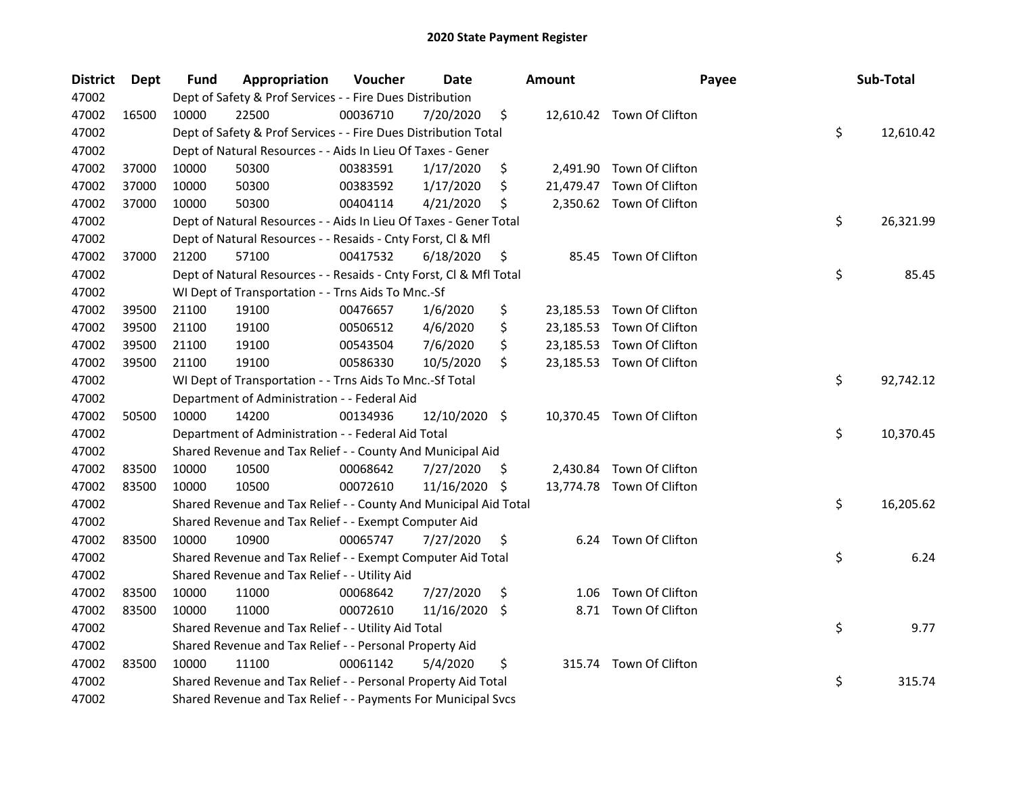| <b>District</b> | Dept  | Fund  | Appropriation                                                      | Voucher  | <b>Date</b>   |     | <b>Amount</b> | Payee                     | Sub-Total       |
|-----------------|-------|-------|--------------------------------------------------------------------|----------|---------------|-----|---------------|---------------------------|-----------------|
| 47002           |       |       | Dept of Safety & Prof Services - - Fire Dues Distribution          |          |               |     |               |                           |                 |
| 47002           | 16500 | 10000 | 22500                                                              | 00036710 | 7/20/2020     | \$  |               | 12,610.42 Town Of Clifton |                 |
| 47002           |       |       | Dept of Safety & Prof Services - - Fire Dues Distribution Total    |          |               |     |               |                           | \$<br>12,610.42 |
| 47002           |       |       | Dept of Natural Resources - - Aids In Lieu Of Taxes - Gener        |          |               |     |               |                           |                 |
| 47002           | 37000 | 10000 | 50300                                                              | 00383591 | 1/17/2020     | \$  |               | 2,491.90 Town Of Clifton  |                 |
| 47002           | 37000 | 10000 | 50300                                                              | 00383592 | 1/17/2020     | \$  |               | 21,479.47 Town Of Clifton |                 |
| 47002           | 37000 | 10000 | 50300                                                              | 00404114 | 4/21/2020     | \$  |               | 2,350.62 Town Of Clifton  |                 |
| 47002           |       |       | Dept of Natural Resources - - Aids In Lieu Of Taxes - Gener Total  |          |               |     |               |                           | \$<br>26,321.99 |
| 47002           |       |       | Dept of Natural Resources - - Resaids - Cnty Forst, CI & Mfl       |          |               |     |               |                           |                 |
| 47002           | 37000 | 21200 | 57100                                                              | 00417532 | 6/18/2020     | \$  |               | 85.45 Town Of Clifton     |                 |
| 47002           |       |       | Dept of Natural Resources - - Resaids - Cnty Forst, Cl & Mfl Total |          |               |     |               |                           | \$<br>85.45     |
| 47002           |       |       | WI Dept of Transportation - - Trns Aids To Mnc.-Sf                 |          |               |     |               |                           |                 |
| 47002           | 39500 | 21100 | 19100                                                              | 00476657 | 1/6/2020      | \$  |               | 23,185.53 Town Of Clifton |                 |
| 47002           | 39500 | 21100 | 19100                                                              | 00506512 | 4/6/2020      | \$  |               | 23,185.53 Town Of Clifton |                 |
| 47002           | 39500 | 21100 | 19100                                                              | 00543504 | 7/6/2020      | \$  |               | 23,185.53 Town Of Clifton |                 |
| 47002           | 39500 | 21100 | 19100                                                              | 00586330 | 10/5/2020     | \$  |               | 23,185.53 Town Of Clifton |                 |
| 47002           |       |       | WI Dept of Transportation - - Trns Aids To Mnc.-Sf Total           |          |               |     |               |                           | \$<br>92,742.12 |
| 47002           |       |       | Department of Administration - - Federal Aid                       |          |               |     |               |                           |                 |
| 47002           | 50500 | 10000 | 14200                                                              | 00134936 | 12/10/2020 \$ |     |               | 10,370.45 Town Of Clifton |                 |
| 47002           |       |       | Department of Administration - - Federal Aid Total                 |          |               |     |               |                           | \$<br>10,370.45 |
| 47002           |       |       | Shared Revenue and Tax Relief - - County And Municipal Aid         |          |               |     |               |                           |                 |
| 47002           | 83500 | 10000 | 10500                                                              | 00068642 | 7/27/2020     | \$  | 2,430.84      | Town Of Clifton           |                 |
| 47002           | 83500 | 10000 | 10500                                                              | 00072610 | 11/16/2020    | \$. |               | 13,774.78 Town Of Clifton |                 |
| 47002           |       |       | Shared Revenue and Tax Relief - - County And Municipal Aid Total   |          |               |     |               |                           | \$<br>16,205.62 |
| 47002           |       |       | Shared Revenue and Tax Relief - - Exempt Computer Aid              |          |               |     |               |                           |                 |
| 47002           | 83500 | 10000 | 10900                                                              | 00065747 | 7/27/2020     | \$  |               | 6.24 Town Of Clifton      |                 |
| 47002           |       |       | Shared Revenue and Tax Relief - - Exempt Computer Aid Total        |          |               |     |               |                           | \$<br>6.24      |
| 47002           |       |       | Shared Revenue and Tax Relief - - Utility Aid                      |          |               |     |               |                           |                 |
| 47002           | 83500 | 10000 | 11000                                                              | 00068642 | 7/27/2020     | \$  | 1.06          | Town Of Clifton           |                 |
| 47002           | 83500 | 10000 | 11000                                                              | 00072610 | 11/16/2020    | \$  |               | 8.71 Town Of Clifton      |                 |
| 47002           |       |       | Shared Revenue and Tax Relief - - Utility Aid Total                |          |               |     |               |                           | \$<br>9.77      |
| 47002           |       |       | Shared Revenue and Tax Relief - - Personal Property Aid            |          |               |     |               |                           |                 |
| 47002           | 83500 | 10000 | 11100                                                              | 00061142 | 5/4/2020      | \$  |               | 315.74 Town Of Clifton    |                 |
| 47002           |       |       | Shared Revenue and Tax Relief - - Personal Property Aid Total      |          |               |     |               |                           | \$<br>315.74    |
| 47002           |       |       | Shared Revenue and Tax Relief - - Payments For Municipal Svcs      |          |               |     |               |                           |                 |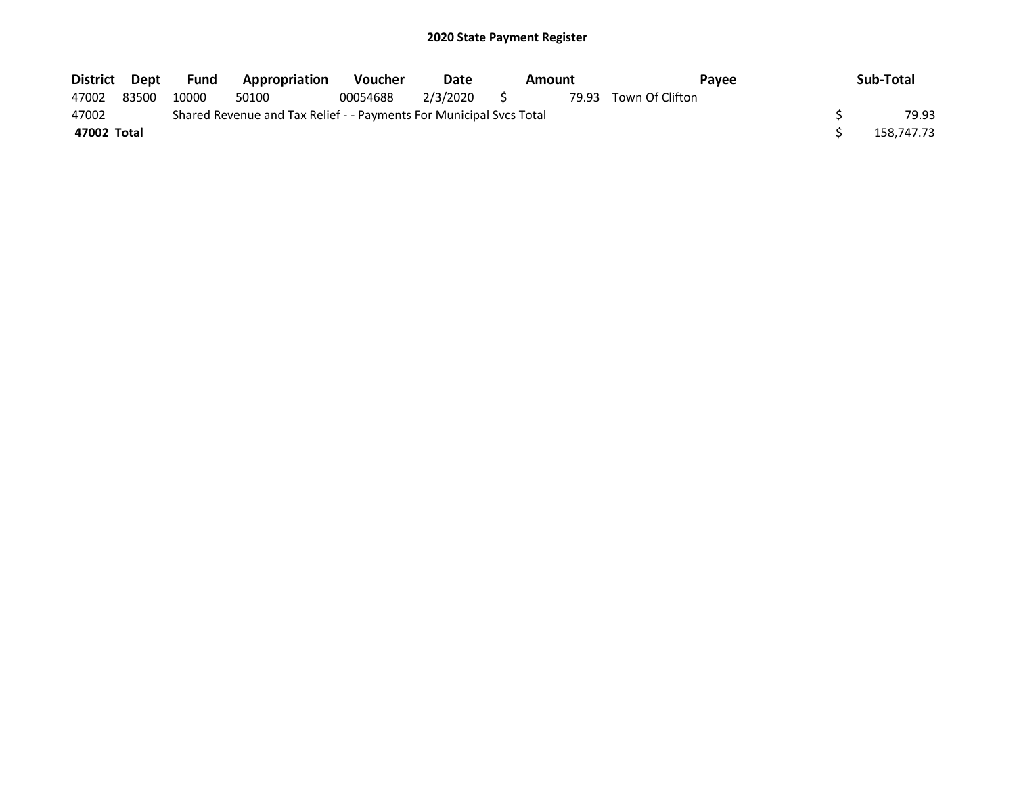| District Dept |       | Fund  | Appropriation                                                       | Voucher  | Date<br>Amount |  | <b>Pavee</b>          | Sub-Total  |
|---------------|-------|-------|---------------------------------------------------------------------|----------|----------------|--|-----------------------|------------|
| 47002         | 83500 | 10000 | 50100                                                               | 00054688 | 2/3/2020 \$    |  | 79.93 Town Of Clifton |            |
| 47002         |       |       | Shared Revenue and Tax Relief - - Payments For Municipal Svcs Total |          |                |  |                       | 79.93      |
| 47002 Total   |       |       |                                                                     |          |                |  |                       | 158.747.73 |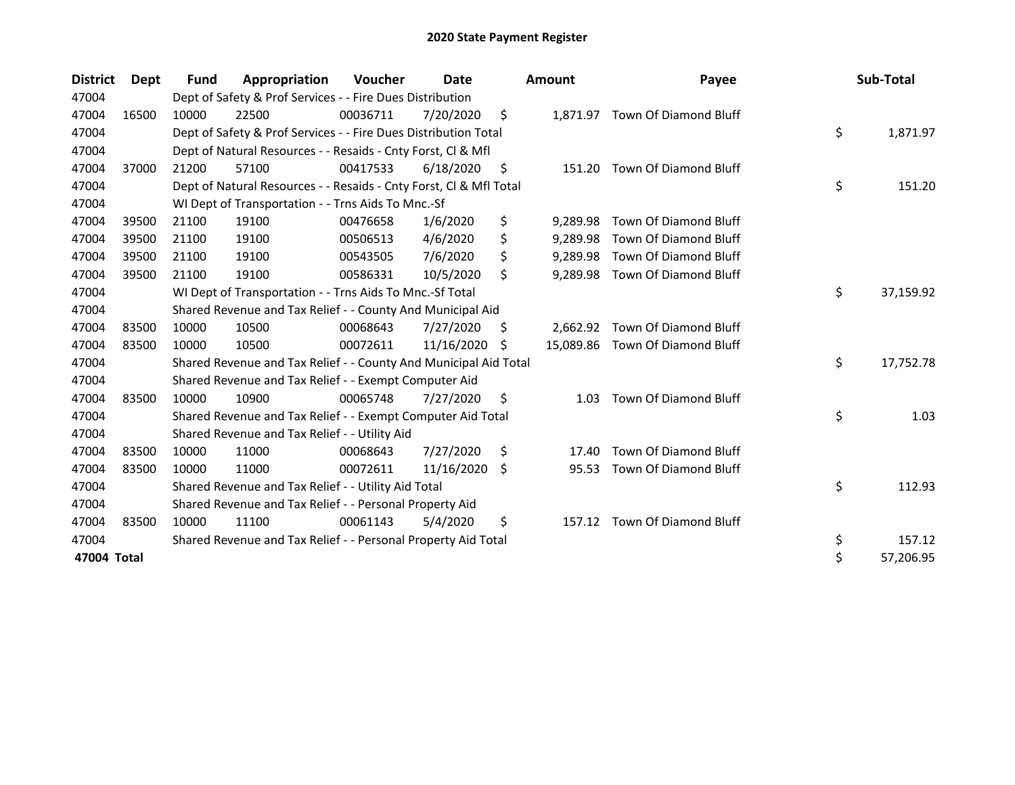| <b>District</b> | <b>Dept</b> | Fund  | Appropriation                                                      | <b>Voucher</b> | Date       |     | <b>Amount</b> | Payee                           | Sub-Total       |
|-----------------|-------------|-------|--------------------------------------------------------------------|----------------|------------|-----|---------------|---------------------------------|-----------------|
| 47004           |             |       | Dept of Safety & Prof Services - - Fire Dues Distribution          |                |            |     |               |                                 |                 |
| 47004           | 16500       | 10000 | 22500                                                              | 00036711       | 7/20/2020  | \$  |               | 1,871.97 Town Of Diamond Bluff  |                 |
| 47004           |             |       | Dept of Safety & Prof Services - - Fire Dues Distribution Total    |                |            |     |               |                                 | \$<br>1,871.97  |
| 47004           |             |       | Dept of Natural Resources - - Resaids - Cnty Forst, Cl & Mfl       |                |            |     |               |                                 |                 |
| 47004           | 37000       | 21200 | 57100                                                              | 00417533       | 6/18/2020  | \$  | 151.20        | Town Of Diamond Bluff           |                 |
| 47004           |             |       | Dept of Natural Resources - - Resaids - Cnty Forst, Cl & Mfl Total |                |            |     |               |                                 | \$<br>151.20    |
| 47004           |             |       | WI Dept of Transportation - - Trns Aids To Mnc.-Sf                 |                |            |     |               |                                 |                 |
| 47004           | 39500       | 21100 | 19100                                                              | 00476658       | 1/6/2020   | \$  | 9,289.98      | Town Of Diamond Bluff           |                 |
| 47004           | 39500       | 21100 | 19100                                                              | 00506513       | 4/6/2020   | \$  | 9,289.98      | Town Of Diamond Bluff           |                 |
| 47004           | 39500       | 21100 | 19100                                                              | 00543505       | 7/6/2020   | \$  | 9.289.98      | Town Of Diamond Bluff           |                 |
| 47004           | 39500       | 21100 | 19100                                                              | 00586331       | 10/5/2020  | \$  | 9,289.98      | Town Of Diamond Bluff           |                 |
| 47004           |             |       | WI Dept of Transportation - - Trns Aids To Mnc.-Sf Total           |                |            |     |               |                                 | \$<br>37,159.92 |
| 47004           |             |       | Shared Revenue and Tax Relief - - County And Municipal Aid         |                |            |     |               |                                 |                 |
| 47004           | 83500       | 10000 | 10500                                                              | 00068643       | 7/27/2020  | \$. | 2,662.92      | Town Of Diamond Bluff           |                 |
| 47004           | 83500       | 10000 | 10500                                                              | 00072611       | 11/16/2020 | S   |               | 15,089.86 Town Of Diamond Bluff |                 |
| 47004           |             |       | Shared Revenue and Tax Relief - - County And Municipal Aid Total   |                |            |     |               |                                 | \$<br>17,752.78 |
| 47004           |             |       | Shared Revenue and Tax Relief - - Exempt Computer Aid              |                |            |     |               |                                 |                 |
| 47004           | 83500       | 10000 | 10900                                                              | 00065748       | 7/27/2020  | \$  | 1.03          | Town Of Diamond Bluff           |                 |
| 47004           |             |       | Shared Revenue and Tax Relief - - Exempt Computer Aid Total        |                |            |     |               |                                 | \$<br>1.03      |
| 47004           |             |       | Shared Revenue and Tax Relief - - Utility Aid                      |                |            |     |               |                                 |                 |
| 47004           | 83500       | 10000 | 11000                                                              | 00068643       | 7/27/2020  | \$  | 17.40         | Town Of Diamond Bluff           |                 |
| 47004           | 83500       | 10000 | 11000                                                              | 00072611       | 11/16/2020 | S.  | 95.53         | Town Of Diamond Bluff           |                 |
| 47004           |             |       | Shared Revenue and Tax Relief - - Utility Aid Total                |                |            |     |               |                                 | \$<br>112.93    |
| 47004           |             |       | Shared Revenue and Tax Relief - - Personal Property Aid            |                |            |     |               |                                 |                 |
| 47004           | 83500       | 10000 | 11100                                                              | 00061143       | 5/4/2020   | \$  | 157.12        | Town Of Diamond Bluff           |                 |
| 47004           |             |       | Shared Revenue and Tax Relief - - Personal Property Aid Total      |                |            |     |               |                                 | \$<br>157.12    |
| 47004 Total     |             |       |                                                                    |                |            |     |               |                                 | \$<br>57,206.95 |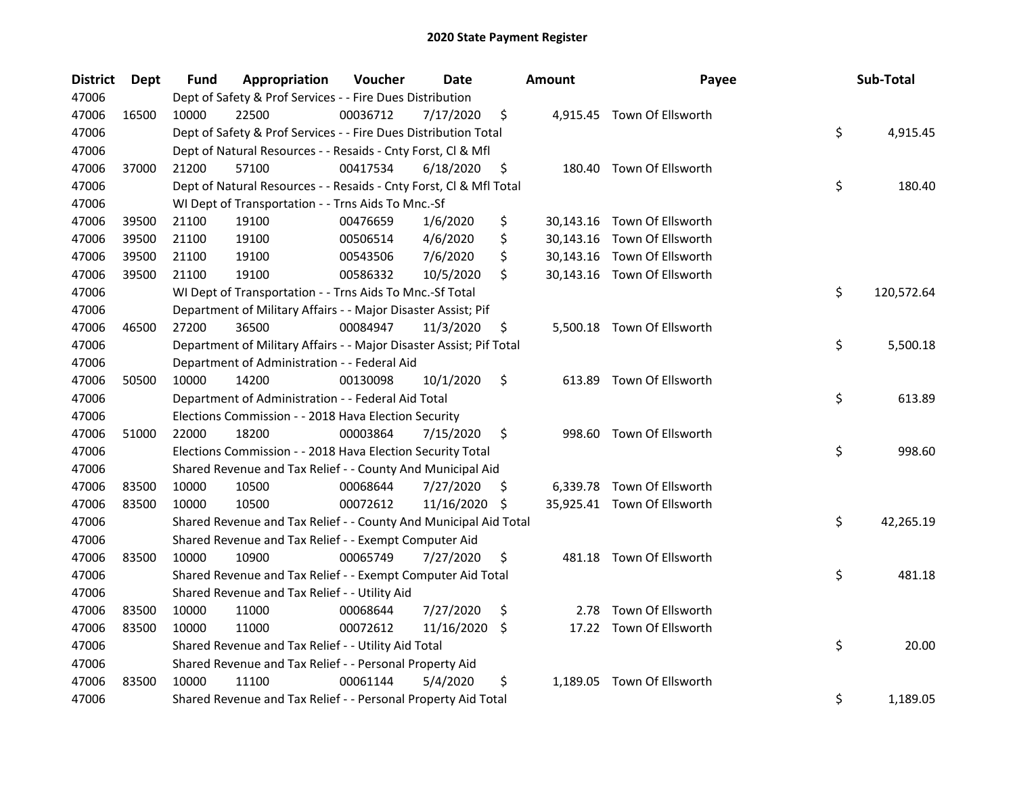| <b>District</b> | Dept  | <b>Fund</b> | Appropriation                                                       | Voucher  | Date       |     | <b>Amount</b> | Payee                       | Sub-Total        |
|-----------------|-------|-------------|---------------------------------------------------------------------|----------|------------|-----|---------------|-----------------------------|------------------|
| 47006           |       |             | Dept of Safety & Prof Services - - Fire Dues Distribution           |          |            |     |               |                             |                  |
| 47006           | 16500 | 10000       | 22500                                                               | 00036712 | 7/17/2020  | \$  |               | 4,915.45 Town Of Ellsworth  |                  |
| 47006           |       |             | Dept of Safety & Prof Services - - Fire Dues Distribution Total     |          |            |     |               |                             | \$<br>4,915.45   |
| 47006           |       |             | Dept of Natural Resources - - Resaids - Cnty Forst, Cl & Mfl        |          |            |     |               |                             |                  |
| 47006           | 37000 | 21200       | 57100                                                               | 00417534 | 6/18/2020  | \$  |               | 180.40 Town Of Ellsworth    |                  |
| 47006           |       |             | Dept of Natural Resources - - Resaids - Cnty Forst, Cl & Mfl Total  |          |            |     |               |                             | \$<br>180.40     |
| 47006           |       |             | WI Dept of Transportation - - Trns Aids To Mnc.-Sf                  |          |            |     |               |                             |                  |
| 47006           | 39500 | 21100       | 19100                                                               | 00476659 | 1/6/2020   | \$  |               | 30,143.16 Town Of Ellsworth |                  |
| 47006           | 39500 | 21100       | 19100                                                               | 00506514 | 4/6/2020   | \$  |               | 30,143.16 Town Of Ellsworth |                  |
| 47006           | 39500 | 21100       | 19100                                                               | 00543506 | 7/6/2020   | \$  |               | 30,143.16 Town Of Ellsworth |                  |
| 47006           | 39500 | 21100       | 19100                                                               | 00586332 | 10/5/2020  | \$  |               | 30,143.16 Town Of Ellsworth |                  |
| 47006           |       |             | WI Dept of Transportation - - Trns Aids To Mnc.-Sf Total            |          |            |     |               |                             | \$<br>120,572.64 |
| 47006           |       |             | Department of Military Affairs - - Major Disaster Assist; Pif       |          |            |     |               |                             |                  |
| 47006           | 46500 | 27200       | 36500                                                               | 00084947 | 11/3/2020  | \$, |               | 5,500.18 Town Of Ellsworth  |                  |
| 47006           |       |             | Department of Military Affairs - - Major Disaster Assist; Pif Total |          |            |     |               |                             | \$<br>5,500.18   |
| 47006           |       |             | Department of Administration - - Federal Aid                        |          |            |     |               |                             |                  |
| 47006           | 50500 | 10000       | 14200                                                               | 00130098 | 10/1/2020  | \$  | 613.89        | Town Of Ellsworth           |                  |
| 47006           |       |             | Department of Administration - - Federal Aid Total                  |          |            |     |               |                             | \$<br>613.89     |
| 47006           |       |             | Elections Commission - - 2018 Hava Election Security                |          |            |     |               |                             |                  |
| 47006           | 51000 | 22000       | 18200                                                               | 00003864 | 7/15/2020  | \$  | 998.60        | Town Of Ellsworth           |                  |
| 47006           |       |             | Elections Commission - - 2018 Hava Election Security Total          |          |            |     |               |                             | \$<br>998.60     |
| 47006           |       |             | Shared Revenue and Tax Relief - - County And Municipal Aid          |          |            |     |               |                             |                  |
| 47006           | 83500 | 10000       | 10500                                                               | 00068644 | 7/27/2020  | Ş   |               | 6,339.78 Town Of Ellsworth  |                  |
| 47006           | 83500 | 10000       | 10500                                                               | 00072612 | 11/16/2020 | \$  |               | 35,925.41 Town Of Ellsworth |                  |
| 47006           |       |             | Shared Revenue and Tax Relief - - County And Municipal Aid Total    |          |            |     |               |                             | \$<br>42,265.19  |
| 47006           |       |             | Shared Revenue and Tax Relief - - Exempt Computer Aid               |          |            |     |               |                             |                  |
| 47006           | 83500 | 10000       | 10900                                                               | 00065749 | 7/27/2020  | \$  |               | 481.18 Town Of Ellsworth    |                  |
| 47006           |       |             | Shared Revenue and Tax Relief - - Exempt Computer Aid Total         |          |            |     |               |                             | \$<br>481.18     |
| 47006           |       |             | Shared Revenue and Tax Relief - - Utility Aid                       |          |            |     |               |                             |                  |
| 47006           | 83500 | 10000       | 11000                                                               | 00068644 | 7/27/2020  | \$  |               | 2.78 Town Of Ellsworth      |                  |
| 47006           | 83500 | 10000       | 11000                                                               | 00072612 | 11/16/2020 | \$  |               | 17.22 Town Of Ellsworth     |                  |
| 47006           |       |             | Shared Revenue and Tax Relief - - Utility Aid Total                 |          |            |     |               |                             | \$<br>20.00      |
| 47006           |       |             | Shared Revenue and Tax Relief - - Personal Property Aid             |          |            |     |               |                             |                  |
| 47006           | 83500 | 10000       | 11100                                                               | 00061144 | 5/4/2020   | \$  |               | 1,189.05 Town Of Ellsworth  |                  |
| 47006           |       |             | Shared Revenue and Tax Relief - - Personal Property Aid Total       |          |            |     |               |                             | \$<br>1,189.05   |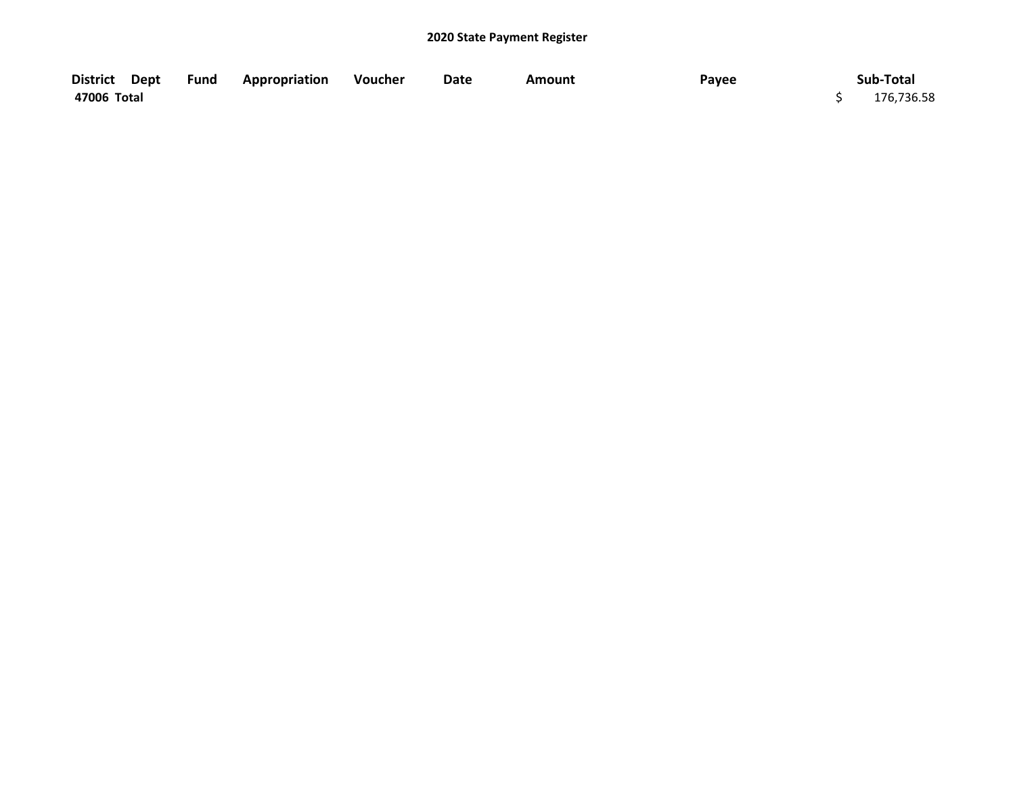| District Dept | <b>Fund Appropriation</b> | Voucher | Date | Amount | Payee | Sub-Total  |
|---------------|---------------------------|---------|------|--------|-------|------------|
| 47006 Total   |                           |         |      |        |       | 176,736.58 |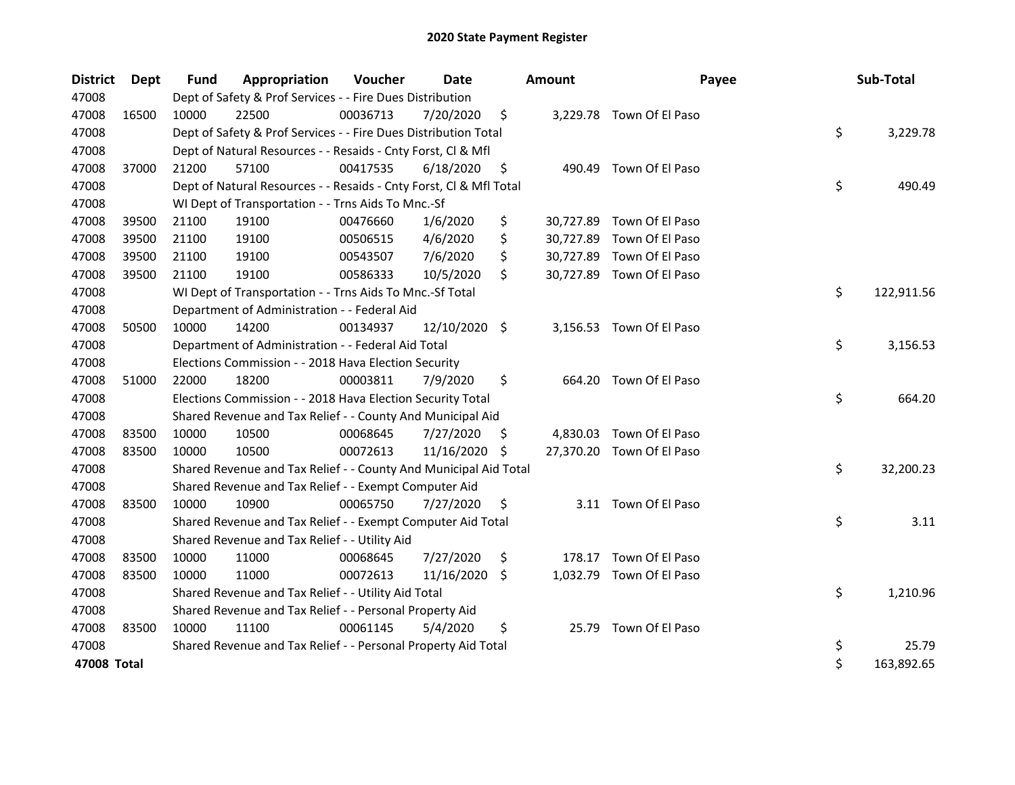| <b>District</b> | <b>Dept</b> | <b>Fund</b> | Appropriation                                                      | Voucher  | <b>Date</b>   |     | <b>Amount</b> | Payee                     | Sub-Total        |
|-----------------|-------------|-------------|--------------------------------------------------------------------|----------|---------------|-----|---------------|---------------------------|------------------|
| 47008           |             |             | Dept of Safety & Prof Services - - Fire Dues Distribution          |          |               |     |               |                           |                  |
| 47008           | 16500       | 10000       | 22500                                                              | 00036713 | 7/20/2020     | \$  |               | 3,229.78 Town Of El Paso  |                  |
| 47008           |             |             | Dept of Safety & Prof Services - - Fire Dues Distribution Total    |          |               |     |               |                           | \$<br>3,229.78   |
| 47008           |             |             | Dept of Natural Resources - - Resaids - Cnty Forst, Cl & Mfl       |          |               |     |               |                           |                  |
| 47008           | 37000       | 21200       | 57100                                                              | 00417535 | 6/18/2020     | \$  | 490.49        | Town Of El Paso           |                  |
| 47008           |             |             | Dept of Natural Resources - - Resaids - Cnty Forst, CI & Mfl Total |          |               |     |               |                           | \$<br>490.49     |
| 47008           |             |             | WI Dept of Transportation - - Trns Aids To Mnc.-Sf                 |          |               |     |               |                           |                  |
| 47008           | 39500       | 21100       | 19100                                                              | 00476660 | 1/6/2020      | \$  |               | 30,727.89 Town Of El Paso |                  |
| 47008           | 39500       | 21100       | 19100                                                              | 00506515 | 4/6/2020      | \$  | 30,727.89     | Town Of El Paso           |                  |
| 47008           | 39500       | 21100       | 19100                                                              | 00543507 | 7/6/2020      | \$  |               | 30,727.89 Town Of El Paso |                  |
| 47008           | 39500       | 21100       | 19100                                                              | 00586333 | 10/5/2020     | \$  |               | 30,727.89 Town Of El Paso |                  |
| 47008           |             |             | WI Dept of Transportation - - Trns Aids To Mnc.-Sf Total           |          |               |     |               |                           | \$<br>122,911.56 |
| 47008           |             |             | Department of Administration - - Federal Aid                       |          |               |     |               |                           |                  |
| 47008           | 50500       | 10000       | 14200                                                              | 00134937 | 12/10/2020 \$ |     |               | 3,156.53 Town Of El Paso  |                  |
| 47008           |             |             | Department of Administration - - Federal Aid Total                 |          |               |     |               |                           | \$<br>3,156.53   |
| 47008           |             |             | Elections Commission - - 2018 Hava Election Security               |          |               |     |               |                           |                  |
| 47008           | 51000       | 22000       | 18200                                                              | 00003811 | 7/9/2020      | \$  | 664.20        | Town Of El Paso           |                  |
| 47008           |             |             | Elections Commission - - 2018 Hava Election Security Total         |          |               |     |               |                           | \$<br>664.20     |
| 47008           |             |             | Shared Revenue and Tax Relief - - County And Municipal Aid         |          |               |     |               |                           |                  |
| 47008           | 83500       | 10000       | 10500                                                              | 00068645 | 7/27/2020     | \$. | 4,830.03      | Town Of El Paso           |                  |
| 47008           | 83500       | 10000       | 10500                                                              | 00072613 | 11/16/2020    | \$. |               | 27,370.20 Town Of El Paso |                  |
| 47008           |             |             | Shared Revenue and Tax Relief - - County And Municipal Aid Total   |          |               |     |               |                           | \$<br>32,200.23  |
| 47008           |             |             | Shared Revenue and Tax Relief - - Exempt Computer Aid              |          |               |     |               |                           |                  |
| 47008           | 83500       | 10000       | 10900                                                              | 00065750 | 7/27/2020     | \$  |               | 3.11 Town Of El Paso      |                  |
| 47008           |             |             | Shared Revenue and Tax Relief - - Exempt Computer Aid Total        |          |               |     |               |                           | \$<br>3.11       |
| 47008           |             |             | Shared Revenue and Tax Relief - - Utility Aid                      |          |               |     |               |                           |                  |
| 47008           | 83500       | 10000       | 11000                                                              | 00068645 | 7/27/2020     | \$  | 178.17        | Town Of El Paso           |                  |
| 47008           | 83500       | 10000       | 11000                                                              | 00072613 | 11/16/2020 \$ |     |               | 1,032.79 Town Of El Paso  |                  |
| 47008           |             |             | Shared Revenue and Tax Relief - - Utility Aid Total                |          |               |     |               |                           | \$<br>1,210.96   |
| 47008           |             |             | Shared Revenue and Tax Relief - - Personal Property Aid            |          |               |     |               |                           |                  |
| 47008           | 83500       | 10000       | 11100                                                              | 00061145 | 5/4/2020      | \$  |               | 25.79 Town Of El Paso     |                  |
| 47008           |             |             | Shared Revenue and Tax Relief - - Personal Property Aid Total      |          |               |     |               |                           | \$<br>25.79      |
| 47008 Total     |             |             |                                                                    |          |               |     |               |                           | \$<br>163,892.65 |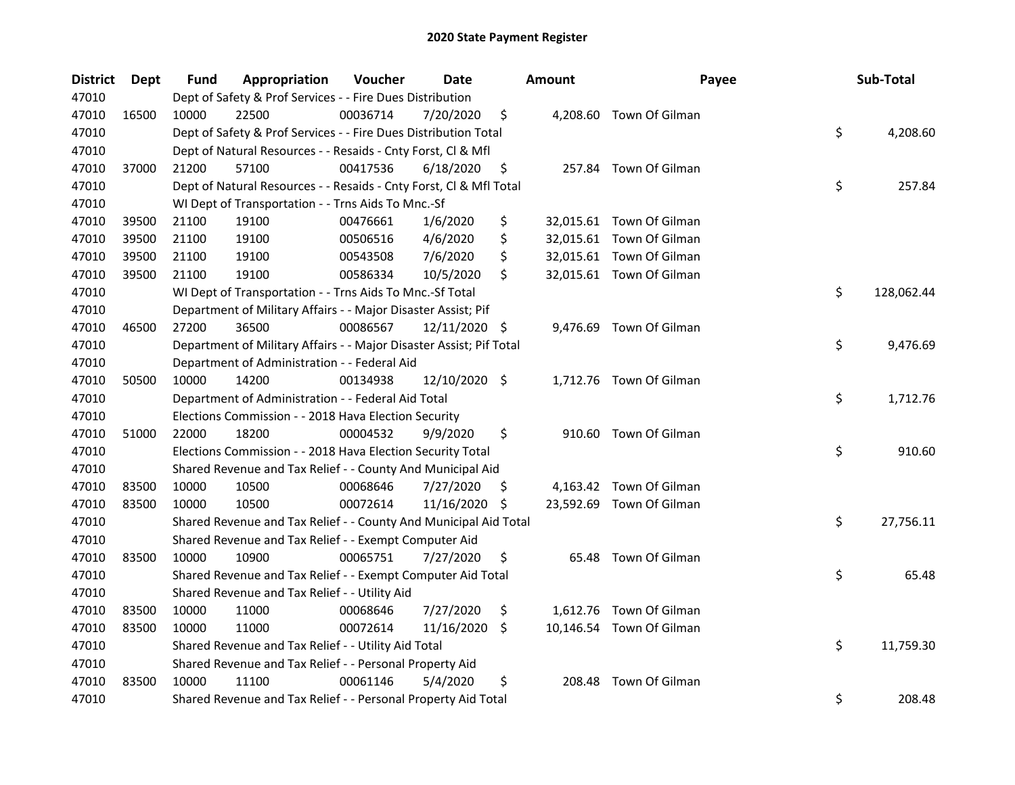| <b>District</b> | Dept  | <b>Fund</b> | Appropriation                                                       | Voucher  | Date          |     | <b>Amount</b> | Payee                    | Sub-Total        |
|-----------------|-------|-------------|---------------------------------------------------------------------|----------|---------------|-----|---------------|--------------------------|------------------|
| 47010           |       |             | Dept of Safety & Prof Services - - Fire Dues Distribution           |          |               |     |               |                          |                  |
| 47010           | 16500 | 10000       | 22500                                                               | 00036714 | 7/20/2020     | \$  |               | 4,208.60 Town Of Gilman  |                  |
| 47010           |       |             | Dept of Safety & Prof Services - - Fire Dues Distribution Total     |          |               |     |               |                          | \$<br>4,208.60   |
| 47010           |       |             | Dept of Natural Resources - - Resaids - Cnty Forst, Cl & Mfl        |          |               |     |               |                          |                  |
| 47010           | 37000 | 21200       | 57100                                                               | 00417536 | 6/18/2020     | \$  |               | 257.84 Town Of Gilman    |                  |
| 47010           |       |             | Dept of Natural Resources - - Resaids - Cnty Forst, Cl & Mfl Total  |          |               |     |               |                          | \$<br>257.84     |
| 47010           |       |             | WI Dept of Transportation - - Trns Aids To Mnc.-Sf                  |          |               |     |               |                          |                  |
| 47010           | 39500 | 21100       | 19100                                                               | 00476661 | 1/6/2020      | \$  |               | 32,015.61 Town Of Gilman |                  |
| 47010           | 39500 | 21100       | 19100                                                               | 00506516 | 4/6/2020      | \$  |               | 32,015.61 Town Of Gilman |                  |
| 47010           | 39500 | 21100       | 19100                                                               | 00543508 | 7/6/2020      | \$  |               | 32,015.61 Town Of Gilman |                  |
| 47010           | 39500 | 21100       | 19100                                                               | 00586334 | 10/5/2020     | \$  |               | 32,015.61 Town Of Gilman |                  |
| 47010           |       |             | WI Dept of Transportation - - Trns Aids To Mnc.-Sf Total            |          |               |     |               |                          | \$<br>128,062.44 |
| 47010           |       |             | Department of Military Affairs - - Major Disaster Assist; Pif       |          |               |     |               |                          |                  |
| 47010           | 46500 | 27200       | 36500                                                               | 00086567 | 12/11/2020 \$ |     |               | 9,476.69 Town Of Gilman  |                  |
| 47010           |       |             | Department of Military Affairs - - Major Disaster Assist; Pif Total |          |               |     |               |                          | \$<br>9,476.69   |
| 47010           |       |             | Department of Administration - - Federal Aid                        |          |               |     |               |                          |                  |
| 47010           | 50500 | 10000       | 14200                                                               | 00134938 | 12/10/2020 \$ |     |               | 1,712.76 Town Of Gilman  |                  |
| 47010           |       |             | Department of Administration - - Federal Aid Total                  |          |               |     |               |                          | \$<br>1,712.76   |
| 47010           |       |             | Elections Commission - - 2018 Hava Election Security                |          |               |     |               |                          |                  |
| 47010           | 51000 | 22000       | 18200                                                               | 00004532 | 9/9/2020      | \$  |               | 910.60 Town Of Gilman    |                  |
| 47010           |       |             | Elections Commission - - 2018 Hava Election Security Total          |          |               |     |               |                          | \$<br>910.60     |
| 47010           |       |             | Shared Revenue and Tax Relief - - County And Municipal Aid          |          |               |     |               |                          |                  |
| 47010           | 83500 | 10000       | 10500                                                               | 00068646 | 7/27/2020     | \$. |               | 4,163.42 Town Of Gilman  |                  |
| 47010           | 83500 | 10000       | 10500                                                               | 00072614 | 11/16/2020    | -\$ |               | 23,592.69 Town Of Gilman |                  |
| 47010           |       |             | Shared Revenue and Tax Relief - - County And Municipal Aid Total    |          |               |     |               |                          | \$<br>27,756.11  |
| 47010           |       |             | Shared Revenue and Tax Relief - - Exempt Computer Aid               |          |               |     |               |                          |                  |
| 47010           | 83500 | 10000       | 10900                                                               | 00065751 | 7/27/2020     | \$  |               | 65.48 Town Of Gilman     |                  |
| 47010           |       |             | Shared Revenue and Tax Relief - - Exempt Computer Aid Total         |          |               |     |               |                          | \$<br>65.48      |
| 47010           |       |             | Shared Revenue and Tax Relief - - Utility Aid                       |          |               |     |               |                          |                  |
| 47010           | 83500 | 10000       | 11000                                                               | 00068646 | 7/27/2020     | \$  |               | 1,612.76 Town Of Gilman  |                  |
| 47010           | 83500 | 10000       | 11000                                                               | 00072614 | 11/16/2020    | -\$ |               | 10,146.54 Town Of Gilman |                  |
| 47010           |       |             | Shared Revenue and Tax Relief - - Utility Aid Total                 |          |               |     |               |                          | \$<br>11,759.30  |
| 47010           |       |             | Shared Revenue and Tax Relief - - Personal Property Aid             |          |               |     |               |                          |                  |
| 47010           | 83500 | 10000       | 11100                                                               | 00061146 | 5/4/2020      | \$  | 208.48        | Town Of Gilman           |                  |
| 47010           |       |             | Shared Revenue and Tax Relief - - Personal Property Aid Total       |          |               |     |               |                          | \$<br>208.48     |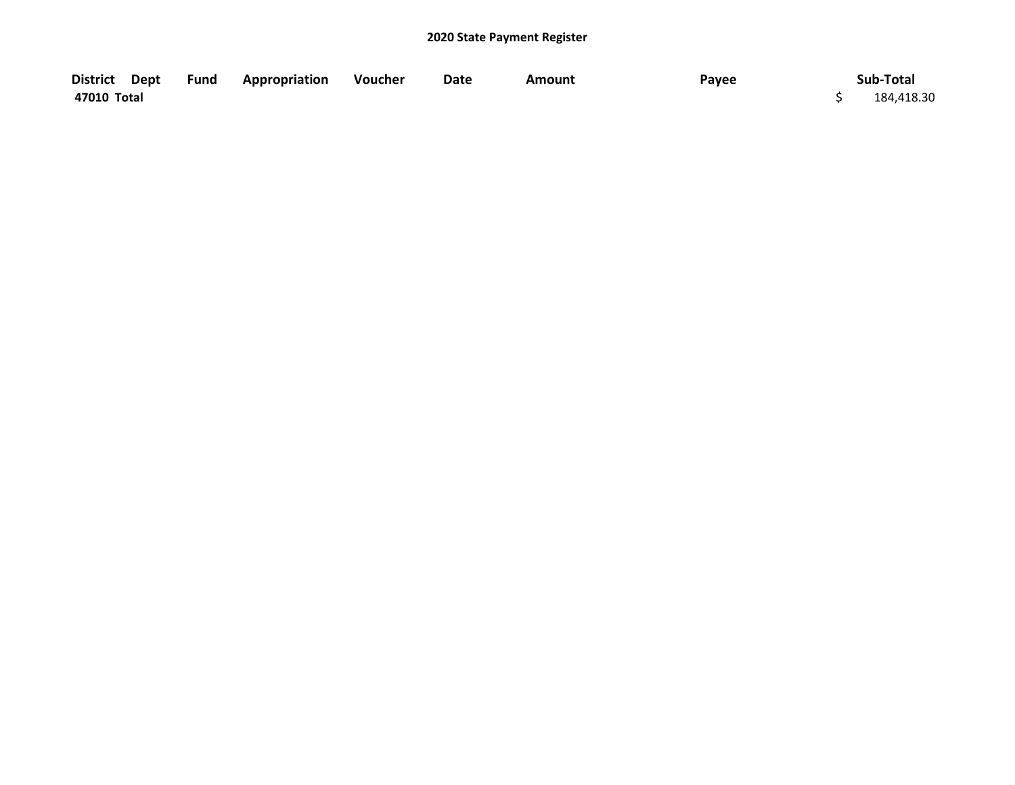| District Dept | <b>Fund Appropriation</b> | Voucher | Date | <b>Amount</b> | Payee | Sub-Total  |
|---------------|---------------------------|---------|------|---------------|-------|------------|
| 47010 Total   |                           |         |      |               |       | 184,418.30 |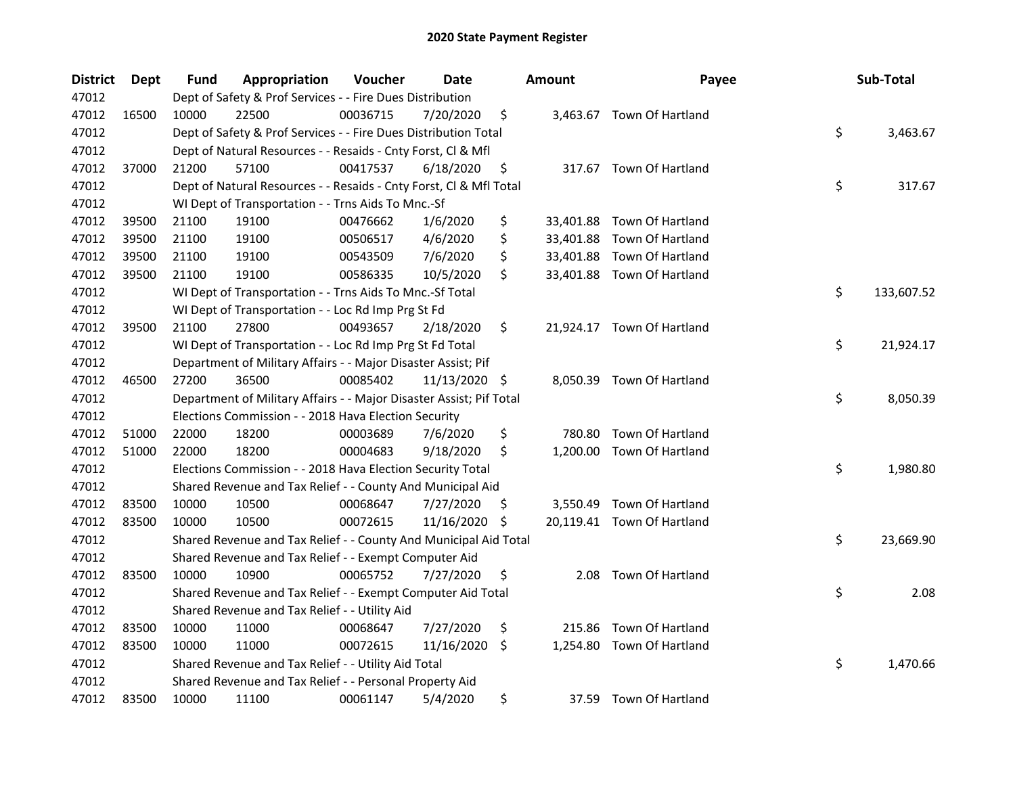| <b>District</b> | Dept  | <b>Fund</b> | Appropriation                                                       | Voucher  | Date          |     | <b>Amount</b> | Payee                      | Sub-Total        |
|-----------------|-------|-------------|---------------------------------------------------------------------|----------|---------------|-----|---------------|----------------------------|------------------|
| 47012           |       |             | Dept of Safety & Prof Services - - Fire Dues Distribution           |          |               |     |               |                            |                  |
| 47012           | 16500 | 10000       | 22500                                                               | 00036715 | 7/20/2020     | \$  |               | 3,463.67 Town Of Hartland  |                  |
| 47012           |       |             | Dept of Safety & Prof Services - - Fire Dues Distribution Total     |          |               |     |               |                            | \$<br>3,463.67   |
| 47012           |       |             | Dept of Natural Resources - - Resaids - Cnty Forst, Cl & Mfl        |          |               |     |               |                            |                  |
| 47012           | 37000 | 21200       | 57100                                                               | 00417537 | 6/18/2020     | \$  |               | 317.67 Town Of Hartland    |                  |
| 47012           |       |             | Dept of Natural Resources - - Resaids - Cnty Forst, Cl & Mfl Total  |          |               |     |               |                            | \$<br>317.67     |
| 47012           |       |             | WI Dept of Transportation - - Trns Aids To Mnc.-Sf                  |          |               |     |               |                            |                  |
| 47012           | 39500 | 21100       | 19100                                                               | 00476662 | 1/6/2020      | \$  |               | 33,401.88 Town Of Hartland |                  |
| 47012           | 39500 | 21100       | 19100                                                               | 00506517 | 4/6/2020      | \$  |               | 33,401.88 Town Of Hartland |                  |
| 47012           | 39500 | 21100       | 19100                                                               | 00543509 | 7/6/2020      | \$  |               | 33,401.88 Town Of Hartland |                  |
| 47012           | 39500 | 21100       | 19100                                                               | 00586335 | 10/5/2020     | \$  |               | 33,401.88 Town Of Hartland |                  |
| 47012           |       |             | WI Dept of Transportation - - Trns Aids To Mnc.-Sf Total            |          |               |     |               |                            | \$<br>133,607.52 |
| 47012           |       |             | WI Dept of Transportation - - Loc Rd Imp Prg St Fd                  |          |               |     |               |                            |                  |
| 47012           | 39500 | 21100       | 27800                                                               | 00493657 | 2/18/2020     | \$  |               | 21,924.17 Town Of Hartland |                  |
| 47012           |       |             | WI Dept of Transportation - - Loc Rd Imp Prg St Fd Total            |          |               |     |               |                            | \$<br>21,924.17  |
| 47012           |       |             | Department of Military Affairs - - Major Disaster Assist; Pif       |          |               |     |               |                            |                  |
| 47012           | 46500 | 27200       | 36500                                                               | 00085402 | 11/13/2020 \$ |     | 8,050.39      | Town Of Hartland           |                  |
| 47012           |       |             | Department of Military Affairs - - Major Disaster Assist; Pif Total |          |               |     |               |                            | \$<br>8,050.39   |
| 47012           |       |             | Elections Commission - - 2018 Hava Election Security                |          |               |     |               |                            |                  |
| 47012           | 51000 | 22000       | 18200                                                               | 00003689 | 7/6/2020      | \$  | 780.80        | Town Of Hartland           |                  |
| 47012           | 51000 | 22000       | 18200                                                               | 00004683 | 9/18/2020     | \$  |               | 1,200.00 Town Of Hartland  |                  |
| 47012           |       |             | Elections Commission - - 2018 Hava Election Security Total          |          |               |     |               |                            | \$<br>1,980.80   |
| 47012           |       |             | Shared Revenue and Tax Relief - - County And Municipal Aid          |          |               |     |               |                            |                  |
| 47012           | 83500 | 10000       | 10500                                                               | 00068647 | 7/27/2020     | \$. |               | 3,550.49 Town Of Hartland  |                  |
| 47012           | 83500 | 10000       | 10500                                                               | 00072615 | 11/16/2020    | -\$ |               | 20,119.41 Town Of Hartland |                  |
| 47012           |       |             | Shared Revenue and Tax Relief - - County And Municipal Aid Total    |          |               |     |               |                            | \$<br>23,669.90  |
| 47012           |       |             | Shared Revenue and Tax Relief - - Exempt Computer Aid               |          |               |     |               |                            |                  |
| 47012           | 83500 | 10000       | 10900                                                               | 00065752 | 7/27/2020     | \$  | 2.08          | Town Of Hartland           |                  |
| 47012           |       |             | Shared Revenue and Tax Relief - - Exempt Computer Aid Total         |          |               |     |               |                            | \$<br>2.08       |
| 47012           |       |             | Shared Revenue and Tax Relief - - Utility Aid                       |          |               |     |               |                            |                  |
| 47012           | 83500 | 10000       | 11000                                                               | 00068647 | 7/27/2020     | \$  | 215.86        | Town Of Hartland           |                  |
| 47012           | 83500 | 10000       | 11000                                                               | 00072615 | 11/16/2020    | \$  | 1,254.80      | Town Of Hartland           |                  |
| 47012           |       |             | Shared Revenue and Tax Relief - - Utility Aid Total                 |          |               |     |               |                            | \$<br>1,470.66   |
| 47012           |       |             | Shared Revenue and Tax Relief - - Personal Property Aid             |          |               |     |               |                            |                  |
| 47012           | 83500 | 10000       | 11100                                                               | 00061147 | 5/4/2020      | \$  | 37.59         | <b>Town Of Hartland</b>    |                  |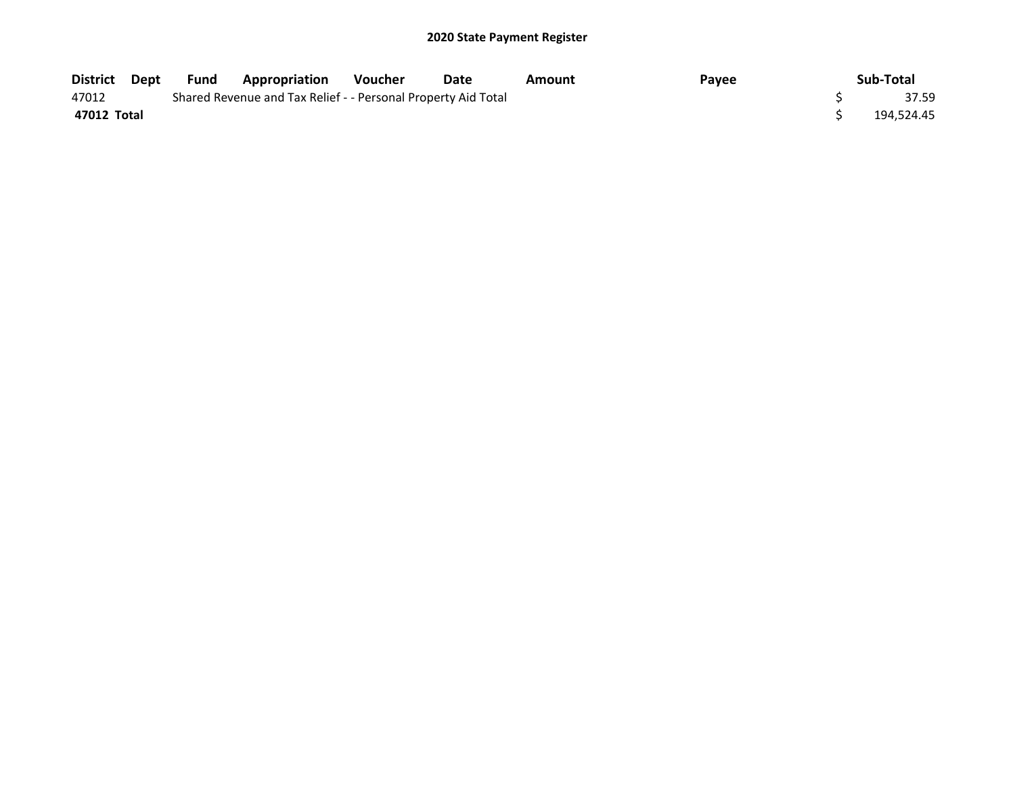| District Dept | Fund | <b>Appropriation</b>                                          | <b>Voucher</b> | Date | Amount | Payee | Sub-Total  |
|---------------|------|---------------------------------------------------------------|----------------|------|--------|-------|------------|
| 47012         |      | Shared Revenue and Tax Relief - - Personal Property Aid Total |                |      |        |       | 37.59      |
| 47012 Total   |      |                                                               |                |      |        |       | 194,524.45 |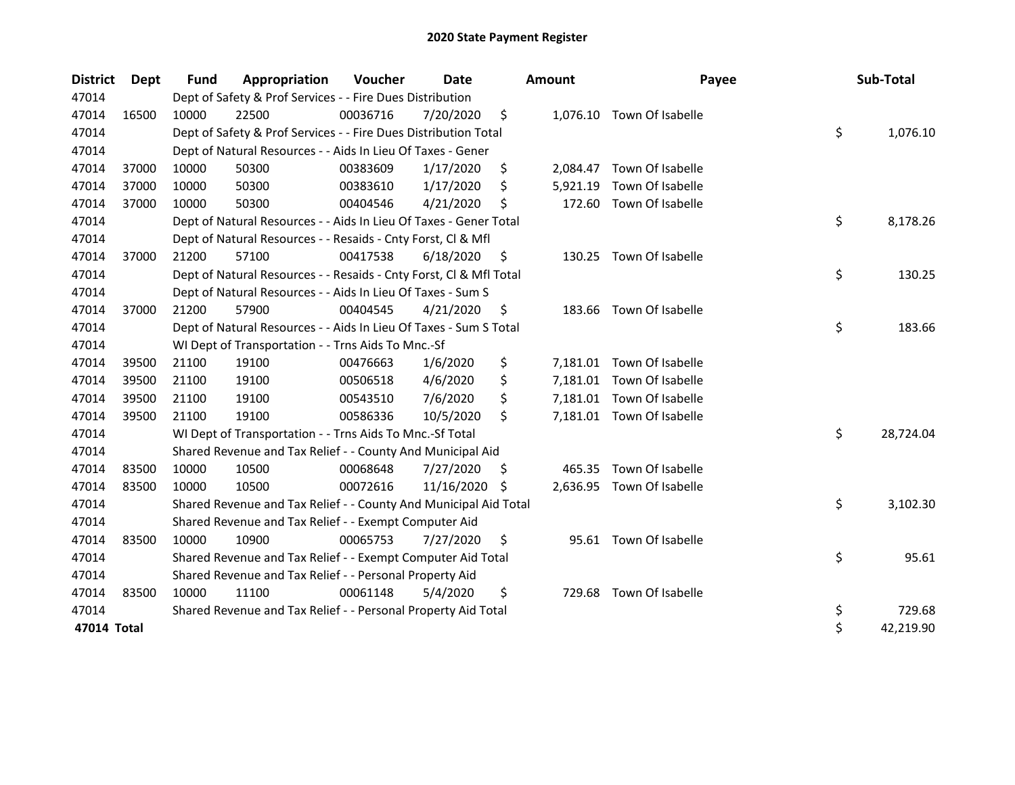| <b>District</b> | Dept  | <b>Fund</b> | Appropriation                                                      | Voucher  | <b>Date</b> |    | <b>Amount</b> | Payee                     | Sub-Total       |
|-----------------|-------|-------------|--------------------------------------------------------------------|----------|-------------|----|---------------|---------------------------|-----------------|
| 47014           |       |             | Dept of Safety & Prof Services - - Fire Dues Distribution          |          |             |    |               |                           |                 |
| 47014           | 16500 | 10000       | 22500                                                              | 00036716 | 7/20/2020   | \$ |               | 1,076.10 Town Of Isabelle |                 |
| 47014           |       |             | Dept of Safety & Prof Services - - Fire Dues Distribution Total    |          |             |    |               |                           | \$<br>1,076.10  |
| 47014           |       |             | Dept of Natural Resources - - Aids In Lieu Of Taxes - Gener        |          |             |    |               |                           |                 |
| 47014           | 37000 | 10000       | 50300                                                              | 00383609 | 1/17/2020   | \$ | 2,084.47      | Town Of Isabelle          |                 |
| 47014           | 37000 | 10000       | 50300                                                              | 00383610 | 1/17/2020   | \$ | 5,921.19      | Town Of Isabelle          |                 |
| 47014           | 37000 | 10000       | 50300                                                              | 00404546 | 4/21/2020   | Ś  | 172.60        | Town Of Isabelle          |                 |
| 47014           |       |             | Dept of Natural Resources - - Aids In Lieu Of Taxes - Gener Total  |          |             |    |               |                           | \$<br>8,178.26  |
| 47014           |       |             | Dept of Natural Resources - - Resaids - Cnty Forst, Cl & Mfl       |          |             |    |               |                           |                 |
| 47014           | 37000 | 21200       | 57100                                                              | 00417538 | 6/18/2020   | \$ | 130.25        | Town Of Isabelle          |                 |
| 47014           |       |             | Dept of Natural Resources - - Resaids - Cnty Forst, Cl & Mfl Total |          |             |    |               |                           | \$<br>130.25    |
| 47014           |       |             | Dept of Natural Resources - - Aids In Lieu Of Taxes - Sum S        |          |             |    |               |                           |                 |
| 47014           | 37000 | 21200       | 57900                                                              | 00404545 | 4/21/2020   | \$ |               | 183.66 Town Of Isabelle   |                 |
| 47014           |       |             | Dept of Natural Resources - - Aids In Lieu Of Taxes - Sum S Total  |          |             |    |               |                           | \$<br>183.66    |
| 47014           |       |             | WI Dept of Transportation - - Trns Aids To Mnc.-Sf                 |          |             |    |               |                           |                 |
| 47014           | 39500 | 21100       | 19100                                                              | 00476663 | 1/6/2020    | \$ | 7,181.01      | Town Of Isabelle          |                 |
| 47014           | 39500 | 21100       | 19100                                                              | 00506518 | 4/6/2020    | \$ |               | 7,181.01 Town Of Isabelle |                 |
| 47014           | 39500 | 21100       | 19100                                                              | 00543510 | 7/6/2020    | \$ | 7,181.01      | Town Of Isabelle          |                 |
| 47014           | 39500 | 21100       | 19100                                                              | 00586336 | 10/5/2020   | \$ |               | 7,181.01 Town Of Isabelle |                 |
| 47014           |       |             | WI Dept of Transportation - - Trns Aids To Mnc.-Sf Total           |          |             |    |               |                           | \$<br>28,724.04 |
| 47014           |       |             | Shared Revenue and Tax Relief - - County And Municipal Aid         |          |             |    |               |                           |                 |
| 47014           | 83500 | 10000       | 10500                                                              | 00068648 | 7/27/2020   | \$ | 465.35        | Town Of Isabelle          |                 |
| 47014           | 83500 | 10000       | 10500                                                              | 00072616 | 11/16/2020  | -S |               | 2,636.95 Town Of Isabelle |                 |
| 47014           |       |             | Shared Revenue and Tax Relief - - County And Municipal Aid Total   |          |             |    |               |                           | \$<br>3,102.30  |
| 47014           |       |             | Shared Revenue and Tax Relief - - Exempt Computer Aid              |          |             |    |               |                           |                 |
| 47014           | 83500 | 10000       | 10900                                                              | 00065753 | 7/27/2020   | \$ |               | 95.61 Town Of Isabelle    |                 |
| 47014           |       |             | Shared Revenue and Tax Relief - - Exempt Computer Aid Total        |          |             |    |               |                           | \$<br>95.61     |
| 47014           |       |             | Shared Revenue and Tax Relief - - Personal Property Aid            |          |             |    |               |                           |                 |
| 47014           | 83500 | 10000       | 11100                                                              | 00061148 | 5/4/2020    | \$ |               | 729.68 Town Of Isabelle   |                 |
| 47014           |       |             | Shared Revenue and Tax Relief - - Personal Property Aid Total      |          |             |    |               |                           | \$<br>729.68    |
| 47014 Total     |       |             |                                                                    |          |             |    |               |                           | \$<br>42,219.90 |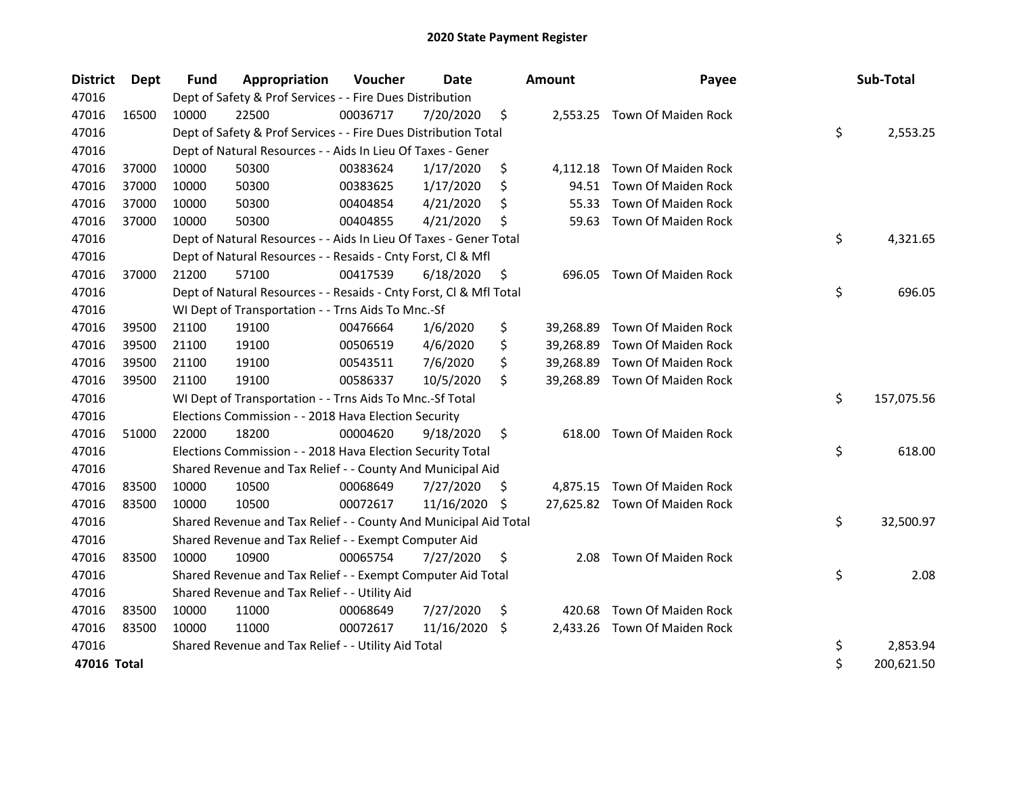| <b>District</b> | Dept  | <b>Fund</b> | Appropriation                                                      | Voucher  | <b>Date</b> |     | <b>Amount</b> | Payee                         | Sub-Total        |
|-----------------|-------|-------------|--------------------------------------------------------------------|----------|-------------|-----|---------------|-------------------------------|------------------|
| 47016           |       |             | Dept of Safety & Prof Services - - Fire Dues Distribution          |          |             |     |               |                               |                  |
| 47016           | 16500 | 10000       | 22500                                                              | 00036717 | 7/20/2020   | \$  |               | 2,553.25 Town Of Maiden Rock  |                  |
| 47016           |       |             | Dept of Safety & Prof Services - - Fire Dues Distribution Total    |          |             |     |               |                               | \$<br>2,553.25   |
| 47016           |       |             | Dept of Natural Resources - - Aids In Lieu Of Taxes - Gener        |          |             |     |               |                               |                  |
| 47016           | 37000 | 10000       | 50300                                                              | 00383624 | 1/17/2020   | \$  | 4,112.18      | Town Of Maiden Rock           |                  |
| 47016           | 37000 | 10000       | 50300                                                              | 00383625 | 1/17/2020   | \$  | 94.51         | Town Of Maiden Rock           |                  |
| 47016           | 37000 | 10000       | 50300                                                              | 00404854 | 4/21/2020   | \$. | 55.33         | Town Of Maiden Rock           |                  |
| 47016           | 37000 | 10000       | 50300                                                              | 00404855 | 4/21/2020   | \$  | 59.63         | Town Of Maiden Rock           |                  |
| 47016           |       |             | Dept of Natural Resources - - Aids In Lieu Of Taxes - Gener Total  |          |             |     |               |                               | \$<br>4,321.65   |
| 47016           |       |             | Dept of Natural Resources - - Resaids - Cnty Forst, Cl & Mfl       |          |             |     |               |                               |                  |
| 47016           | 37000 | 21200       | 57100                                                              | 00417539 | 6/18/2020   | \$  | 696.05        | Town Of Maiden Rock           |                  |
| 47016           |       |             | Dept of Natural Resources - - Resaids - Cnty Forst, CI & Mfl Total |          |             |     |               |                               | \$<br>696.05     |
| 47016           |       |             | WI Dept of Transportation - - Trns Aids To Mnc.-Sf                 |          |             |     |               |                               |                  |
| 47016           | 39500 | 21100       | 19100                                                              | 00476664 | 1/6/2020    | \$  | 39,268.89     | Town Of Maiden Rock           |                  |
| 47016           | 39500 | 21100       | 19100                                                              | 00506519 | 4/6/2020    | \$  | 39,268.89     | Town Of Maiden Rock           |                  |
| 47016           | 39500 | 21100       | 19100                                                              | 00543511 | 7/6/2020    | \$  | 39,268.89     | Town Of Maiden Rock           |                  |
| 47016           | 39500 | 21100       | 19100                                                              | 00586337 | 10/5/2020   | \$  | 39,268.89     | Town Of Maiden Rock           |                  |
| 47016           |       |             | WI Dept of Transportation - - Trns Aids To Mnc.-Sf Total           |          |             |     |               |                               | \$<br>157,075.56 |
| 47016           |       |             | Elections Commission - - 2018 Hava Election Security               |          |             |     |               |                               |                  |
| 47016           | 51000 | 22000       | 18200                                                              | 00004620 | 9/18/2020   | \$  | 618.00        | Town Of Maiden Rock           |                  |
| 47016           |       |             | Elections Commission - - 2018 Hava Election Security Total         |          |             |     |               |                               | \$<br>618.00     |
| 47016           |       |             | Shared Revenue and Tax Relief - - County And Municipal Aid         |          |             |     |               |                               |                  |
| 47016           | 83500 | 10000       | 10500                                                              | 00068649 | 7/27/2020   | \$. |               | 4,875.15 Town Of Maiden Rock  |                  |
| 47016           | 83500 | 10000       | 10500                                                              | 00072617 | 11/16/2020  | \$  |               | 27,625.82 Town Of Maiden Rock |                  |
| 47016           |       |             | Shared Revenue and Tax Relief - - County And Municipal Aid Total   |          |             |     |               |                               | \$<br>32,500.97  |
| 47016           |       |             | Shared Revenue and Tax Relief - - Exempt Computer Aid              |          |             |     |               |                               |                  |
| 47016           | 83500 | 10000       | 10900                                                              | 00065754 | 7/27/2020   | \$  | 2.08          | Town Of Maiden Rock           |                  |
| 47016           |       |             | Shared Revenue and Tax Relief - - Exempt Computer Aid Total        |          |             |     |               |                               | \$<br>2.08       |
| 47016           |       |             | Shared Revenue and Tax Relief - - Utility Aid                      |          |             |     |               |                               |                  |
| 47016           | 83500 | 10000       | 11000                                                              | 00068649 | 7/27/2020   | \$  | 420.68        | Town Of Maiden Rock           |                  |
| 47016           | 83500 | 10000       | 11000                                                              | 00072617 | 11/16/2020  | \$. | 2,433.26      | Town Of Maiden Rock           |                  |
| 47016           |       |             | Shared Revenue and Tax Relief - - Utility Aid Total                |          |             |     |               |                               | \$<br>2,853.94   |
| 47016 Total     |       |             |                                                                    |          |             |     |               |                               | \$<br>200,621.50 |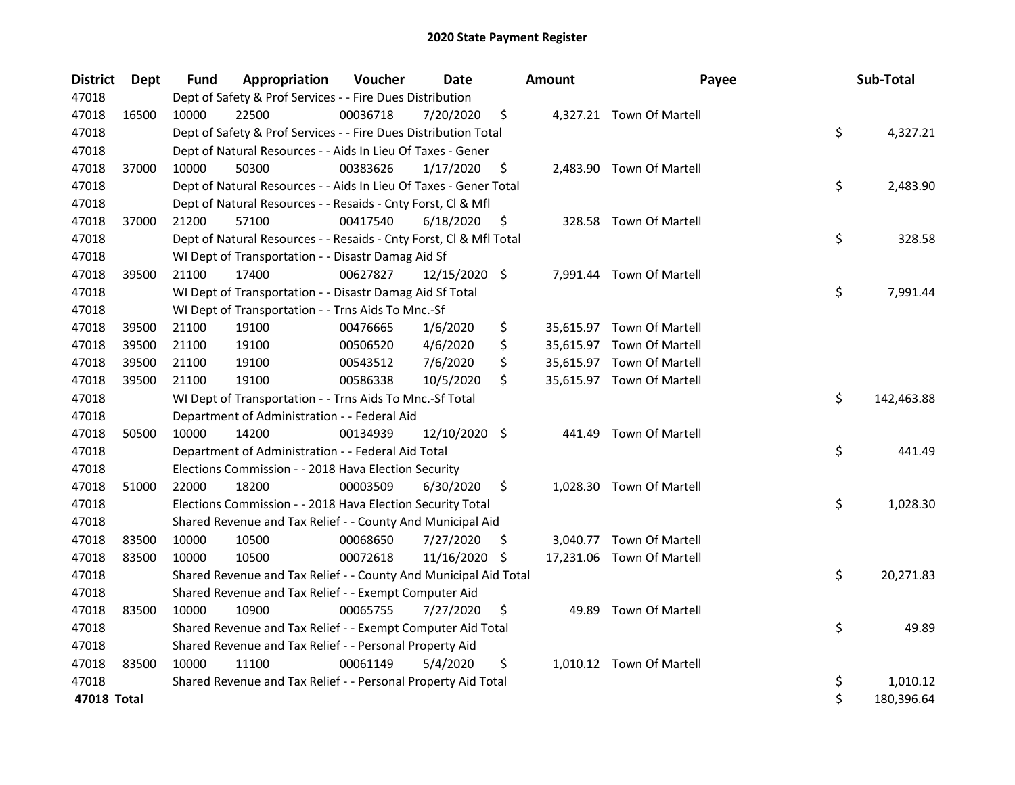| <b>District</b> | Dept  | <b>Fund</b> | Appropriation                                                      | Voucher  | Date          |     | <b>Amount</b> | Payee                     | Sub-Total        |
|-----------------|-------|-------------|--------------------------------------------------------------------|----------|---------------|-----|---------------|---------------------------|------------------|
| 47018           |       |             | Dept of Safety & Prof Services - - Fire Dues Distribution          |          |               |     |               |                           |                  |
| 47018           | 16500 | 10000       | 22500                                                              | 00036718 | 7/20/2020     | \$  |               | 4,327.21 Town Of Martell  |                  |
| 47018           |       |             | Dept of Safety & Prof Services - - Fire Dues Distribution Total    |          |               |     |               |                           | \$<br>4,327.21   |
| 47018           |       |             | Dept of Natural Resources - - Aids In Lieu Of Taxes - Gener        |          |               |     |               |                           |                  |
| 47018           | 37000 | 10000       | 50300                                                              | 00383626 | 1/17/2020     | \$  |               | 2,483.90 Town Of Martell  |                  |
| 47018           |       |             | Dept of Natural Resources - - Aids In Lieu Of Taxes - Gener Total  |          |               |     |               |                           | \$<br>2,483.90   |
| 47018           |       |             | Dept of Natural Resources - - Resaids - Cnty Forst, Cl & Mfl       |          |               |     |               |                           |                  |
| 47018           | 37000 | 21200       | 57100                                                              | 00417540 | 6/18/2020     | \$  |               | 328.58 Town Of Martell    |                  |
| 47018           |       |             | Dept of Natural Resources - - Resaids - Cnty Forst, Cl & Mfl Total |          |               |     |               |                           | \$<br>328.58     |
| 47018           |       |             | WI Dept of Transportation - - Disastr Damag Aid Sf                 |          |               |     |               |                           |                  |
| 47018           | 39500 | 21100       | 17400                                                              | 00627827 | 12/15/2020 \$ |     |               | 7,991.44 Town Of Martell  |                  |
| 47018           |       |             | WI Dept of Transportation - - Disastr Damag Aid Sf Total           |          |               |     |               |                           | \$<br>7,991.44   |
| 47018           |       |             | WI Dept of Transportation - - Trns Aids To Mnc.-Sf                 |          |               |     |               |                           |                  |
| 47018           | 39500 | 21100       | 19100                                                              | 00476665 | 1/6/2020      | \$  |               | 35,615.97 Town Of Martell |                  |
| 47018           | 39500 | 21100       | 19100                                                              | 00506520 | 4/6/2020      | \$  |               | 35,615.97 Town Of Martell |                  |
| 47018           | 39500 | 21100       | 19100                                                              | 00543512 | 7/6/2020      | \$  |               | 35,615.97 Town Of Martell |                  |
| 47018           | 39500 | 21100       | 19100                                                              | 00586338 | 10/5/2020     | \$  |               | 35,615.97 Town Of Martell |                  |
| 47018           |       |             | WI Dept of Transportation - - Trns Aids To Mnc.-Sf Total           |          |               |     |               |                           | \$<br>142,463.88 |
| 47018           |       |             | Department of Administration - - Federal Aid                       |          |               |     |               |                           |                  |
| 47018           | 50500 | 10000       | 14200                                                              | 00134939 | 12/10/2020 \$ |     | 441.49        | <b>Town Of Martell</b>    |                  |
| 47018           |       |             | Department of Administration - - Federal Aid Total                 |          |               |     |               |                           | \$<br>441.49     |
| 47018           |       |             | Elections Commission - - 2018 Hava Election Security               |          |               |     |               |                           |                  |
| 47018           | 51000 | 22000       | 18200                                                              | 00003509 | 6/30/2020     | \$  |               | 1,028.30 Town Of Martell  |                  |
| 47018           |       |             | Elections Commission - - 2018 Hava Election Security Total         |          |               |     |               |                           | \$<br>1,028.30   |
| 47018           |       |             | Shared Revenue and Tax Relief - - County And Municipal Aid         |          |               |     |               |                           |                  |
| 47018           | 83500 | 10000       | 10500                                                              | 00068650 | 7/27/2020     | \$. |               | 3,040.77 Town Of Martell  |                  |
| 47018           | 83500 | 10000       | 10500                                                              | 00072618 | 11/16/2020 \$ |     |               | 17,231.06 Town Of Martell |                  |
| 47018           |       |             | Shared Revenue and Tax Relief - - County And Municipal Aid Total   |          |               |     |               |                           | \$<br>20,271.83  |
| 47018           |       |             | Shared Revenue and Tax Relief - - Exempt Computer Aid              |          |               |     |               |                           |                  |
| 47018           | 83500 | 10000       | 10900                                                              | 00065755 | 7/27/2020     | \$  | 49.89         | Town Of Martell           |                  |
| 47018           |       |             | Shared Revenue and Tax Relief - - Exempt Computer Aid Total        |          |               |     |               |                           | \$<br>49.89      |
| 47018           |       |             | Shared Revenue and Tax Relief - - Personal Property Aid            |          |               |     |               |                           |                  |
| 47018           | 83500 | 10000       | 11100                                                              | 00061149 | 5/4/2020      | \$  |               | 1,010.12 Town Of Martell  |                  |
| 47018           |       |             | Shared Revenue and Tax Relief - - Personal Property Aid Total      |          |               |     |               |                           | \$<br>1,010.12   |
| 47018 Total     |       |             |                                                                    |          |               |     |               |                           | \$<br>180,396.64 |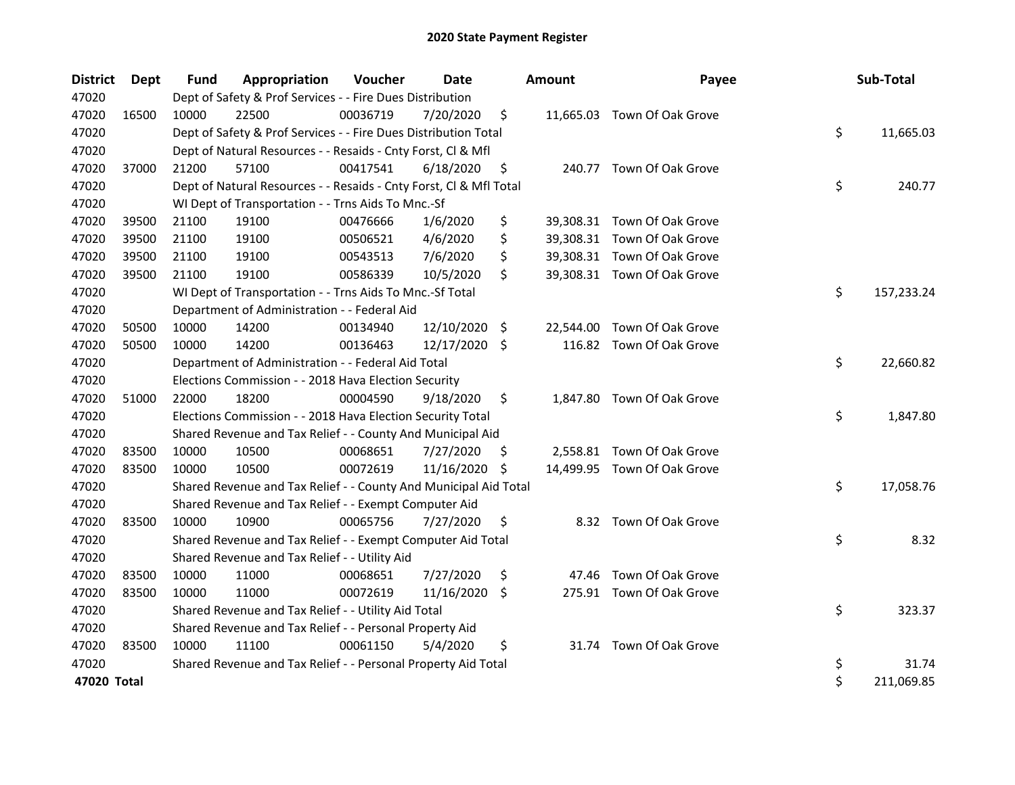| <b>District</b> | Dept  | Fund  | Appropriation                                                      | Voucher  | <b>Date</b> |     | <b>Amount</b> | Payee                       | Sub-Total        |
|-----------------|-------|-------|--------------------------------------------------------------------|----------|-------------|-----|---------------|-----------------------------|------------------|
| 47020           |       |       | Dept of Safety & Prof Services - - Fire Dues Distribution          |          |             |     |               |                             |                  |
| 47020           | 16500 | 10000 | 22500                                                              | 00036719 | 7/20/2020   | \$  |               | 11,665.03 Town Of Oak Grove |                  |
| 47020           |       |       | Dept of Safety & Prof Services - - Fire Dues Distribution Total    |          |             |     |               |                             | \$<br>11,665.03  |
| 47020           |       |       | Dept of Natural Resources - - Resaids - Cnty Forst, Cl & Mfl       |          |             |     |               |                             |                  |
| 47020           | 37000 | 21200 | 57100                                                              | 00417541 | 6/18/2020   | \$  |               | 240.77 Town Of Oak Grove    |                  |
| 47020           |       |       | Dept of Natural Resources - - Resaids - Cnty Forst, Cl & Mfl Total |          |             |     |               |                             | \$<br>240.77     |
| 47020           |       |       | WI Dept of Transportation - - Trns Aids To Mnc.-Sf                 |          |             |     |               |                             |                  |
| 47020           | 39500 | 21100 | 19100                                                              | 00476666 | 1/6/2020    | \$  |               | 39,308.31 Town Of Oak Grove |                  |
| 47020           | 39500 | 21100 | 19100                                                              | 00506521 | 4/6/2020    | \$  |               | 39,308.31 Town Of Oak Grove |                  |
| 47020           | 39500 | 21100 | 19100                                                              | 00543513 | 7/6/2020    | \$  |               | 39,308.31 Town Of Oak Grove |                  |
| 47020           | 39500 | 21100 | 19100                                                              | 00586339 | 10/5/2020   | \$  |               | 39,308.31 Town Of Oak Grove |                  |
| 47020           |       |       | WI Dept of Transportation - - Trns Aids To Mnc.-Sf Total           |          |             |     |               |                             | \$<br>157,233.24 |
| 47020           |       |       | Department of Administration - - Federal Aid                       |          |             |     |               |                             |                  |
| 47020           | 50500 | 10000 | 14200                                                              | 00134940 | 12/10/2020  | \$  | 22,544.00     | Town Of Oak Grove           |                  |
| 47020           | 50500 | 10000 | 14200                                                              | 00136463 | 12/17/2020  | \$  |               | 116.82 Town Of Oak Grove    |                  |
| 47020           |       |       | Department of Administration - - Federal Aid Total                 |          |             |     |               |                             | \$<br>22,660.82  |
| 47020           |       |       | Elections Commission - - 2018 Hava Election Security               |          |             |     |               |                             |                  |
| 47020           | 51000 | 22000 | 18200                                                              | 00004590 | 9/18/2020   | \$  |               | 1,847.80 Town Of Oak Grove  |                  |
| 47020           |       |       | Elections Commission - - 2018 Hava Election Security Total         |          |             |     |               |                             | \$<br>1,847.80   |
| 47020           |       |       | Shared Revenue and Tax Relief - - County And Municipal Aid         |          |             |     |               |                             |                  |
| 47020           | 83500 | 10000 | 10500                                                              | 00068651 | 7/27/2020   | \$. | 2,558.81      | Town Of Oak Grove           |                  |
| 47020           | 83500 | 10000 | 10500                                                              | 00072619 | 11/16/2020  | \$  |               | 14,499.95 Town Of Oak Grove |                  |
| 47020           |       |       | Shared Revenue and Tax Relief - - County And Municipal Aid Total   |          |             |     |               |                             | \$<br>17,058.76  |
| 47020           |       |       | Shared Revenue and Tax Relief - - Exempt Computer Aid              |          |             |     |               |                             |                  |
| 47020           | 83500 | 10000 | 10900                                                              | 00065756 | 7/27/2020   | \$  |               | 8.32 Town Of Oak Grove      |                  |
| 47020           |       |       | Shared Revenue and Tax Relief - - Exempt Computer Aid Total        |          |             |     |               |                             | \$<br>8.32       |
| 47020           |       |       | Shared Revenue and Tax Relief - - Utility Aid                      |          |             |     |               |                             |                  |
| 47020           | 83500 | 10000 | 11000                                                              | 00068651 | 7/27/2020   | \$  | 47.46         | Town Of Oak Grove           |                  |
| 47020           | 83500 | 10000 | 11000                                                              | 00072619 | 11/16/2020  | \$  |               | 275.91 Town Of Oak Grove    |                  |
| 47020           |       |       | Shared Revenue and Tax Relief - - Utility Aid Total                |          |             |     |               |                             | \$<br>323.37     |
| 47020           |       |       | Shared Revenue and Tax Relief - - Personal Property Aid            |          |             |     |               |                             |                  |
| 47020           | 83500 | 10000 | 11100                                                              | 00061150 | 5/4/2020    | \$  |               | 31.74 Town Of Oak Grove     |                  |
| 47020           |       |       | Shared Revenue and Tax Relief - - Personal Property Aid Total      |          |             |     |               |                             | \$<br>31.74      |
| 47020 Total     |       |       |                                                                    |          |             |     |               |                             | \$<br>211,069.85 |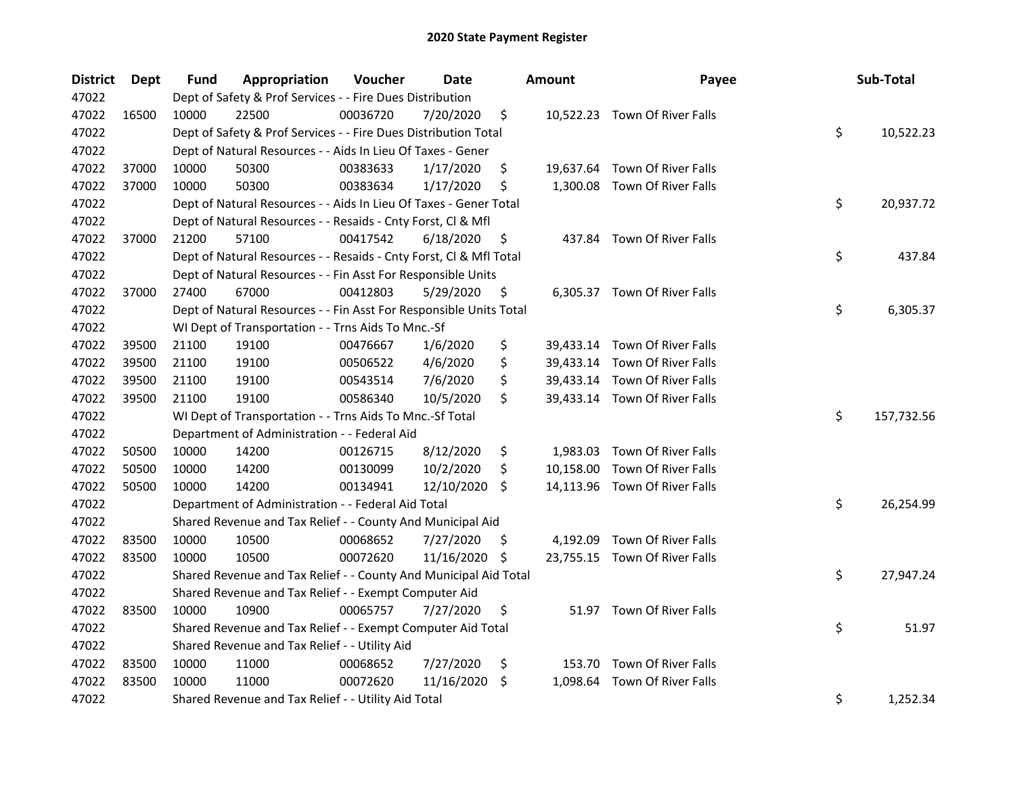| <b>District</b> | <b>Dept</b> | Fund  | Appropriation                                                      | Voucher  | <b>Date</b>   |     | <b>Amount</b> | Payee                         | Sub-Total        |
|-----------------|-------------|-------|--------------------------------------------------------------------|----------|---------------|-----|---------------|-------------------------------|------------------|
| 47022           |             |       | Dept of Safety & Prof Services - - Fire Dues Distribution          |          |               |     |               |                               |                  |
| 47022           | 16500       | 10000 | 22500                                                              | 00036720 | 7/20/2020     | \$  |               | 10,522.23 Town Of River Falls |                  |
| 47022           |             |       | Dept of Safety & Prof Services - - Fire Dues Distribution Total    |          |               |     |               |                               | \$<br>10,522.23  |
| 47022           |             |       | Dept of Natural Resources - - Aids In Lieu Of Taxes - Gener        |          |               |     |               |                               |                  |
| 47022           | 37000       | 10000 | 50300                                                              | 00383633 | 1/17/2020     | \$  |               | 19,637.64 Town Of River Falls |                  |
| 47022           | 37000       | 10000 | 50300                                                              | 00383634 | 1/17/2020     | \$  |               | 1,300.08 Town Of River Falls  |                  |
| 47022           |             |       | Dept of Natural Resources - - Aids In Lieu Of Taxes - Gener Total  |          |               |     |               |                               | \$<br>20,937.72  |
| 47022           |             |       | Dept of Natural Resources - - Resaids - Cnty Forst, Cl & Mfl       |          |               |     |               |                               |                  |
| 47022           | 37000       | 21200 | 57100                                                              | 00417542 | 6/18/2020     | \$  |               | 437.84 Town Of River Falls    |                  |
| 47022           |             |       | Dept of Natural Resources - - Resaids - Cnty Forst, Cl & Mfl Total |          |               |     |               |                               | \$<br>437.84     |
| 47022           |             |       | Dept of Natural Resources - - Fin Asst For Responsible Units       |          |               |     |               |                               |                  |
| 47022           | 37000       | 27400 | 67000                                                              | 00412803 | 5/29/2020     | \$  |               | 6,305.37 Town Of River Falls  |                  |
| 47022           |             |       | Dept of Natural Resources - - Fin Asst For Responsible Units Total |          |               |     |               |                               | \$<br>6,305.37   |
| 47022           |             |       | WI Dept of Transportation - - Trns Aids To Mnc.-Sf                 |          |               |     |               |                               |                  |
| 47022           | 39500       | 21100 | 19100                                                              | 00476667 | 1/6/2020      | \$  |               | 39,433.14 Town Of River Falls |                  |
| 47022           | 39500       | 21100 | 19100                                                              | 00506522 | 4/6/2020      | \$  |               | 39,433.14 Town Of River Falls |                  |
| 47022           | 39500       | 21100 | 19100                                                              | 00543514 | 7/6/2020      | \$  |               | 39,433.14 Town Of River Falls |                  |
| 47022           | 39500       | 21100 | 19100                                                              | 00586340 | 10/5/2020     | \$  |               | 39,433.14 Town Of River Falls |                  |
| 47022           |             |       | WI Dept of Transportation - - Trns Aids To Mnc.-Sf Total           |          |               |     |               |                               | \$<br>157,732.56 |
| 47022           |             |       | Department of Administration - - Federal Aid                       |          |               |     |               |                               |                  |
| 47022           | 50500       | 10000 | 14200                                                              | 00126715 | 8/12/2020     | \$  |               | 1,983.03 Town Of River Falls  |                  |
| 47022           | 50500       | 10000 | 14200                                                              | 00130099 | 10/2/2020     | \$  |               | 10,158.00 Town Of River Falls |                  |
| 47022           | 50500       | 10000 | 14200                                                              | 00134941 | 12/10/2020 \$ |     |               | 14,113.96 Town Of River Falls |                  |
| 47022           |             |       | Department of Administration - - Federal Aid Total                 |          |               |     |               |                               | \$<br>26,254.99  |
| 47022           |             |       | Shared Revenue and Tax Relief - - County And Municipal Aid         |          |               |     |               |                               |                  |
| 47022           | 83500       | 10000 | 10500                                                              | 00068652 | 7/27/2020     | S   | 4,192.09      | Town Of River Falls           |                  |
| 47022           | 83500       | 10000 | 10500                                                              | 00072620 | 11/16/2020    | -\$ |               | 23,755.15 Town Of River Falls |                  |
| 47022           |             |       | Shared Revenue and Tax Relief - - County And Municipal Aid Total   |          |               |     |               |                               | \$<br>27,947.24  |
| 47022           |             |       | Shared Revenue and Tax Relief - - Exempt Computer Aid              |          |               |     |               |                               |                  |
| 47022           | 83500       | 10000 | 10900                                                              | 00065757 | 7/27/2020     | \$  |               | 51.97 Town Of River Falls     |                  |
| 47022           |             |       | Shared Revenue and Tax Relief - - Exempt Computer Aid Total        |          |               |     |               |                               | \$<br>51.97      |
| 47022           |             |       | Shared Revenue and Tax Relief - - Utility Aid                      |          |               |     |               |                               |                  |
| 47022           | 83500       | 10000 | 11000                                                              | 00068652 | 7/27/2020     | \$  | 153.70        | Town Of River Falls           |                  |
| 47022           | 83500       | 10000 | 11000                                                              | 00072620 | 11/16/2020    | \$  | 1,098.64      | Town Of River Falls           |                  |
| 47022           |             |       | Shared Revenue and Tax Relief - - Utility Aid Total                |          |               |     |               |                               | \$<br>1,252.34   |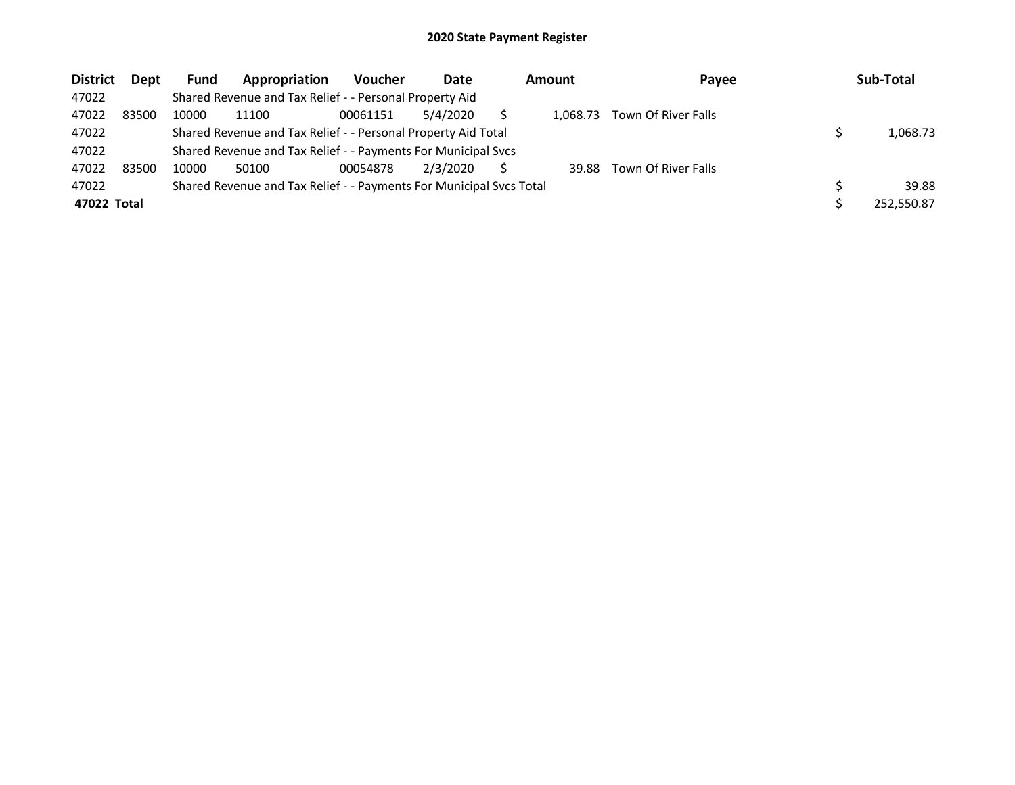| <b>District</b> | <b>Dept</b> | <b>Fund</b> | Appropriation                                                       | <b>Voucher</b> | Date     | Amount   | Payee               | Sub-Total  |
|-----------------|-------------|-------------|---------------------------------------------------------------------|----------------|----------|----------|---------------------|------------|
| 47022           |             |             | Shared Revenue and Tax Relief - - Personal Property Aid             |                |          |          |                     |            |
| 47022           | 83500       | 10000       | 11100                                                               | 00061151       | 5/4/2020 | 1.068.73 | Town Of River Falls |            |
| 47022           |             |             | Shared Revenue and Tax Relief - - Personal Property Aid Total       |                |          |          |                     | 1,068.73   |
| 47022           |             |             | Shared Revenue and Tax Relief - - Payments For Municipal Svcs       |                |          |          |                     |            |
| 47022           | 83500       | 10000       | 50100                                                               | 00054878       | 2/3/2020 | 39.88    | Town Of River Falls |            |
| 47022           |             |             | Shared Revenue and Tax Relief - - Payments For Municipal Svcs Total |                |          |          |                     | 39.88      |
| 47022 Total     |             |             |                                                                     |                |          |          |                     | 252.550.87 |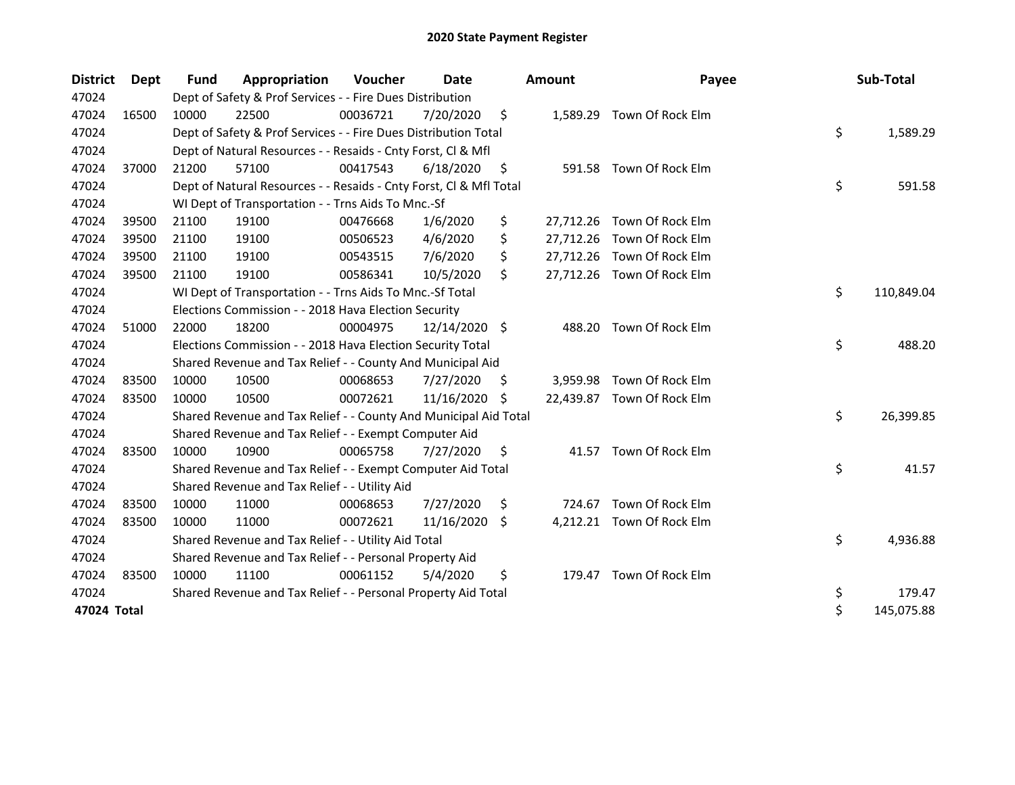| <b>District</b> | Dept  | <b>Fund</b> | Appropriation                                                      | Voucher  | Date          |    | <b>Amount</b> | Payee                      | Sub-Total        |
|-----------------|-------|-------------|--------------------------------------------------------------------|----------|---------------|----|---------------|----------------------------|------------------|
| 47024           |       |             | Dept of Safety & Prof Services - - Fire Dues Distribution          |          |               |    |               |                            |                  |
| 47024           | 16500 | 10000       | 22500                                                              | 00036721 | 7/20/2020     | \$ |               | 1,589.29 Town Of Rock Elm  |                  |
| 47024           |       |             | Dept of Safety & Prof Services - - Fire Dues Distribution Total    |          |               |    |               |                            | \$<br>1,589.29   |
| 47024           |       |             | Dept of Natural Resources - - Resaids - Cnty Forst, Cl & Mfl       |          |               |    |               |                            |                  |
| 47024           | 37000 | 21200       | 57100                                                              | 00417543 | 6/18/2020     | \$ |               | 591.58 Town Of Rock Elm    |                  |
| 47024           |       |             | Dept of Natural Resources - - Resaids - Cnty Forst, Cl & Mfl Total |          |               |    |               |                            | \$<br>591.58     |
| 47024           |       |             | WI Dept of Transportation - - Trns Aids To Mnc.-Sf                 |          |               |    |               |                            |                  |
| 47024           | 39500 | 21100       | 19100                                                              | 00476668 | 1/6/2020      | \$ |               | 27,712.26 Town Of Rock Elm |                  |
| 47024           | 39500 | 21100       | 19100                                                              | 00506523 | 4/6/2020      | \$ |               | 27,712.26 Town Of Rock Elm |                  |
| 47024           | 39500 | 21100       | 19100                                                              | 00543515 | 7/6/2020      | \$ |               | 27,712.26 Town Of Rock Elm |                  |
| 47024           | 39500 | 21100       | 19100                                                              | 00586341 | 10/5/2020     | \$ |               | 27,712.26 Town Of Rock Elm |                  |
| 47024           |       |             | WI Dept of Transportation - - Trns Aids To Mnc.-Sf Total           |          |               |    |               |                            | \$<br>110,849.04 |
| 47024           |       |             | Elections Commission - - 2018 Hava Election Security               |          |               |    |               |                            |                  |
| 47024           | 51000 | 22000       | 18200                                                              | 00004975 | 12/14/2020 \$ |    |               | 488.20 Town Of Rock Elm    |                  |
| 47024           |       |             | Elections Commission - - 2018 Hava Election Security Total         |          |               |    |               |                            | \$<br>488.20     |
| 47024           |       |             | Shared Revenue and Tax Relief - - County And Municipal Aid         |          |               |    |               |                            |                  |
| 47024           | 83500 | 10000       | 10500                                                              | 00068653 | 7/27/2020     | S  | 3,959.98      | Town Of Rock Elm           |                  |
| 47024           | 83500 | 10000       | 10500                                                              | 00072621 | 11/16/2020    | -S |               | 22,439.87 Town Of Rock Elm |                  |
| 47024           |       |             | Shared Revenue and Tax Relief - - County And Municipal Aid Total   |          |               |    |               |                            | \$<br>26,399.85  |
| 47024           |       |             | Shared Revenue and Tax Relief - - Exempt Computer Aid              |          |               |    |               |                            |                  |
| 47024           | 83500 | 10000       | 10900                                                              | 00065758 | 7/27/2020     | \$ |               | 41.57 Town Of Rock Elm     |                  |
| 47024           |       |             | Shared Revenue and Tax Relief - - Exempt Computer Aid Total        |          |               |    |               |                            | \$<br>41.57      |
| 47024           |       |             | Shared Revenue and Tax Relief - - Utility Aid                      |          |               |    |               |                            |                  |
| 47024           | 83500 | 10000       | 11000                                                              | 00068653 | 7/27/2020     | \$ | 724.67        | Town Of Rock Elm           |                  |
| 47024           | 83500 | 10000       | 11000                                                              | 00072621 | 11/16/2020    | \$ |               | 4,212.21 Town Of Rock Elm  |                  |
| 47024           |       |             | Shared Revenue and Tax Relief - - Utility Aid Total                |          |               |    |               |                            | \$<br>4,936.88   |
| 47024           |       |             | Shared Revenue and Tax Relief - - Personal Property Aid            |          |               |    |               |                            |                  |
| 47024           | 83500 | 10000       | 11100                                                              | 00061152 | 5/4/2020      | \$ |               | 179.47 Town Of Rock Elm    |                  |
| 47024           |       |             | Shared Revenue and Tax Relief - - Personal Property Aid Total      |          |               |    |               |                            | \$<br>179.47     |
| 47024 Total     |       |             |                                                                    |          |               |    |               |                            | \$<br>145,075.88 |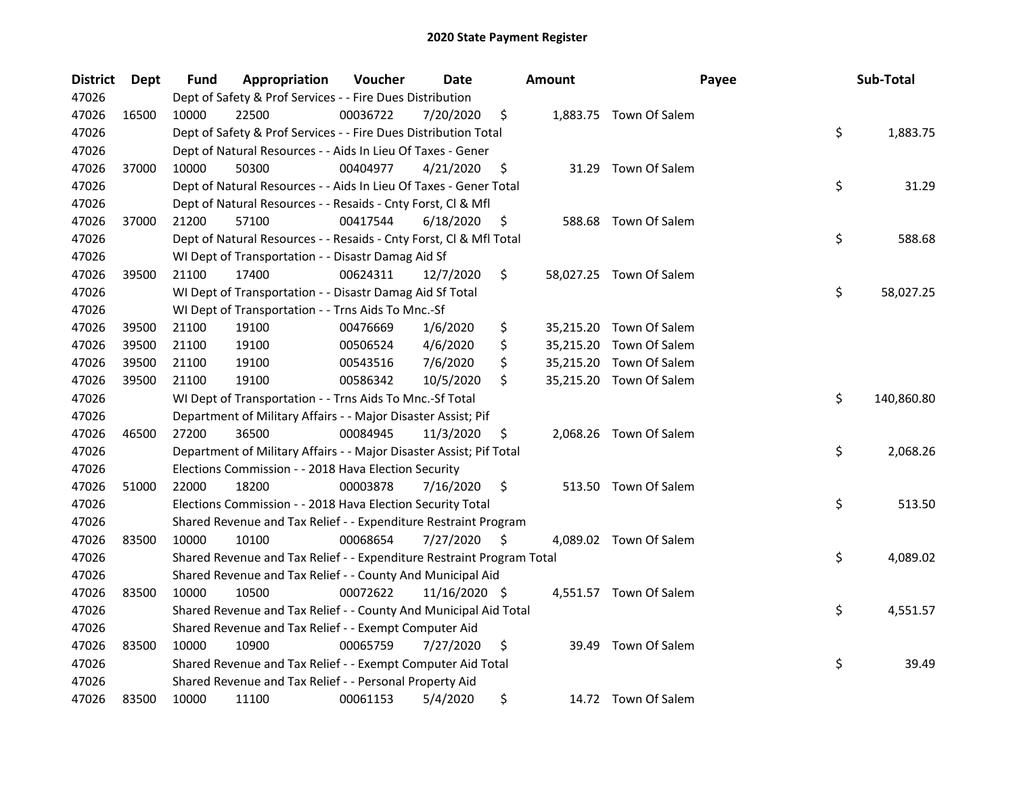| <b>District</b> | Dept  | Fund  | Appropriation                                                         | Voucher  | Date          | <b>Amount</b> | Payee                   | Sub-Total        |
|-----------------|-------|-------|-----------------------------------------------------------------------|----------|---------------|---------------|-------------------------|------------------|
| 47026           |       |       | Dept of Safety & Prof Services - - Fire Dues Distribution             |          |               |               |                         |                  |
| 47026           | 16500 | 10000 | 22500                                                                 | 00036722 | 7/20/2020     | \$            | 1,883.75 Town Of Salem  |                  |
| 47026           |       |       | Dept of Safety & Prof Services - - Fire Dues Distribution Total       |          |               |               |                         | \$<br>1,883.75   |
| 47026           |       |       | Dept of Natural Resources - - Aids In Lieu Of Taxes - Gener           |          |               |               |                         |                  |
| 47026           | 37000 | 10000 | 50300                                                                 | 00404977 | 4/21/2020     | \$            | 31.29 Town Of Salem     |                  |
| 47026           |       |       | Dept of Natural Resources - - Aids In Lieu Of Taxes - Gener Total     |          |               |               |                         | \$<br>31.29      |
| 47026           |       |       | Dept of Natural Resources - - Resaids - Cnty Forst, Cl & Mfl          |          |               |               |                         |                  |
| 47026           | 37000 | 21200 | 57100                                                                 | 00417544 | 6/18/2020     | \$            | 588.68 Town Of Salem    |                  |
| 47026           |       |       | Dept of Natural Resources - - Resaids - Cnty Forst, Cl & Mfl Total    |          |               |               |                         | \$<br>588.68     |
| 47026           |       |       | WI Dept of Transportation - - Disastr Damag Aid Sf                    |          |               |               |                         |                  |
| 47026           | 39500 | 21100 | 17400                                                                 | 00624311 | 12/7/2020     | \$            | 58,027.25 Town Of Salem |                  |
| 47026           |       |       | WI Dept of Transportation - - Disastr Damag Aid Sf Total              |          |               |               |                         | \$<br>58,027.25  |
| 47026           |       |       | WI Dept of Transportation - - Trns Aids To Mnc.-Sf                    |          |               |               |                         |                  |
| 47026           | 39500 | 21100 | 19100                                                                 | 00476669 | 1/6/2020      | \$            | 35,215.20 Town Of Salem |                  |
| 47026           | 39500 | 21100 | 19100                                                                 | 00506524 | 4/6/2020      | \$            | 35,215.20 Town Of Salem |                  |
| 47026           | 39500 | 21100 | 19100                                                                 | 00543516 | 7/6/2020      | \$            | 35,215.20 Town Of Salem |                  |
| 47026           | 39500 | 21100 | 19100                                                                 | 00586342 | 10/5/2020     | \$            | 35,215.20 Town Of Salem |                  |
| 47026           |       |       | WI Dept of Transportation - - Trns Aids To Mnc.-Sf Total              |          |               |               |                         | \$<br>140,860.80 |
| 47026           |       |       | Department of Military Affairs - - Major Disaster Assist; Pif         |          |               |               |                         |                  |
| 47026           | 46500 | 27200 | 36500                                                                 | 00084945 | 11/3/2020     | \$            | 2,068.26 Town Of Salem  |                  |
| 47026           |       |       | Department of Military Affairs - - Major Disaster Assist; Pif Total   |          |               |               |                         | \$<br>2,068.26   |
| 47026           |       |       | Elections Commission - - 2018 Hava Election Security                  |          |               |               |                         |                  |
| 47026           | 51000 | 22000 | 18200                                                                 | 00003878 | 7/16/2020     | \$            | 513.50 Town Of Salem    |                  |
| 47026           |       |       | Elections Commission - - 2018 Hava Election Security Total            |          |               |               |                         | \$<br>513.50     |
| 47026           |       |       | Shared Revenue and Tax Relief - - Expenditure Restraint Program       |          |               |               |                         |                  |
| 47026           | 83500 | 10000 | 10100                                                                 | 00068654 | 7/27/2020     | \$            | 4,089.02 Town Of Salem  |                  |
| 47026           |       |       | Shared Revenue and Tax Relief - - Expenditure Restraint Program Total |          |               |               |                         | \$<br>4,089.02   |
| 47026           |       |       | Shared Revenue and Tax Relief - - County And Municipal Aid            |          |               |               |                         |                  |
| 47026           | 83500 | 10000 | 10500                                                                 | 00072622 | 11/16/2020 \$ |               | 4,551.57 Town Of Salem  |                  |
| 47026           |       |       | Shared Revenue and Tax Relief - - County And Municipal Aid Total      |          |               |               |                         | \$<br>4,551.57   |
| 47026           |       |       | Shared Revenue and Tax Relief - - Exempt Computer Aid                 |          |               |               |                         |                  |
| 47026           | 83500 | 10000 | 10900                                                                 | 00065759 | 7/27/2020     | \$<br>39.49   | Town Of Salem           |                  |
| 47026           |       |       | Shared Revenue and Tax Relief - - Exempt Computer Aid Total           |          |               |               |                         | \$<br>39.49      |
| 47026           |       |       | Shared Revenue and Tax Relief - - Personal Property Aid               |          |               |               |                         |                  |
| 47026           | 83500 | 10000 | 11100                                                                 | 00061153 | 5/4/2020      | \$            | 14.72 Town Of Salem     |                  |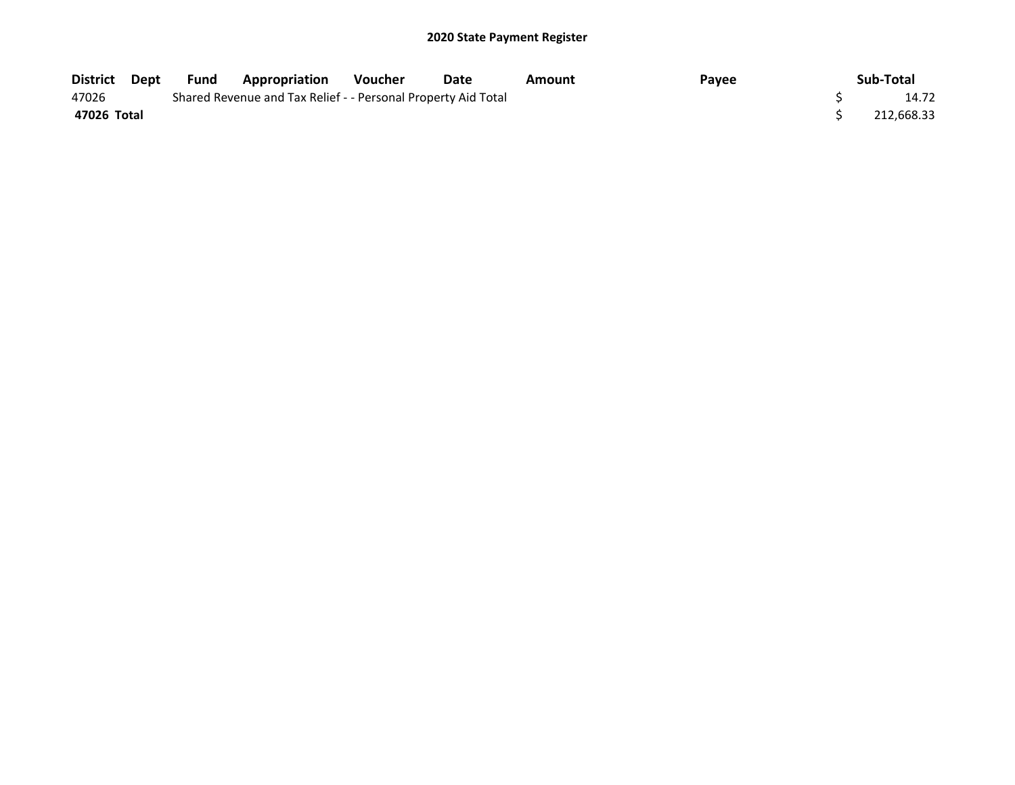| District Dept | Fund | Appropriation                                                 | <b>Voucher</b> | Date  | Amount | Payee | Sub-Total  |
|---------------|------|---------------------------------------------------------------|----------------|-------|--------|-------|------------|
| 47026         |      | Shared Revenue and Tax Relief - - Personal Property Aid Total |                | 14.72 |        |       |            |
| 47026 Total   |      |                                                               |                |       |        |       | 212,668.33 |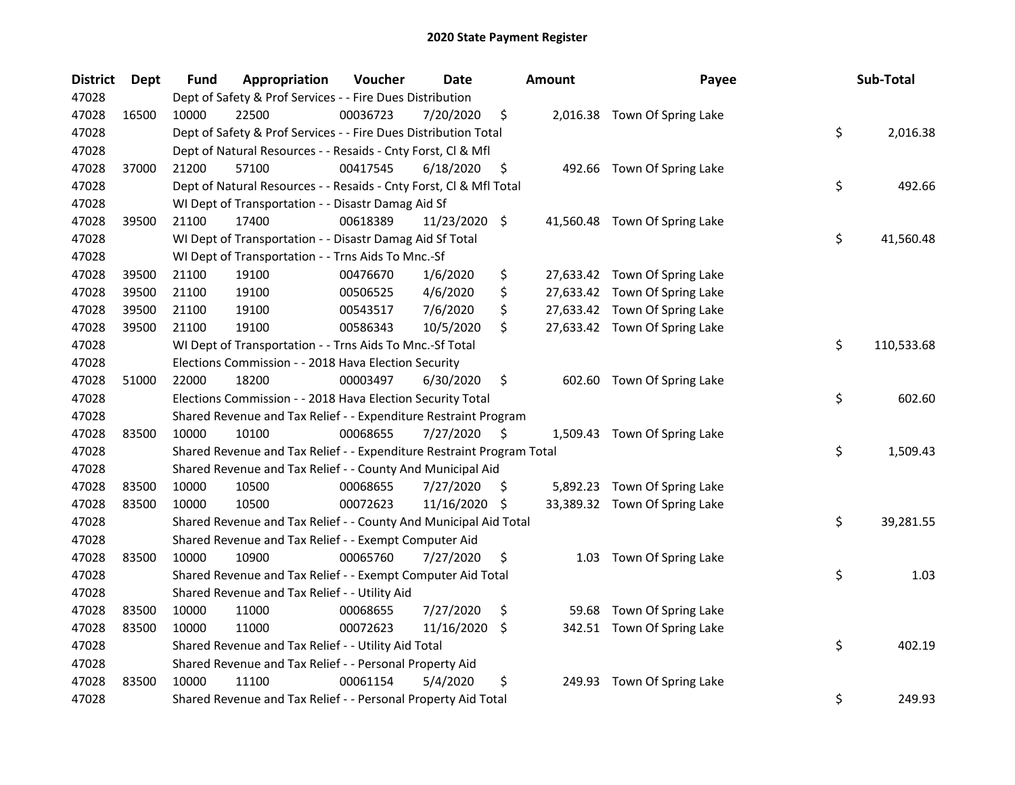| <b>District</b> | Dept  | <b>Fund</b> | Appropriation                                                         | Voucher  | <b>Date</b>   |     | Amount | Payee                         | Sub-Total        |
|-----------------|-------|-------------|-----------------------------------------------------------------------|----------|---------------|-----|--------|-------------------------------|------------------|
| 47028           |       |             | Dept of Safety & Prof Services - - Fire Dues Distribution             |          |               |     |        |                               |                  |
| 47028           | 16500 | 10000       | 22500                                                                 | 00036723 | 7/20/2020     | \$  |        | 2,016.38 Town Of Spring Lake  |                  |
| 47028           |       |             | Dept of Safety & Prof Services - - Fire Dues Distribution Total       |          |               |     |        |                               | \$<br>2,016.38   |
| 47028           |       |             | Dept of Natural Resources - - Resaids - Cnty Forst, Cl & Mfl          |          |               |     |        |                               |                  |
| 47028           | 37000 | 21200       | 57100                                                                 | 00417545 | 6/18/2020     | \$  |        | 492.66 Town Of Spring Lake    |                  |
| 47028           |       |             | Dept of Natural Resources - - Resaids - Cnty Forst, Cl & Mfl Total    |          |               |     |        |                               | \$<br>492.66     |
| 47028           |       |             | WI Dept of Transportation - - Disastr Damag Aid Sf                    |          |               |     |        |                               |                  |
| 47028           | 39500 | 21100       | 17400                                                                 | 00618389 | 11/23/2020 \$ |     |        | 41,560.48 Town Of Spring Lake |                  |
| 47028           |       |             | WI Dept of Transportation - - Disastr Damag Aid Sf Total              |          |               |     |        |                               | \$<br>41,560.48  |
| 47028           |       |             | WI Dept of Transportation - - Trns Aids To Mnc.-Sf                    |          |               |     |        |                               |                  |
| 47028           | 39500 | 21100       | 19100                                                                 | 00476670 | 1/6/2020      | \$  |        | 27,633.42 Town Of Spring Lake |                  |
| 47028           | 39500 | 21100       | 19100                                                                 | 00506525 | 4/6/2020      | \$  |        | 27,633.42 Town Of Spring Lake |                  |
| 47028           | 39500 | 21100       | 19100                                                                 | 00543517 | 7/6/2020      | \$  |        | 27,633.42 Town Of Spring Lake |                  |
| 47028           | 39500 | 21100       | 19100                                                                 | 00586343 | 10/5/2020     | \$  |        | 27,633.42 Town Of Spring Lake |                  |
| 47028           |       |             | WI Dept of Transportation - - Trns Aids To Mnc.-Sf Total              |          |               |     |        |                               | \$<br>110,533.68 |
| 47028           |       |             | Elections Commission - - 2018 Hava Election Security                  |          |               |     |        |                               |                  |
| 47028           | 51000 | 22000       | 18200                                                                 | 00003497 | 6/30/2020     | \$  |        | 602.60 Town Of Spring Lake    |                  |
| 47028           |       |             | Elections Commission - - 2018 Hava Election Security Total            |          |               |     |        |                               | \$<br>602.60     |
| 47028           |       |             | Shared Revenue and Tax Relief - - Expenditure Restraint Program       |          |               |     |        |                               |                  |
| 47028           | 83500 | 10000       | 10100                                                                 | 00068655 | 7/27/2020     | \$  |        | 1,509.43 Town Of Spring Lake  |                  |
| 47028           |       |             | Shared Revenue and Tax Relief - - Expenditure Restraint Program Total |          |               |     |        |                               | \$<br>1,509.43   |
| 47028           |       |             | Shared Revenue and Tax Relief - - County And Municipal Aid            |          |               |     |        |                               |                  |
| 47028           | 83500 | 10000       | 10500                                                                 | 00068655 | 7/27/2020     | \$, |        | 5,892.23 Town Of Spring Lake  |                  |
| 47028           | 83500 | 10000       | 10500                                                                 | 00072623 | 11/16/2020    | -\$ |        | 33,389.32 Town Of Spring Lake |                  |
| 47028           |       |             | Shared Revenue and Tax Relief - - County And Municipal Aid Total      |          |               |     |        |                               | \$<br>39,281.55  |
| 47028           |       |             | Shared Revenue and Tax Relief - - Exempt Computer Aid                 |          |               |     |        |                               |                  |
| 47028           | 83500 | 10000       | 10900                                                                 | 00065760 | 7/27/2020     | \$  | 1.03   | Town Of Spring Lake           |                  |
| 47028           |       |             | Shared Revenue and Tax Relief - - Exempt Computer Aid Total           |          |               |     |        |                               | \$<br>1.03       |
| 47028           |       |             | Shared Revenue and Tax Relief - - Utility Aid                         |          |               |     |        |                               |                  |
| 47028           | 83500 | 10000       | 11000                                                                 | 00068655 | 7/27/2020     | \$  | 59.68  | Town Of Spring Lake           |                  |
| 47028           | 83500 | 10000       | 11000                                                                 | 00072623 | 11/16/2020    | -S  |        | 342.51 Town Of Spring Lake    |                  |
| 47028           |       |             | Shared Revenue and Tax Relief - - Utility Aid Total                   |          |               |     |        |                               | \$<br>402.19     |
| 47028           |       |             | Shared Revenue and Tax Relief - - Personal Property Aid               |          |               |     |        |                               |                  |
| 47028           | 83500 | 10000       | 11100                                                                 | 00061154 | 5/4/2020      | \$  | 249.93 | Town Of Spring Lake           |                  |
| 47028           |       |             | Shared Revenue and Tax Relief - - Personal Property Aid Total         |          |               |     |        |                               | \$<br>249.93     |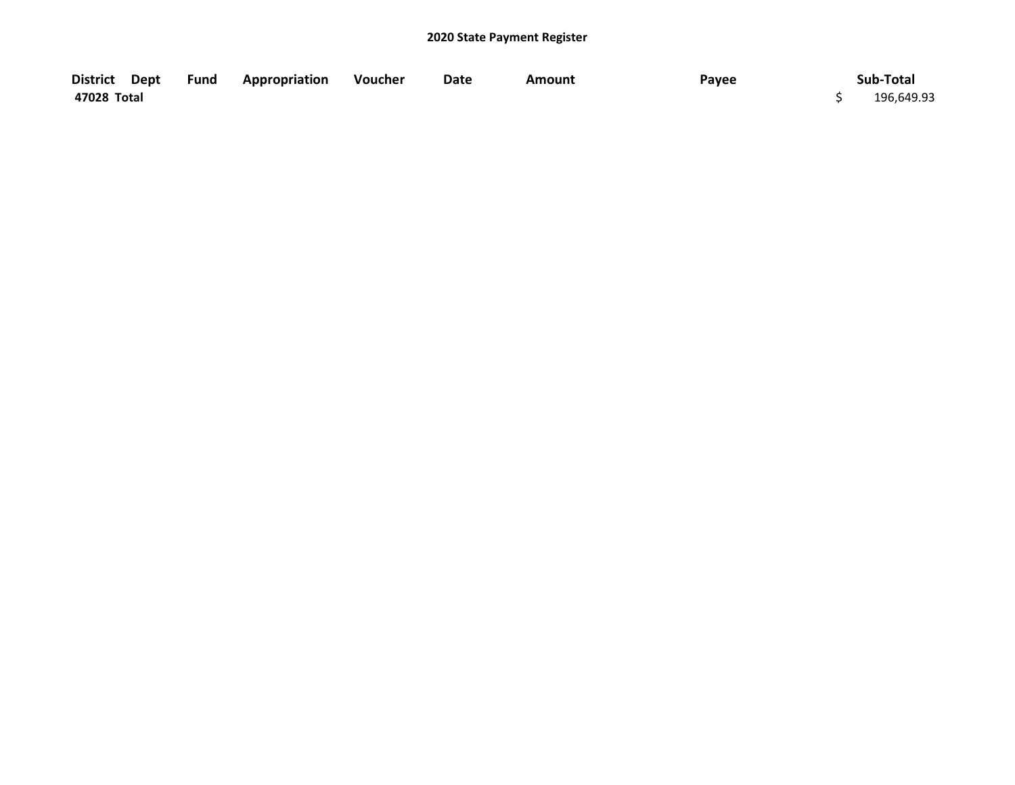| District Dept | <b>Fund Appropriation</b> | Voucher | Date | Amount | Payee | Sub-Total  |
|---------------|---------------------------|---------|------|--------|-------|------------|
| 47028 Total   |                           |         |      |        |       | 196,649.93 |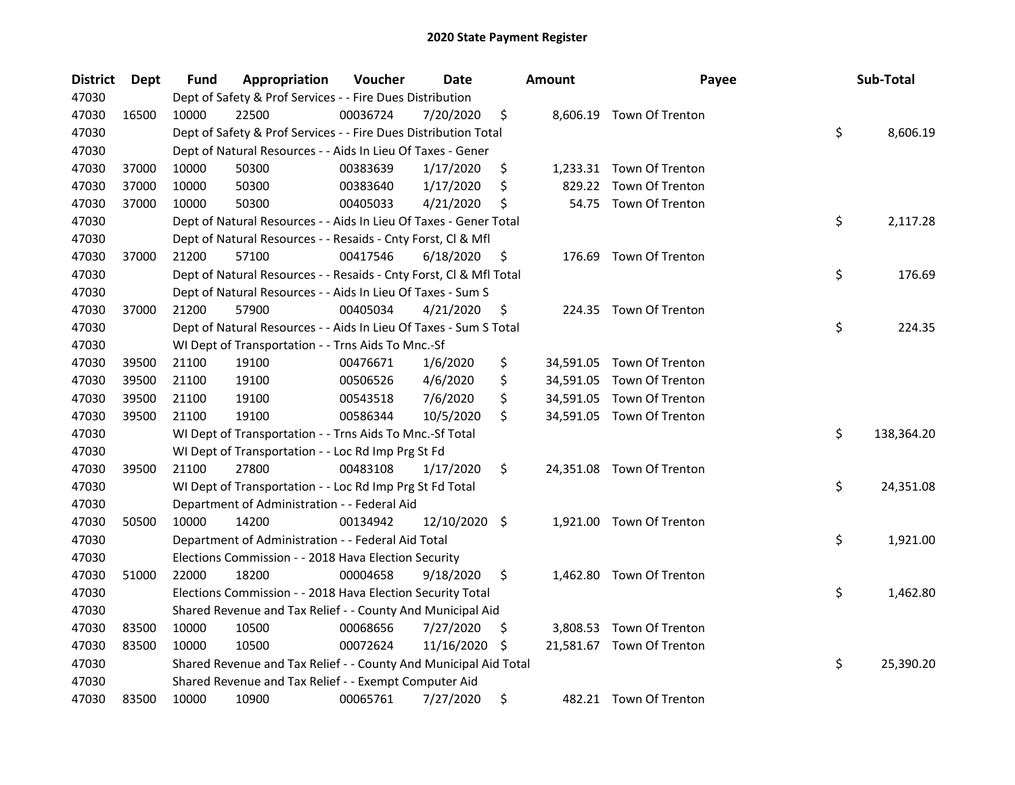| <b>District</b> | Dept  | Fund  | Appropriation                                                      | Voucher  | Date          |     | <b>Amount</b> | Payee                     | Sub-Total        |
|-----------------|-------|-------|--------------------------------------------------------------------|----------|---------------|-----|---------------|---------------------------|------------------|
| 47030           |       |       | Dept of Safety & Prof Services - - Fire Dues Distribution          |          |               |     |               |                           |                  |
| 47030           | 16500 | 10000 | 22500                                                              | 00036724 | 7/20/2020     | \$  |               | 8,606.19 Town Of Trenton  |                  |
| 47030           |       |       | Dept of Safety & Prof Services - - Fire Dues Distribution Total    |          |               |     |               |                           | \$<br>8,606.19   |
| 47030           |       |       | Dept of Natural Resources - - Aids In Lieu Of Taxes - Gener        |          |               |     |               |                           |                  |
| 47030           | 37000 | 10000 | 50300                                                              | 00383639 | 1/17/2020     | \$  |               | 1,233.31 Town Of Trenton  |                  |
| 47030           | 37000 | 10000 | 50300                                                              | 00383640 | 1/17/2020     | \$  | 829.22        | Town Of Trenton           |                  |
| 47030           | 37000 | 10000 | 50300                                                              | 00405033 | 4/21/2020     | \$  |               | 54.75 Town Of Trenton     |                  |
| 47030           |       |       | Dept of Natural Resources - - Aids In Lieu Of Taxes - Gener Total  |          |               |     |               |                           | \$<br>2,117.28   |
| 47030           |       |       | Dept of Natural Resources - - Resaids - Cnty Forst, Cl & Mfl       |          |               |     |               |                           |                  |
| 47030           | 37000 | 21200 | 57100                                                              | 00417546 | 6/18/2020     | \$, |               | 176.69 Town Of Trenton    |                  |
| 47030           |       |       | Dept of Natural Resources - - Resaids - Cnty Forst, Cl & Mfl Total |          |               |     |               |                           | \$<br>176.69     |
| 47030           |       |       | Dept of Natural Resources - - Aids In Lieu Of Taxes - Sum S        |          |               |     |               |                           |                  |
| 47030           | 37000 | 21200 | 57900                                                              | 00405034 | 4/21/2020     | \$  |               | 224.35 Town Of Trenton    |                  |
| 47030           |       |       | Dept of Natural Resources - - Aids In Lieu Of Taxes - Sum S Total  |          |               |     |               |                           | \$<br>224.35     |
| 47030           |       |       | WI Dept of Transportation - - Trns Aids To Mnc.-Sf                 |          |               |     |               |                           |                  |
| 47030           | 39500 | 21100 | 19100                                                              | 00476671 | 1/6/2020      | \$  |               | 34,591.05 Town Of Trenton |                  |
| 47030           | 39500 | 21100 | 19100                                                              | 00506526 | 4/6/2020      | \$  |               | 34,591.05 Town Of Trenton |                  |
| 47030           | 39500 | 21100 | 19100                                                              | 00543518 | 7/6/2020      | \$  |               | 34,591.05 Town Of Trenton |                  |
| 47030           | 39500 | 21100 | 19100                                                              | 00586344 | 10/5/2020     | \$  |               | 34,591.05 Town Of Trenton |                  |
| 47030           |       |       | WI Dept of Transportation - - Trns Aids To Mnc.-Sf Total           |          |               |     |               |                           | \$<br>138,364.20 |
| 47030           |       |       | WI Dept of Transportation - - Loc Rd Imp Prg St Fd                 |          |               |     |               |                           |                  |
| 47030           | 39500 | 21100 | 27800                                                              | 00483108 | 1/17/2020     | \$  |               | 24,351.08 Town Of Trenton |                  |
| 47030           |       |       | WI Dept of Transportation - - Loc Rd Imp Prg St Fd Total           |          |               |     |               |                           | \$<br>24,351.08  |
| 47030           |       |       | Department of Administration - - Federal Aid                       |          |               |     |               |                           |                  |
| 47030           | 50500 | 10000 | 14200                                                              | 00134942 | 12/10/2020 \$ |     |               | 1,921.00 Town Of Trenton  |                  |
| 47030           |       |       | Department of Administration - - Federal Aid Total                 |          |               |     |               |                           | \$<br>1,921.00   |
| 47030           |       |       | Elections Commission - - 2018 Hava Election Security               |          |               |     |               |                           |                  |
| 47030           | 51000 | 22000 | 18200                                                              | 00004658 | 9/18/2020     | \$  |               | 1,462.80 Town Of Trenton  |                  |
| 47030           |       |       | Elections Commission - - 2018 Hava Election Security Total         |          |               |     |               |                           | \$<br>1,462.80   |
| 47030           |       |       | Shared Revenue and Tax Relief - - County And Municipal Aid         |          |               |     |               |                           |                  |
| 47030           | 83500 | 10000 | 10500                                                              | 00068656 | 7/27/2020     | \$  |               | 3,808.53 Town Of Trenton  |                  |
| 47030           | 83500 | 10000 | 10500                                                              | 00072624 | 11/16/2020    | -S  |               | 21,581.67 Town Of Trenton |                  |
| 47030           |       |       | Shared Revenue and Tax Relief - - County And Municipal Aid Total   |          |               |     |               |                           | \$<br>25,390.20  |
| 47030           |       |       | Shared Revenue and Tax Relief - - Exempt Computer Aid              |          |               |     |               |                           |                  |
| 47030           | 83500 | 10000 | 10900                                                              | 00065761 | 7/27/2020     | \$  |               | 482.21 Town Of Trenton    |                  |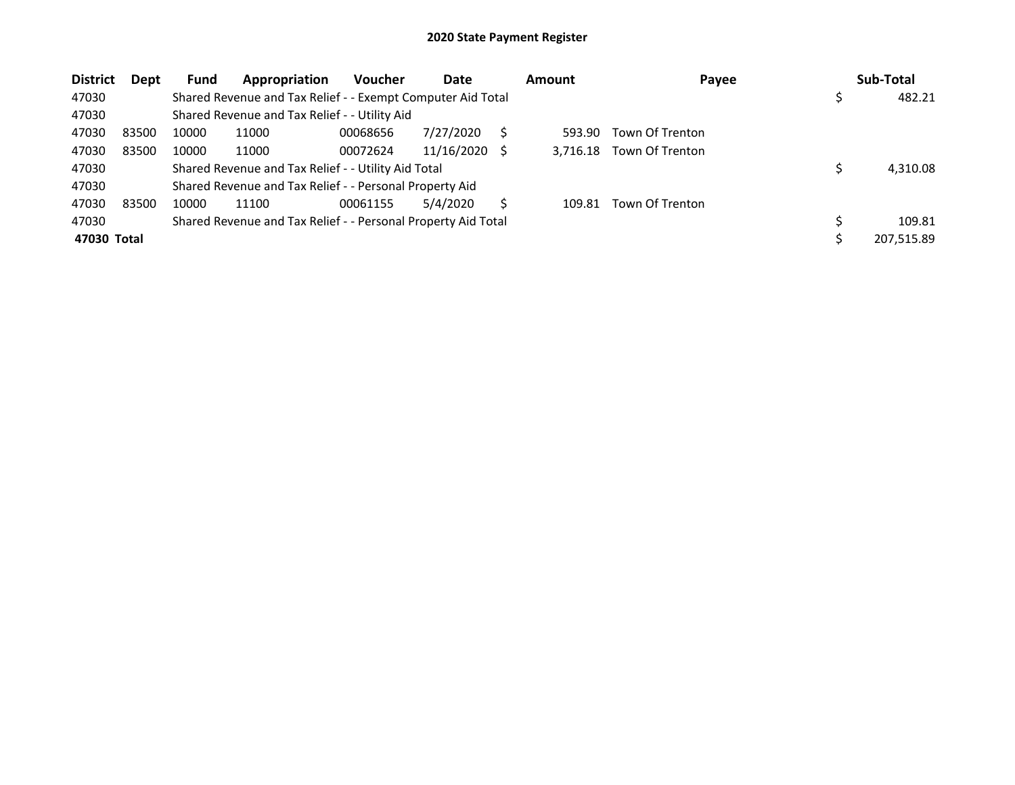| <b>District</b> | <b>Dept</b> | <b>Fund</b> | Appropriation                                                 | <b>Voucher</b> | Date          | <b>Amount</b> | Payee           | Sub-Total    |
|-----------------|-------------|-------------|---------------------------------------------------------------|----------------|---------------|---------------|-----------------|--------------|
| 47030           |             |             | Shared Revenue and Tax Relief - - Exempt Computer Aid Total   |                |               |               |                 | \$<br>482.21 |
| 47030           |             |             | Shared Revenue and Tax Relief - - Utility Aid                 |                |               |               |                 |              |
| 47030           | 83500       | 10000       | 11000                                                         | 00068656       | 7/27/2020     | 593.90        | Town Of Trenton |              |
| 47030           | 83500       | 10000       | 11000                                                         | 00072624       | 11/16/2020 \$ | 3.716.18      | Town Of Trenton |              |
| 47030           |             |             | Shared Revenue and Tax Relief - - Utility Aid Total           |                |               |               |                 | 4,310.08     |
| 47030           |             |             | Shared Revenue and Tax Relief - - Personal Property Aid       |                |               |               |                 |              |
| 47030           | 83500       | 10000       | 11100                                                         | 00061155       | 5/4/2020      | 109.81        | Town Of Trenton |              |
| 47030           |             |             | Shared Revenue and Tax Relief - - Personal Property Aid Total |                |               |               |                 | 109.81       |
| 47030 Total     |             |             |                                                               |                |               |               |                 | 207,515.89   |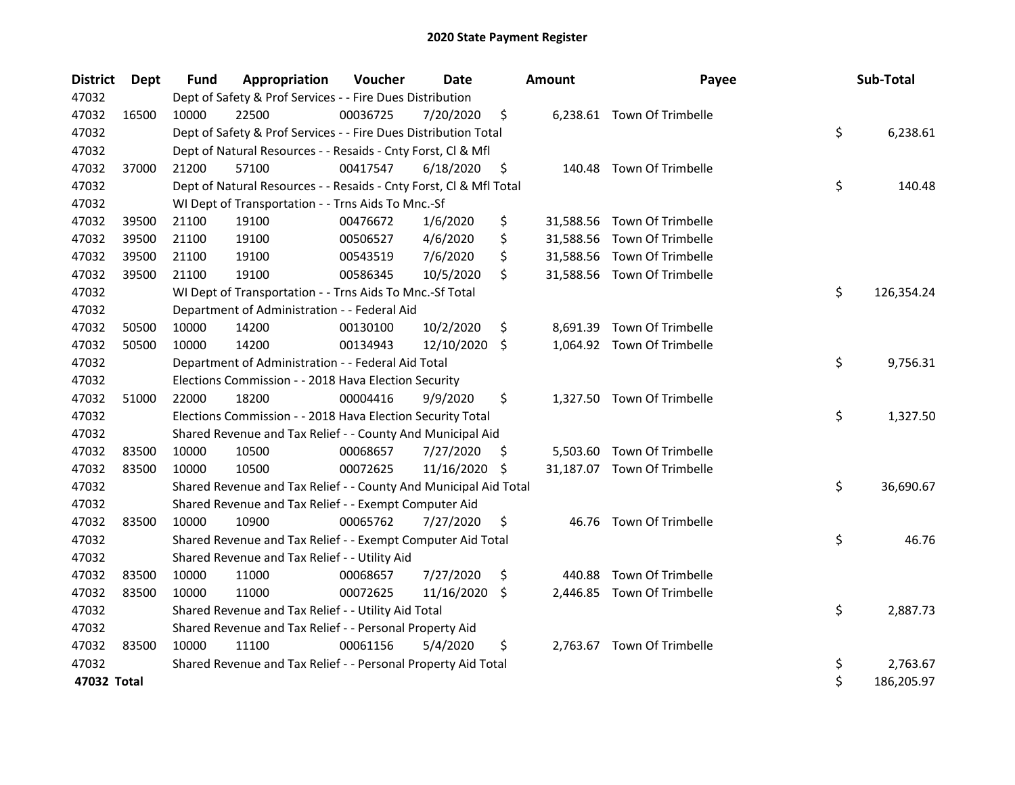| <b>District</b> | Dept  | Fund  | Appropriation                                                      | Voucher  | <b>Date</b> |     | <b>Amount</b> | Payee                       | Sub-Total        |
|-----------------|-------|-------|--------------------------------------------------------------------|----------|-------------|-----|---------------|-----------------------------|------------------|
| 47032           |       |       | Dept of Safety & Prof Services - - Fire Dues Distribution          |          |             |     |               |                             |                  |
| 47032           | 16500 | 10000 | 22500                                                              | 00036725 | 7/20/2020   | \$  |               | 6,238.61 Town Of Trimbelle  |                  |
| 47032           |       |       | Dept of Safety & Prof Services - - Fire Dues Distribution Total    |          |             |     |               |                             | \$<br>6,238.61   |
| 47032           |       |       | Dept of Natural Resources - - Resaids - Cnty Forst, Cl & Mfl       |          |             |     |               |                             |                  |
| 47032           | 37000 | 21200 | 57100                                                              | 00417547 | 6/18/2020   | \$  |               | 140.48 Town Of Trimbelle    |                  |
| 47032           |       |       | Dept of Natural Resources - - Resaids - Cnty Forst, Cl & Mfl Total |          |             |     |               |                             | \$<br>140.48     |
| 47032           |       |       | WI Dept of Transportation - - Trns Aids To Mnc.-Sf                 |          |             |     |               |                             |                  |
| 47032           | 39500 | 21100 | 19100                                                              | 00476672 | 1/6/2020    | \$  | 31,588.56     | <b>Town Of Trimbelle</b>    |                  |
| 47032           | 39500 | 21100 | 19100                                                              | 00506527 | 4/6/2020    | \$  | 31,588.56     | Town Of Trimbelle           |                  |
| 47032           | 39500 | 21100 | 19100                                                              | 00543519 | 7/6/2020    | \$  | 31,588.56     | Town Of Trimbelle           |                  |
| 47032           | 39500 | 21100 | 19100                                                              | 00586345 | 10/5/2020   | \$  |               | 31,588.56 Town Of Trimbelle |                  |
| 47032           |       |       | WI Dept of Transportation - - Trns Aids To Mnc.-Sf Total           |          |             |     |               |                             | \$<br>126,354.24 |
| 47032           |       |       | Department of Administration - - Federal Aid                       |          |             |     |               |                             |                  |
| 47032           | 50500 | 10000 | 14200                                                              | 00130100 | 10/2/2020   | \$  | 8,691.39      | Town Of Trimbelle           |                  |
| 47032           | 50500 | 10000 | 14200                                                              | 00134943 | 12/10/2020  | \$  |               | 1,064.92 Town Of Trimbelle  |                  |
| 47032           |       |       | Department of Administration - - Federal Aid Total                 |          |             |     |               |                             | \$<br>9,756.31   |
| 47032           |       |       | Elections Commission - - 2018 Hava Election Security               |          |             |     |               |                             |                  |
| 47032           | 51000 | 22000 | 18200                                                              | 00004416 | 9/9/2020    | \$  |               | 1,327.50 Town Of Trimbelle  |                  |
| 47032           |       |       | Elections Commission - - 2018 Hava Election Security Total         |          |             |     |               |                             | \$<br>1,327.50   |
| 47032           |       |       | Shared Revenue and Tax Relief - - County And Municipal Aid         |          |             |     |               |                             |                  |
| 47032           | 83500 | 10000 | 10500                                                              | 00068657 | 7/27/2020   | \$. | 5,503.60      | <b>Town Of Trimbelle</b>    |                  |
| 47032           | 83500 | 10000 | 10500                                                              | 00072625 | 11/16/2020  | \$  |               | 31,187.07 Town Of Trimbelle |                  |
| 47032           |       |       | Shared Revenue and Tax Relief - - County And Municipal Aid Total   |          |             |     |               |                             | \$<br>36,690.67  |
| 47032           |       |       | Shared Revenue and Tax Relief - - Exempt Computer Aid              |          |             |     |               |                             |                  |
| 47032           | 83500 | 10000 | 10900                                                              | 00065762 | 7/27/2020   | \$  | 46.76         | Town Of Trimbelle           |                  |
| 47032           |       |       | Shared Revenue and Tax Relief - - Exempt Computer Aid Total        |          |             |     |               |                             | \$<br>46.76      |
| 47032           |       |       | Shared Revenue and Tax Relief - - Utility Aid                      |          |             |     |               |                             |                  |
| 47032           | 83500 | 10000 | 11000                                                              | 00068657 | 7/27/2020   | \$, | 440.88        | Town Of Trimbelle           |                  |
| 47032           | 83500 | 10000 | 11000                                                              | 00072625 | 11/16/2020  | \$  | 2,446.85      | Town Of Trimbelle           |                  |
| 47032           |       |       | Shared Revenue and Tax Relief - - Utility Aid Total                |          |             |     |               |                             | \$<br>2,887.73   |
| 47032           |       |       | Shared Revenue and Tax Relief - - Personal Property Aid            |          |             |     |               |                             |                  |
| 47032           | 83500 | 10000 | 11100                                                              | 00061156 | 5/4/2020    | \$  |               | 2,763.67 Town Of Trimbelle  |                  |
| 47032           |       |       | Shared Revenue and Tax Relief - - Personal Property Aid Total      |          |             |     |               |                             | \$<br>2,763.67   |
| 47032 Total     |       |       |                                                                    |          |             |     |               |                             | \$<br>186,205.97 |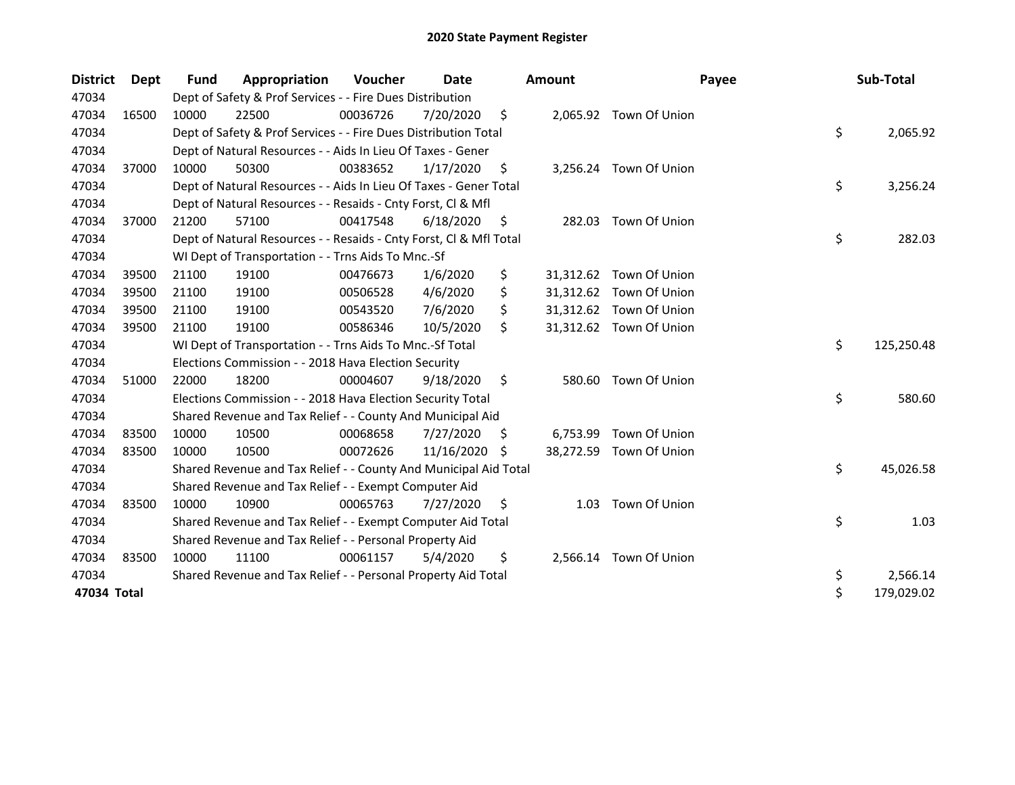| <b>District</b> | <b>Dept</b> | <b>Fund</b> | Appropriation                                                      | <b>Voucher</b> | Date       |    | <b>Amount</b> | Payee                   | Sub-Total        |
|-----------------|-------------|-------------|--------------------------------------------------------------------|----------------|------------|----|---------------|-------------------------|------------------|
| 47034           |             |             | Dept of Safety & Prof Services - - Fire Dues Distribution          |                |            |    |               |                         |                  |
| 47034           | 16500       | 10000       | 22500                                                              | 00036726       | 7/20/2020  | \$ |               | 2,065.92 Town Of Union  |                  |
| 47034           |             |             | Dept of Safety & Prof Services - - Fire Dues Distribution Total    |                |            |    |               |                         | \$<br>2,065.92   |
| 47034           |             |             | Dept of Natural Resources - - Aids In Lieu Of Taxes - Gener        |                |            |    |               |                         |                  |
| 47034           | 37000       | 10000       | 50300                                                              | 00383652       | 1/17/2020  | \$ |               | 3,256.24 Town Of Union  |                  |
| 47034           |             |             | Dept of Natural Resources - - Aids In Lieu Of Taxes - Gener Total  |                |            |    |               |                         | \$<br>3,256.24   |
| 47034           |             |             | Dept of Natural Resources - - Resaids - Cnty Forst, Cl & Mfl       |                |            |    |               |                         |                  |
| 47034           | 37000       | 21200       | 57100                                                              | 00417548       | 6/18/2020  | S  | 282.03        | Town Of Union           |                  |
| 47034           |             |             | Dept of Natural Resources - - Resaids - Cnty Forst, Cl & Mfl Total |                |            |    |               |                         | \$<br>282.03     |
| 47034           |             |             | WI Dept of Transportation - - Trns Aids To Mnc.-Sf                 |                |            |    |               |                         |                  |
| 47034           | 39500       | 21100       | 19100                                                              | 00476673       | 1/6/2020   | \$ |               | 31,312.62 Town Of Union |                  |
| 47034           | 39500       | 21100       | 19100                                                              | 00506528       | 4/6/2020   | \$ |               | 31,312.62 Town Of Union |                  |
| 47034           | 39500       | 21100       | 19100                                                              | 00543520       | 7/6/2020   |    |               | 31,312.62 Town Of Union |                  |
| 47034           | 39500       | 21100       | 19100                                                              | 00586346       | 10/5/2020  | Ŝ. |               | 31,312.62 Town Of Union |                  |
| 47034           |             |             | WI Dept of Transportation - - Trns Aids To Mnc.-Sf Total           |                |            |    |               |                         | \$<br>125,250.48 |
| 47034           |             |             | Elections Commission - - 2018 Hava Election Security               |                |            |    |               |                         |                  |
| 47034           | 51000       | 22000       | 18200                                                              | 00004607       | 9/18/2020  | \$ | 580.60        | Town Of Union           |                  |
| 47034           |             |             | Elections Commission - - 2018 Hava Election Security Total         |                |            |    |               |                         | \$<br>580.60     |
| 47034           |             |             | Shared Revenue and Tax Relief - - County And Municipal Aid         |                |            |    |               |                         |                  |
| 47034           | 83500       | 10000       | 10500                                                              | 00068658       | 7/27/2020  | S  | 6,753.99      | Town Of Union           |                  |
| 47034           | 83500       | 10000       | 10500                                                              | 00072626       | 11/16/2020 | S  |               | 38,272.59 Town Of Union |                  |
| 47034           |             |             | Shared Revenue and Tax Relief - - County And Municipal Aid Total   |                |            |    |               |                         | \$<br>45,026.58  |
| 47034           |             |             | Shared Revenue and Tax Relief - - Exempt Computer Aid              |                |            |    |               |                         |                  |
| 47034           | 83500       | 10000       | 10900                                                              | 00065763       | 7/27/2020  | S. | 1.03          | Town Of Union           |                  |
| 47034           |             |             | Shared Revenue and Tax Relief - - Exempt Computer Aid Total        |                |            |    |               |                         | \$<br>1.03       |
| 47034           |             |             | Shared Revenue and Tax Relief - - Personal Property Aid            |                |            |    |               |                         |                  |
| 47034           | 83500       | 10000       | 11100                                                              | 00061157       | 5/4/2020   | \$ |               | 2,566.14 Town Of Union  |                  |
| 47034           |             |             | Shared Revenue and Tax Relief - - Personal Property Aid Total      |                |            |    |               |                         | \$<br>2,566.14   |
| 47034 Total     |             |             |                                                                    |                |            |    |               |                         | \$<br>179,029.02 |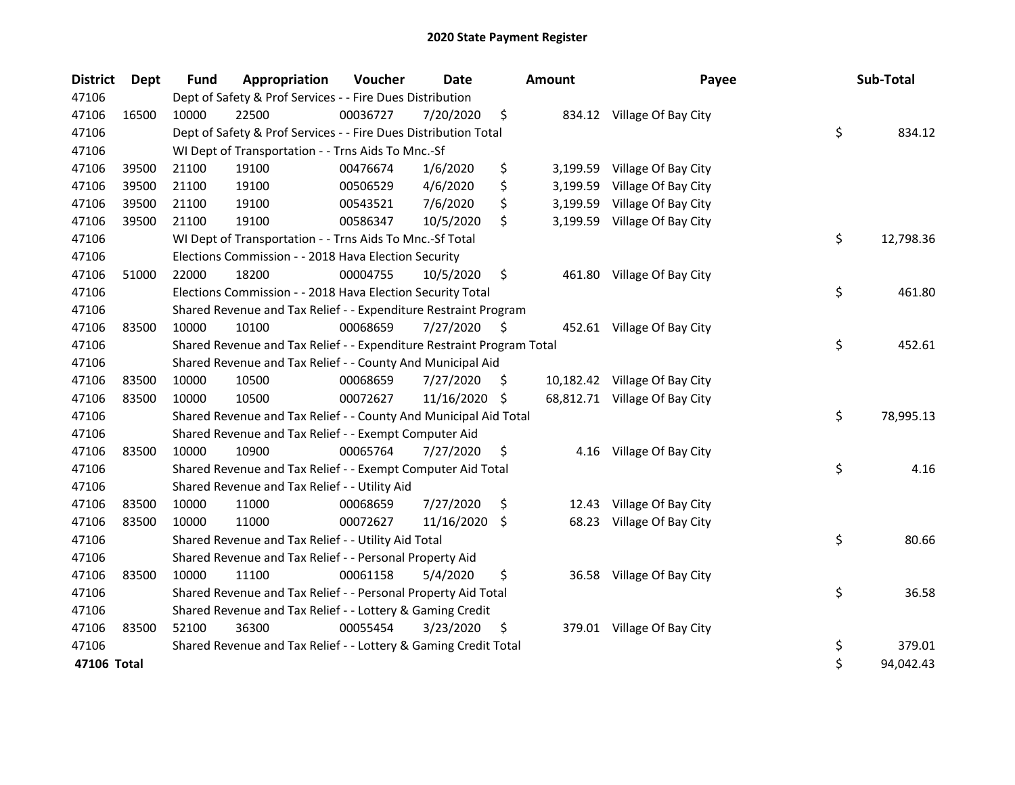| <b>District</b> | <b>Dept</b> | <b>Fund</b> | Appropriation                                                         | Voucher  | <b>Date</b>   |     | <b>Amount</b> | Payee                         | Sub-Total       |
|-----------------|-------------|-------------|-----------------------------------------------------------------------|----------|---------------|-----|---------------|-------------------------------|-----------------|
| 47106           |             |             | Dept of Safety & Prof Services - - Fire Dues Distribution             |          |               |     |               |                               |                 |
| 47106           | 16500       | 10000       | 22500                                                                 | 00036727 | 7/20/2020     | \$  |               | 834.12 Village Of Bay City    |                 |
| 47106           |             |             | Dept of Safety & Prof Services - - Fire Dues Distribution Total       |          |               |     |               |                               | \$<br>834.12    |
| 47106           |             |             | WI Dept of Transportation - - Trns Aids To Mnc.-Sf                    |          |               |     |               |                               |                 |
| 47106           | 39500       | 21100       | 19100                                                                 | 00476674 | 1/6/2020      | \$  | 3,199.59      | Village Of Bay City           |                 |
| 47106           | 39500       | 21100       | 19100                                                                 | 00506529 | 4/6/2020      | \$  | 3,199.59      | Village Of Bay City           |                 |
| 47106           | 39500       | 21100       | 19100                                                                 | 00543521 | 7/6/2020      | \$  | 3,199.59      | Village Of Bay City           |                 |
| 47106           | 39500       | 21100       | 19100                                                                 | 00586347 | 10/5/2020     | \$  | 3,199.59      | Village Of Bay City           |                 |
| 47106           |             |             | WI Dept of Transportation - - Trns Aids To Mnc.-Sf Total              |          |               |     |               |                               | \$<br>12,798.36 |
| 47106           |             |             | Elections Commission - - 2018 Hava Election Security                  |          |               |     |               |                               |                 |
| 47106           | 51000       | 22000       | 18200                                                                 | 00004755 | 10/5/2020     | \$  |               | 461.80 Village Of Bay City    |                 |
| 47106           |             |             | Elections Commission - - 2018 Hava Election Security Total            |          |               |     |               |                               | \$<br>461.80    |
| 47106           |             |             | Shared Revenue and Tax Relief - - Expenditure Restraint Program       |          |               |     |               |                               |                 |
| 47106           | 83500       | 10000       | 10100                                                                 | 00068659 | 7/27/2020     | \$. |               | 452.61 Village Of Bay City    |                 |
| 47106           |             |             | Shared Revenue and Tax Relief - - Expenditure Restraint Program Total |          |               |     |               |                               | \$<br>452.61    |
| 47106           |             |             | Shared Revenue and Tax Relief - - County And Municipal Aid            |          |               |     |               |                               |                 |
| 47106           | 83500       | 10000       | 10500                                                                 | 00068659 | 7/27/2020     | \$. |               | 10,182.42 Village Of Bay City |                 |
| 47106           | 83500       | 10000       | 10500                                                                 | 00072627 | 11/16/2020 \$ |     |               | 68,812.71 Village Of Bay City |                 |
| 47106           |             |             | Shared Revenue and Tax Relief - - County And Municipal Aid Total      |          |               |     |               |                               | \$<br>78,995.13 |
| 47106           |             |             | Shared Revenue and Tax Relief - - Exempt Computer Aid                 |          |               |     |               |                               |                 |
| 47106           | 83500       | 10000       | 10900                                                                 | 00065764 | 7/27/2020     | \$  |               | 4.16 Village Of Bay City      |                 |
| 47106           |             |             | Shared Revenue and Tax Relief - - Exempt Computer Aid Total           |          |               |     |               |                               | \$<br>4.16      |
| 47106           |             |             | Shared Revenue and Tax Relief - - Utility Aid                         |          |               |     |               |                               |                 |
| 47106           | 83500       | 10000       | 11000                                                                 | 00068659 | 7/27/2020     | \$  | 12.43         | Village Of Bay City           |                 |
| 47106           | 83500       | 10000       | 11000                                                                 | 00072627 | 11/16/2020    | \$. | 68.23         | Village Of Bay City           |                 |
| 47106           |             |             | Shared Revenue and Tax Relief - - Utility Aid Total                   |          |               |     |               |                               | \$<br>80.66     |
| 47106           |             |             | Shared Revenue and Tax Relief - - Personal Property Aid               |          |               |     |               |                               |                 |
| 47106           | 83500       | 10000       | 11100                                                                 | 00061158 | 5/4/2020      | \$  |               | 36.58 Village Of Bay City     |                 |
| 47106           |             |             | Shared Revenue and Tax Relief - - Personal Property Aid Total         |          |               |     |               |                               | \$<br>36.58     |
| 47106           |             |             | Shared Revenue and Tax Relief - - Lottery & Gaming Credit             |          |               |     |               |                               |                 |
| 47106           | 83500       | 52100       | 36300                                                                 | 00055454 | 3/23/2020     | \$  |               | 379.01 Village Of Bay City    |                 |
| 47106           |             |             | Shared Revenue and Tax Relief - - Lottery & Gaming Credit Total       |          |               |     |               |                               | \$<br>379.01    |
| 47106 Total     |             |             |                                                                       |          |               |     |               |                               | \$<br>94,042.43 |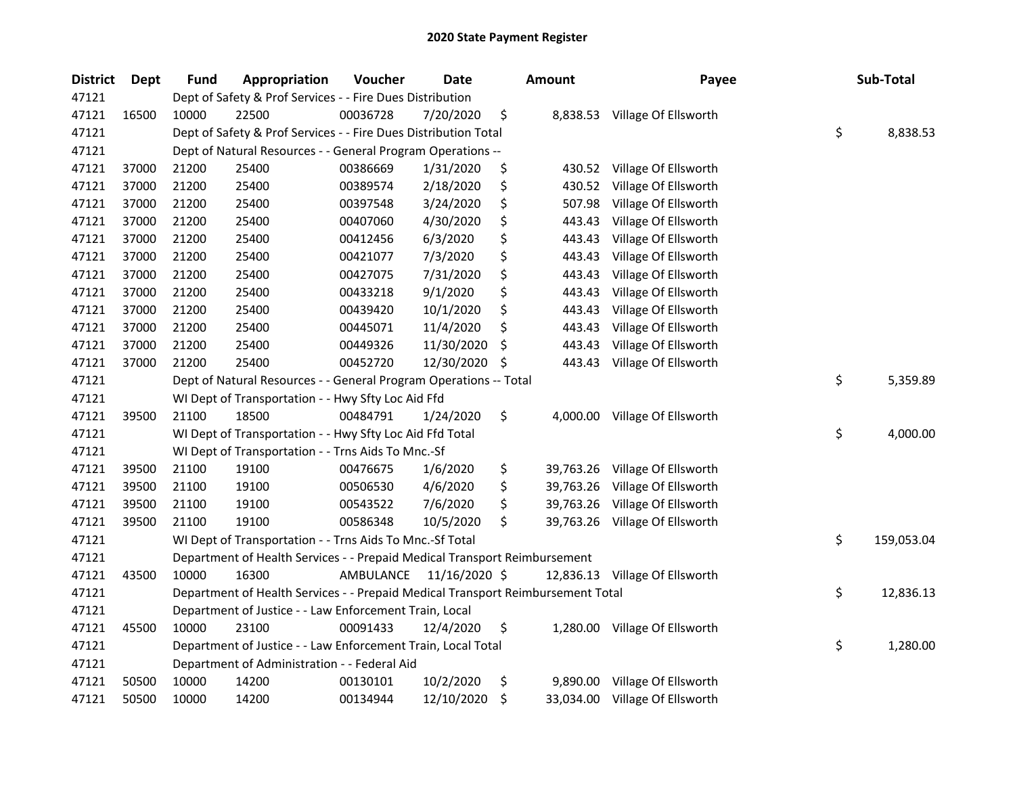| <b>District</b> | Dept  | Fund  | Appropriation                                                                   | Voucher   | <b>Date</b>   | Amount          | Payee                          | Sub-Total        |
|-----------------|-------|-------|---------------------------------------------------------------------------------|-----------|---------------|-----------------|--------------------------------|------------------|
| 47121           |       |       | Dept of Safety & Prof Services - - Fire Dues Distribution                       |           |               |                 |                                |                  |
| 47121           | 16500 | 10000 | 22500                                                                           | 00036728  | 7/20/2020     | \$              | 8,838.53 Village Of Ellsworth  |                  |
| 47121           |       |       | Dept of Safety & Prof Services - - Fire Dues Distribution Total                 |           |               |                 |                                | \$<br>8,838.53   |
| 47121           |       |       | Dept of Natural Resources - - General Program Operations --                     |           |               |                 |                                |                  |
| 47121           | 37000 | 21200 | 25400                                                                           | 00386669  | 1/31/2020     | \$<br>430.52    | Village Of Ellsworth           |                  |
| 47121           | 37000 | 21200 | 25400                                                                           | 00389574  | 2/18/2020     | \$<br>430.52    | Village Of Ellsworth           |                  |
| 47121           | 37000 | 21200 | 25400                                                                           | 00397548  | 3/24/2020     | \$<br>507.98    | Village Of Ellsworth           |                  |
| 47121           | 37000 | 21200 | 25400                                                                           | 00407060  | 4/30/2020     | \$<br>443.43    | Village Of Ellsworth           |                  |
| 47121           | 37000 | 21200 | 25400                                                                           | 00412456  | 6/3/2020      | \$<br>443.43    | Village Of Ellsworth           |                  |
| 47121           | 37000 | 21200 | 25400                                                                           | 00421077  | 7/3/2020      | \$<br>443.43    | Village Of Ellsworth           |                  |
| 47121           | 37000 | 21200 | 25400                                                                           | 00427075  | 7/31/2020     | \$<br>443.43    | Village Of Ellsworth           |                  |
| 47121           | 37000 | 21200 | 25400                                                                           | 00433218  | 9/1/2020      | \$<br>443.43    | Village Of Ellsworth           |                  |
| 47121           | 37000 | 21200 | 25400                                                                           | 00439420  | 10/1/2020     | \$<br>443.43    | Village Of Ellsworth           |                  |
| 47121           | 37000 | 21200 | 25400                                                                           | 00445071  | 11/4/2020     | \$<br>443.43    | Village Of Ellsworth           |                  |
| 47121           | 37000 | 21200 | 25400                                                                           | 00449326  | 11/30/2020    | \$<br>443.43    | Village Of Ellsworth           |                  |
| 47121           | 37000 | 21200 | 25400                                                                           | 00452720  | 12/30/2020    | \$<br>443.43    | Village Of Ellsworth           |                  |
| 47121           |       |       | Dept of Natural Resources - - General Program Operations -- Total               |           |               |                 |                                | \$<br>5,359.89   |
| 47121           |       |       | WI Dept of Transportation - - Hwy Sfty Loc Aid Ffd                              |           |               |                 |                                |                  |
| 47121           | 39500 | 21100 | 18500                                                                           | 00484791  | 1/24/2020     | \$<br>4,000.00  | Village Of Ellsworth           |                  |
| 47121           |       |       | WI Dept of Transportation - - Hwy Sfty Loc Aid Ffd Total                        |           |               |                 |                                | \$<br>4,000.00   |
| 47121           |       |       | WI Dept of Transportation - - Trns Aids To Mnc.-Sf                              |           |               |                 |                                |                  |
| 47121           | 39500 | 21100 | 19100                                                                           | 00476675  | 1/6/2020      | \$              | 39,763.26 Village Of Ellsworth |                  |
| 47121           | 39500 | 21100 | 19100                                                                           | 00506530  | 4/6/2020      | \$              | 39,763.26 Village Of Ellsworth |                  |
| 47121           | 39500 | 21100 | 19100                                                                           | 00543522  | 7/6/2020      | \$<br>39,763.26 | Village Of Ellsworth           |                  |
| 47121           | 39500 | 21100 | 19100                                                                           | 00586348  | 10/5/2020     | \$              | 39,763.26 Village Of Ellsworth |                  |
| 47121           |       |       | WI Dept of Transportation - - Trns Aids To Mnc.-Sf Total                        |           |               |                 |                                | \$<br>159,053.04 |
| 47121           |       |       | Department of Health Services - - Prepaid Medical Transport Reimbursement       |           |               |                 |                                |                  |
| 47121           | 43500 | 10000 | 16300                                                                           | AMBULANCE | 11/16/2020 \$ |                 | 12,836.13 Village Of Ellsworth |                  |
| 47121           |       |       | Department of Health Services - - Prepaid Medical Transport Reimbursement Total |           |               |                 |                                | \$<br>12,836.13  |
| 47121           |       |       | Department of Justice - - Law Enforcement Train, Local                          |           |               |                 |                                |                  |
| 47121           | 45500 | 10000 | 23100                                                                           | 00091433  | 12/4/2020     | \$              | 1,280.00 Village Of Ellsworth  |                  |
| 47121           |       |       | Department of Justice - - Law Enforcement Train, Local Total                    |           |               |                 |                                | \$<br>1,280.00   |
| 47121           |       |       | Department of Administration - - Federal Aid                                    |           |               |                 |                                |                  |
| 47121           | 50500 | 10000 | 14200                                                                           | 00130101  | 10/2/2020     | \$              | 9,890.00 Village Of Ellsworth  |                  |
| 47121           | 50500 | 10000 | 14200                                                                           | 00134944  | 12/10/2020    | \$              | 33,034.00 Village Of Ellsworth |                  |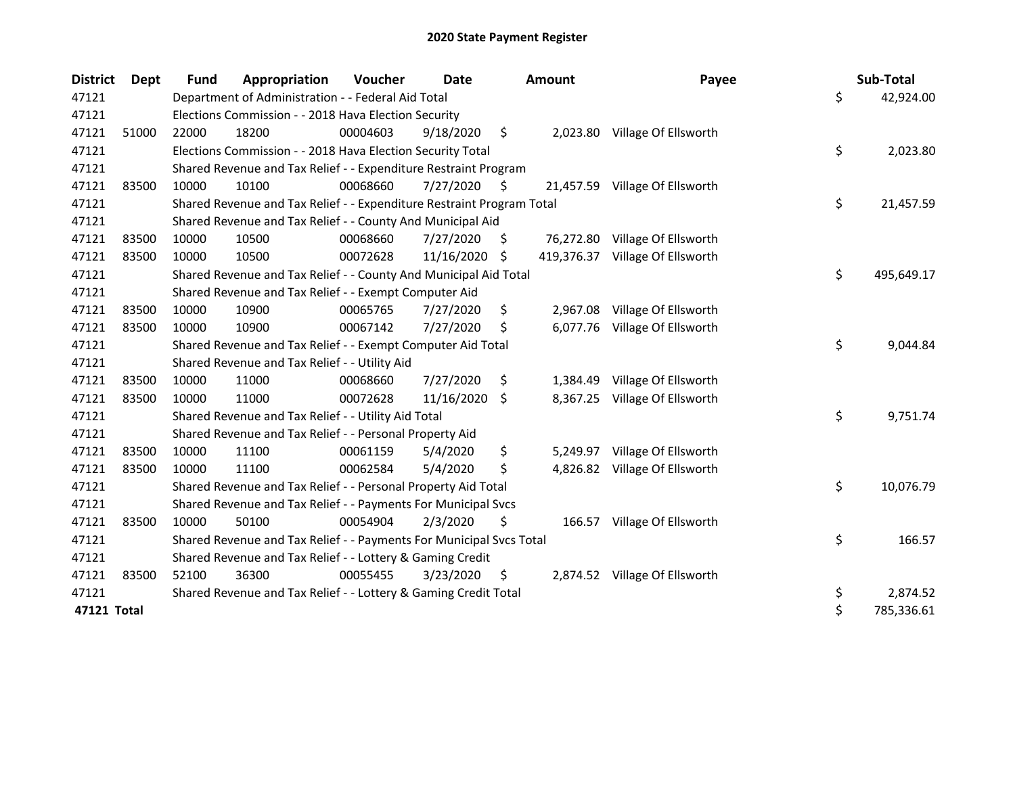| <b>District</b> | Dept  | <b>Fund</b> | Appropriation                                                         | Voucher  | Date       |     | <b>Amount</b> | Payee                          | Sub-Total        |
|-----------------|-------|-------------|-----------------------------------------------------------------------|----------|------------|-----|---------------|--------------------------------|------------------|
| 47121           |       |             | Department of Administration - - Federal Aid Total                    |          |            |     |               |                                | \$<br>42,924.00  |
| 47121           |       |             | Elections Commission - - 2018 Hava Election Security                  |          |            |     |               |                                |                  |
| 47121           | 51000 | 22000       | 18200                                                                 | 00004603 | 9/18/2020  | \$  | 2,023.80      | Village Of Ellsworth           |                  |
| 47121           |       |             | Elections Commission - - 2018 Hava Election Security Total            |          |            |     |               |                                | \$<br>2,023.80   |
| 47121           |       |             | Shared Revenue and Tax Relief - - Expenditure Restraint Program       |          |            |     |               |                                |                  |
| 47121           | 83500 | 10000       | 10100                                                                 | 00068660 | 7/27/2020  | -\$ |               | 21,457.59 Village Of Ellsworth |                  |
| 47121           |       |             | Shared Revenue and Tax Relief - - Expenditure Restraint Program Total |          |            |     |               |                                | \$<br>21,457.59  |
| 47121           |       |             | Shared Revenue and Tax Relief - - County And Municipal Aid            |          |            |     |               |                                |                  |
| 47121           | 83500 | 10000       | 10500                                                                 | 00068660 | 7/27/2020  | \$  | 76,272.80     | Village Of Ellsworth           |                  |
| 47121           | 83500 | 10000       | 10500                                                                 | 00072628 | 11/16/2020 | \$  | 419,376.37    | Village Of Ellsworth           |                  |
| 47121           |       |             | Shared Revenue and Tax Relief - - County And Municipal Aid Total      |          |            |     |               |                                | \$<br>495,649.17 |
| 47121           |       |             | Shared Revenue and Tax Relief - - Exempt Computer Aid                 |          |            |     |               |                                |                  |
| 47121           | 83500 | 10000       | 10900                                                                 | 00065765 | 7/27/2020  | \$  | 2,967.08      | Village Of Ellsworth           |                  |
| 47121           | 83500 | 10000       | 10900                                                                 | 00067142 | 7/27/2020  | S   | 6,077.76      | Village Of Ellsworth           |                  |
| 47121           |       |             | Shared Revenue and Tax Relief - - Exempt Computer Aid Total           |          |            |     |               |                                | \$<br>9,044.84   |
| 47121           |       |             | Shared Revenue and Tax Relief - - Utility Aid                         |          |            |     |               |                                |                  |
| 47121           | 83500 | 10000       | 11000                                                                 | 00068660 | 7/27/2020  | \$  | 1,384.49      | Village Of Ellsworth           |                  |
| 47121           | 83500 | 10000       | 11000                                                                 | 00072628 | 11/16/2020 | -S  | 8,367.25      | Village Of Ellsworth           |                  |
| 47121           |       |             | Shared Revenue and Tax Relief - - Utility Aid Total                   |          |            |     |               |                                | \$<br>9,751.74   |
| 47121           |       |             | Shared Revenue and Tax Relief - - Personal Property Aid               |          |            |     |               |                                |                  |
| 47121           | 83500 | 10000       | 11100                                                                 | 00061159 | 5/4/2020   | \$  | 5,249.97      | Village Of Ellsworth           |                  |
| 47121           | 83500 | 10000       | 11100                                                                 | 00062584 | 5/4/2020   | \$  | 4,826.82      | Village Of Ellsworth           |                  |
| 47121           |       |             | Shared Revenue and Tax Relief - - Personal Property Aid Total         |          |            |     |               |                                | \$<br>10,076.79  |
| 47121           |       |             | Shared Revenue and Tax Relief - - Payments For Municipal Svcs         |          |            |     |               |                                |                  |
| 47121           | 83500 | 10000       | 50100                                                                 | 00054904 | 2/3/2020   | \$  | 166.57        | Village Of Ellsworth           |                  |
| 47121           |       |             | Shared Revenue and Tax Relief - - Payments For Municipal Svcs Total   |          |            |     |               |                                | \$<br>166.57     |
| 47121           |       |             | Shared Revenue and Tax Relief - - Lottery & Gaming Credit             |          |            |     |               |                                |                  |
| 47121           | 83500 | 52100       | 36300                                                                 | 00055455 | 3/23/2020  | \$  |               | 2,874.52 Village Of Ellsworth  |                  |
| 47121           |       |             | Shared Revenue and Tax Relief - - Lottery & Gaming Credit Total       |          |            |     |               |                                | \$<br>2,874.52   |
| 47121 Total     |       |             |                                                                       |          |            |     |               |                                | \$<br>785,336.61 |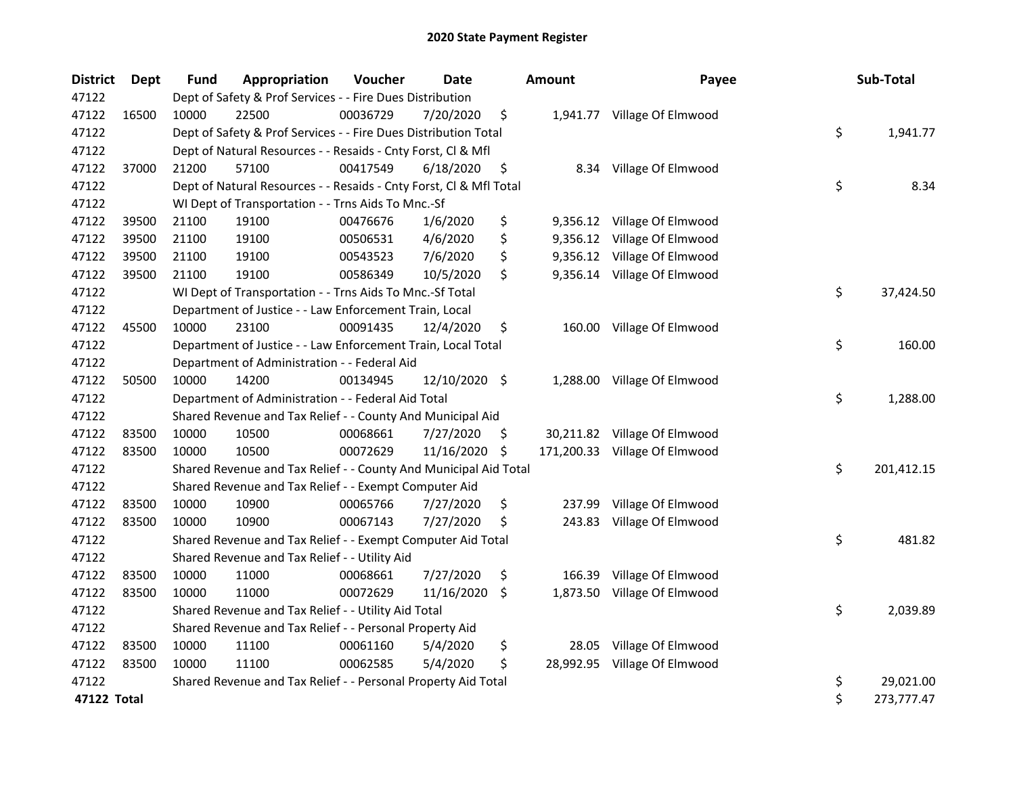| <b>District</b> | Dept  | <b>Fund</b> | Appropriation                                                      | Voucher  | <b>Date</b>   |     | <b>Amount</b> | Payee                         | Sub-Total        |
|-----------------|-------|-------------|--------------------------------------------------------------------|----------|---------------|-----|---------------|-------------------------------|------------------|
| 47122           |       |             | Dept of Safety & Prof Services - - Fire Dues Distribution          |          |               |     |               |                               |                  |
| 47122           | 16500 | 10000       | 22500                                                              | 00036729 | 7/20/2020     | \$  |               | 1,941.77 Village Of Elmwood   |                  |
| 47122           |       |             | Dept of Safety & Prof Services - - Fire Dues Distribution Total    |          |               |     |               |                               | \$<br>1,941.77   |
| 47122           |       |             | Dept of Natural Resources - - Resaids - Cnty Forst, Cl & Mfl       |          |               |     |               |                               |                  |
| 47122           | 37000 | 21200       | 57100                                                              | 00417549 | 6/18/2020     | \$  |               | 8.34 Village Of Elmwood       |                  |
| 47122           |       |             | Dept of Natural Resources - - Resaids - Cnty Forst, Cl & Mfl Total |          |               |     |               |                               | \$<br>8.34       |
| 47122           |       |             | WI Dept of Transportation - - Trns Aids To Mnc.-Sf                 |          |               |     |               |                               |                  |
| 47122           | 39500 | 21100       | 19100                                                              | 00476676 | 1/6/2020      | \$  |               | 9,356.12 Village Of Elmwood   |                  |
| 47122           | 39500 | 21100       | 19100                                                              | 00506531 | 4/6/2020      | \$  | 9,356.12      | Village Of Elmwood            |                  |
| 47122           | 39500 | 21100       | 19100                                                              | 00543523 | 7/6/2020      | \$  |               | 9,356.12 Village Of Elmwood   |                  |
| 47122           | 39500 | 21100       | 19100                                                              | 00586349 | 10/5/2020     | \$  |               | 9,356.14 Village Of Elmwood   |                  |
| 47122           |       |             | WI Dept of Transportation - - Trns Aids To Mnc.-Sf Total           |          |               |     |               |                               | \$<br>37,424.50  |
| 47122           |       |             | Department of Justice - - Law Enforcement Train, Local             |          |               |     |               |                               |                  |
| 47122           | 45500 | 10000       | 23100                                                              | 00091435 | 12/4/2020     | \$  |               | 160.00 Village Of Elmwood     |                  |
| 47122           |       |             | Department of Justice - - Law Enforcement Train, Local Total       |          |               |     |               |                               | \$<br>160.00     |
| 47122           |       |             | Department of Administration - - Federal Aid                       |          |               |     |               |                               |                  |
| 47122           | 50500 | 10000       | 14200                                                              | 00134945 | 12/10/2020 \$ |     | 1,288.00      | Village Of Elmwood            |                  |
| 47122           |       |             | Department of Administration - - Federal Aid Total                 |          |               |     |               |                               | \$<br>1,288.00   |
| 47122           |       |             | Shared Revenue and Tax Relief - - County And Municipal Aid         |          |               |     |               |                               |                  |
| 47122           | 83500 | 10000       | 10500                                                              | 00068661 | 7/27/2020     | \$  |               | 30,211.82 Village Of Elmwood  |                  |
| 47122           | 83500 | 10000       | 10500                                                              | 00072629 | 11/16/2020    | -\$ |               | 171,200.33 Village Of Elmwood |                  |
| 47122           |       |             | Shared Revenue and Tax Relief - - County And Municipal Aid Total   |          |               |     |               |                               | \$<br>201,412.15 |
| 47122           |       |             | Shared Revenue and Tax Relief - - Exempt Computer Aid              |          |               |     |               |                               |                  |
| 47122           | 83500 | 10000       | 10900                                                              | 00065766 | 7/27/2020     | \$  | 237.99        | Village Of Elmwood            |                  |
| 47122           | 83500 | 10000       | 10900                                                              | 00067143 | 7/27/2020     | \$  | 243.83        | Village Of Elmwood            |                  |
| 47122           |       |             | Shared Revenue and Tax Relief - - Exempt Computer Aid Total        |          |               |     |               |                               | \$<br>481.82     |
| 47122           |       |             | Shared Revenue and Tax Relief - - Utility Aid                      |          |               |     |               |                               |                  |
| 47122           | 83500 | 10000       | 11000                                                              | 00068661 | 7/27/2020     | \$  | 166.39        | Village Of Elmwood            |                  |
| 47122           | 83500 | 10000       | 11000                                                              | 00072629 | 11/16/2020    | \$  | 1,873.50      | Village Of Elmwood            |                  |
| 47122           |       |             | Shared Revenue and Tax Relief - - Utility Aid Total                |          |               |     |               |                               | \$<br>2,039.89   |
| 47122           |       |             | Shared Revenue and Tax Relief - - Personal Property Aid            |          |               |     |               |                               |                  |
| 47122           | 83500 | 10000       | 11100                                                              | 00061160 | 5/4/2020      | \$  | 28.05         | Village Of Elmwood            |                  |
| 47122           | 83500 | 10000       | 11100                                                              | 00062585 | 5/4/2020      | \$  |               | 28,992.95 Village Of Elmwood  |                  |
| 47122           |       |             | Shared Revenue and Tax Relief - - Personal Property Aid Total      |          |               |     |               |                               | \$<br>29,021.00  |
| 47122 Total     |       |             |                                                                    |          |               |     |               |                               | \$<br>273,777.47 |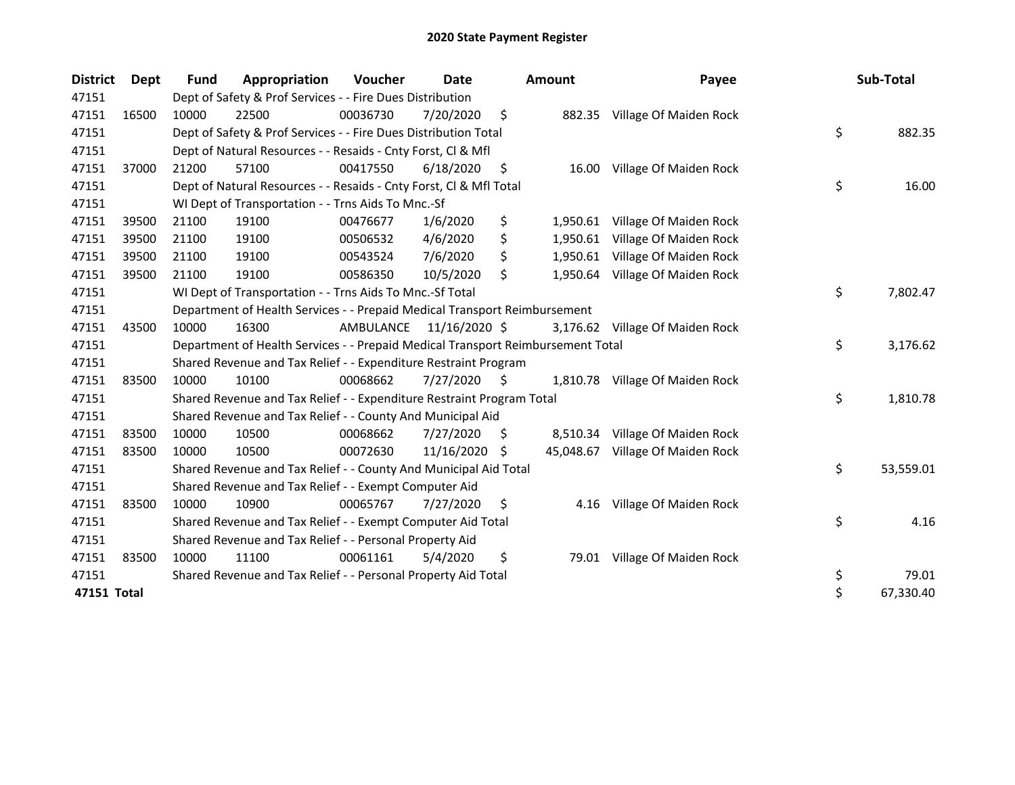| <b>District</b> | Dept  | Fund  | Appropriation                                                                   | Voucher   | Date           |     | <b>Amount</b> | Payee                           | Sub-Total       |
|-----------------|-------|-------|---------------------------------------------------------------------------------|-----------|----------------|-----|---------------|---------------------------------|-----------------|
| 47151           |       |       | Dept of Safety & Prof Services - - Fire Dues Distribution                       |           |                |     |               |                                 |                 |
| 47151           | 16500 | 10000 | 22500                                                                           | 00036730  | 7/20/2020      | \$  |               | 882.35 Village Of Maiden Rock   |                 |
| 47151           |       |       | Dept of Safety & Prof Services - - Fire Dues Distribution Total                 |           |                |     |               |                                 | \$<br>882.35    |
| 47151           |       |       | Dept of Natural Resources - - Resaids - Cnty Forst, Cl & Mfl                    |           |                |     |               |                                 |                 |
| 47151           | 37000 | 21200 | 57100                                                                           | 00417550  | 6/18/2020      | \$  | 16.00         | Village Of Maiden Rock          |                 |
| 47151           |       |       | Dept of Natural Resources - - Resaids - Cnty Forst, Cl & Mfl Total              |           |                |     |               |                                 | \$<br>16.00     |
| 47151           |       |       | WI Dept of Transportation - - Trns Aids To Mnc.-Sf                              |           |                |     |               |                                 |                 |
| 47151           | 39500 | 21100 | 19100                                                                           | 00476677  | 1/6/2020       | \$  | 1,950.61      | Village Of Maiden Rock          |                 |
| 47151           | 39500 | 21100 | 19100                                                                           | 00506532  | 4/6/2020       | \$  | 1,950.61      | Village Of Maiden Rock          |                 |
| 47151           | 39500 | 21100 | 19100                                                                           | 00543524  | 7/6/2020       | \$  | 1,950.61      | Village Of Maiden Rock          |                 |
| 47151           | 39500 | 21100 | 19100                                                                           | 00586350  | 10/5/2020      | \$  |               | 1,950.64 Village Of Maiden Rock |                 |
| 47151           |       |       | WI Dept of Transportation - - Trns Aids To Mnc.-Sf Total                        |           |                |     |               |                                 | \$<br>7,802.47  |
| 47151           |       |       | Department of Health Services - - Prepaid Medical Transport Reimbursement       |           |                |     |               |                                 |                 |
| 47151           | 43500 | 10000 | 16300                                                                           | AMBULANCE | 11/16/2020 \$  |     |               | 3,176.62 Village Of Maiden Rock |                 |
| 47151           |       |       | Department of Health Services - - Prepaid Medical Transport Reimbursement Total |           |                |     |               |                                 | \$<br>3,176.62  |
| 47151           |       |       | Shared Revenue and Tax Relief - - Expenditure Restraint Program                 |           |                |     |               |                                 |                 |
| 47151           | 83500 | 10000 | 10100                                                                           | 00068662  | $7/27/2020$ \$ |     |               | 1,810.78 Village Of Maiden Rock |                 |
| 47151           |       |       | Shared Revenue and Tax Relief - - Expenditure Restraint Program Total           |           |                |     |               |                                 | \$<br>1,810.78  |
| 47151           |       |       | Shared Revenue and Tax Relief - - County And Municipal Aid                      |           |                |     |               |                                 |                 |
| 47151           | 83500 | 10000 | 10500                                                                           | 00068662  | 7/27/2020      | S   |               | 8,510.34 Village Of Maiden Rock |                 |
| 47151           | 83500 | 10000 | 10500                                                                           | 00072630  | 11/16/2020     | S   | 45,048.67     | Village Of Maiden Rock          |                 |
| 47151           |       |       | Shared Revenue and Tax Relief - - County And Municipal Aid Total                |           |                |     |               |                                 | \$<br>53,559.01 |
| 47151           |       |       | Shared Revenue and Tax Relief - - Exempt Computer Aid                           |           |                |     |               |                                 |                 |
| 47151           | 83500 | 10000 | 10900                                                                           | 00065767  | 7/27/2020      | \$. | 4.16          | Village Of Maiden Rock          |                 |
| 47151           |       |       | Shared Revenue and Tax Relief - - Exempt Computer Aid Total                     |           |                |     |               |                                 | \$<br>4.16      |
| 47151           |       |       | Shared Revenue and Tax Relief - - Personal Property Aid                         |           |                |     |               |                                 |                 |
| 47151           | 83500 | 10000 | 11100                                                                           | 00061161  | 5/4/2020       | \$  |               | 79.01 Village Of Maiden Rock    |                 |
| 47151           |       |       | Shared Revenue and Tax Relief - - Personal Property Aid Total                   |           |                |     |               |                                 | \$<br>79.01     |
| 47151 Total     |       |       |                                                                                 |           |                |     |               |                                 | \$<br>67,330.40 |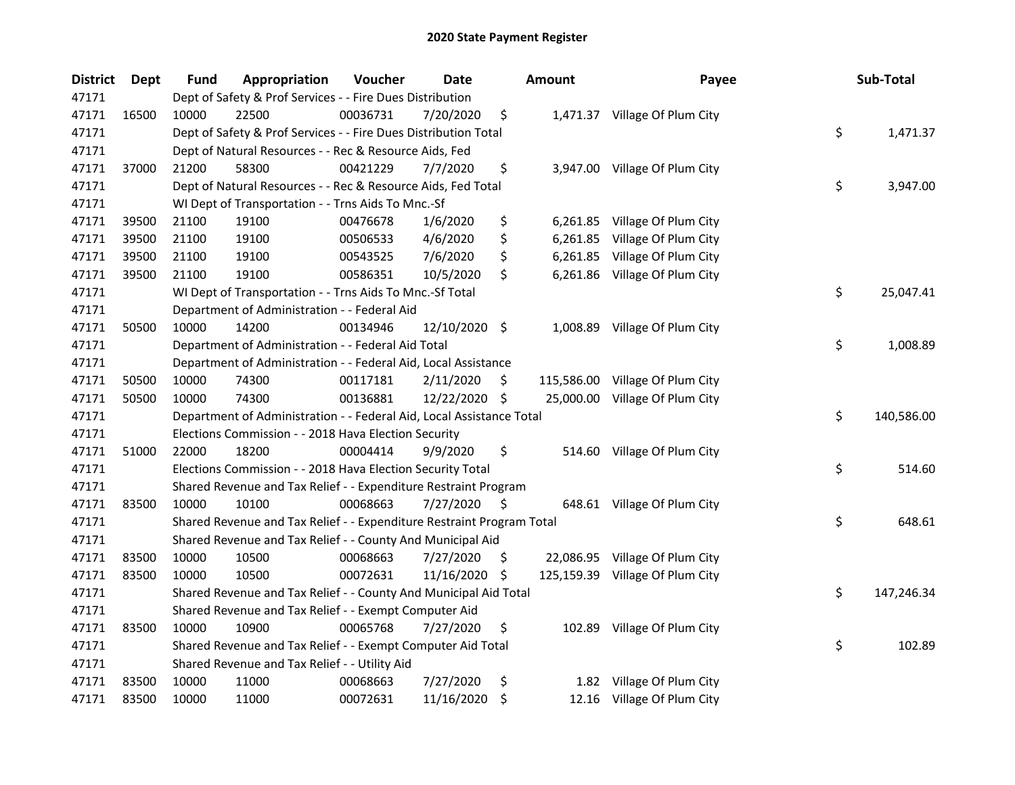| <b>District</b> | <b>Dept</b> | Fund  | Appropriation                                                         | Voucher  | <b>Date</b>   |     | <b>Amount</b> | Payee                           | Sub-Total        |
|-----------------|-------------|-------|-----------------------------------------------------------------------|----------|---------------|-----|---------------|---------------------------------|------------------|
| 47171           |             |       | Dept of Safety & Prof Services - - Fire Dues Distribution             |          |               |     |               |                                 |                  |
| 47171           | 16500       | 10000 | 22500                                                                 | 00036731 | 7/20/2020     | \$  |               | 1,471.37 Village Of Plum City   |                  |
| 47171           |             |       | Dept of Safety & Prof Services - - Fire Dues Distribution Total       |          |               |     |               |                                 | \$<br>1,471.37   |
| 47171           |             |       | Dept of Natural Resources - - Rec & Resource Aids, Fed                |          |               |     |               |                                 |                  |
| 47171           | 37000       | 21200 | 58300                                                                 | 00421229 | 7/7/2020      | \$  |               | 3,947.00 Village Of Plum City   |                  |
| 47171           |             |       | Dept of Natural Resources - - Rec & Resource Aids, Fed Total          |          |               |     |               |                                 | \$<br>3,947.00   |
| 47171           |             |       | WI Dept of Transportation - - Trns Aids To Mnc.-Sf                    |          |               |     |               |                                 |                  |
| 47171           | 39500       | 21100 | 19100                                                                 | 00476678 | 1/6/2020      | \$  |               | 6,261.85 Village Of Plum City   |                  |
| 47171           | 39500       | 21100 | 19100                                                                 | 00506533 | 4/6/2020      | \$  |               | 6,261.85 Village Of Plum City   |                  |
| 47171           | 39500       | 21100 | 19100                                                                 | 00543525 | 7/6/2020      | \$  |               | 6,261.85 Village Of Plum City   |                  |
| 47171           | 39500       | 21100 | 19100                                                                 | 00586351 | 10/5/2020     | \$  |               | 6,261.86 Village Of Plum City   |                  |
| 47171           |             |       | WI Dept of Transportation - - Trns Aids To Mnc.-Sf Total              |          |               |     |               |                                 | \$<br>25,047.41  |
| 47171           |             |       | Department of Administration - - Federal Aid                          |          |               |     |               |                                 |                  |
| 47171           | 50500       | 10000 | 14200                                                                 | 00134946 | 12/10/2020 \$ |     | 1,008.89      | Village Of Plum City            |                  |
| 47171           |             |       | Department of Administration - - Federal Aid Total                    |          |               |     |               |                                 | \$<br>1,008.89   |
| 47171           |             |       | Department of Administration - - Federal Aid, Local Assistance        |          |               |     |               |                                 |                  |
| 47171           | 50500       | 10000 | 74300                                                                 | 00117181 | 2/11/2020     | -\$ |               | 115,586.00 Village Of Plum City |                  |
| 47171           | 50500       | 10000 | 74300                                                                 | 00136881 | 12/22/2020 \$ |     |               | 25,000.00 Village Of Plum City  |                  |
| 47171           |             |       | Department of Administration - - Federal Aid, Local Assistance Total  |          |               |     |               |                                 | \$<br>140,586.00 |
| 47171           |             |       | Elections Commission - - 2018 Hava Election Security                  |          |               |     |               |                                 |                  |
| 47171           | 51000       | 22000 | 18200                                                                 | 00004414 | 9/9/2020      | \$  |               | 514.60 Village Of Plum City     |                  |
| 47171           |             |       | Elections Commission - - 2018 Hava Election Security Total            |          |               |     |               |                                 | \$<br>514.60     |
| 47171           |             |       | Shared Revenue and Tax Relief - - Expenditure Restraint Program       |          |               |     |               |                                 |                  |
| 47171           | 83500       | 10000 | 10100                                                                 | 00068663 | 7/27/2020     | \$  |               | 648.61 Village Of Plum City     |                  |
| 47171           |             |       | Shared Revenue and Tax Relief - - Expenditure Restraint Program Total |          |               |     |               |                                 | \$<br>648.61     |
| 47171           |             |       | Shared Revenue and Tax Relief - - County And Municipal Aid            |          |               |     |               |                                 |                  |
| 47171           | 83500       | 10000 | 10500                                                                 | 00068663 | 7/27/2020     | -\$ |               | 22,086.95 Village Of Plum City  |                  |
| 47171           | 83500       | 10000 | 10500                                                                 | 00072631 | 11/16/2020    | -\$ |               | 125,159.39 Village Of Plum City |                  |
| 47171           |             |       | Shared Revenue and Tax Relief - - County And Municipal Aid Total      |          |               |     |               |                                 | \$<br>147,246.34 |
| 47171           |             |       | Shared Revenue and Tax Relief - - Exempt Computer Aid                 |          |               |     |               |                                 |                  |
| 47171           | 83500       | 10000 | 10900                                                                 | 00065768 | 7/27/2020     | \$  |               | 102.89 Village Of Plum City     |                  |
| 47171           |             |       | Shared Revenue and Tax Relief - - Exempt Computer Aid Total           |          |               |     |               |                                 | \$<br>102.89     |
| 47171           |             |       | Shared Revenue and Tax Relief - - Utility Aid                         |          |               |     |               |                                 |                  |
| 47171           | 83500       | 10000 | 11000                                                                 | 00068663 | 7/27/2020     | \$  |               | 1.82 Village Of Plum City       |                  |
| 47171           | 83500       | 10000 | 11000                                                                 | 00072631 | 11/16/2020    | \$  |               | 12.16 Village Of Plum City      |                  |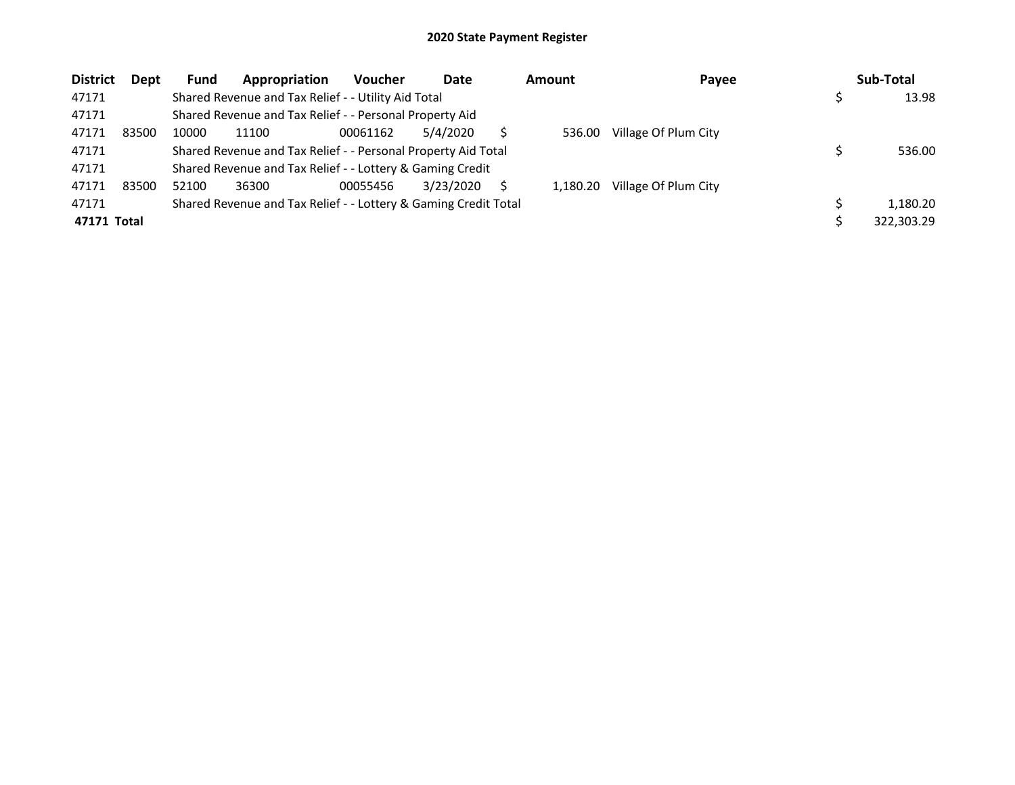| <b>District</b> | Dept  | Fund  | Appropriation                                                   | <b>Voucher</b> | Date      | <b>Amount</b> | Payee                | Sub-Total  |
|-----------------|-------|-------|-----------------------------------------------------------------|----------------|-----------|---------------|----------------------|------------|
| 47171           |       |       | Shared Revenue and Tax Relief - - Utility Aid Total             |                |           |               |                      | 13.98      |
| 47171           |       |       | Shared Revenue and Tax Relief - - Personal Property Aid         |                |           |               |                      |            |
| 47171           | 83500 | 10000 | 11100                                                           | 00061162       | 5/4/2020  | 536.00        | Village Of Plum City |            |
| 47171           |       |       | Shared Revenue and Tax Relief - - Personal Property Aid Total   |                |           |               |                      | 536.00     |
| 47171           |       |       | Shared Revenue and Tax Relief - - Lottery & Gaming Credit       |                |           |               |                      |            |
| 47171           | 83500 | 52100 | 36300                                                           | 00055456       | 3/23/2020 | 1.180.20      | Village Of Plum City |            |
| 47171           |       |       | Shared Revenue and Tax Relief - - Lottery & Gaming Credit Total |                |           |               |                      | 1,180.20   |
| 47171 Total     |       |       |                                                                 |                |           |               |                      | 322,303.29 |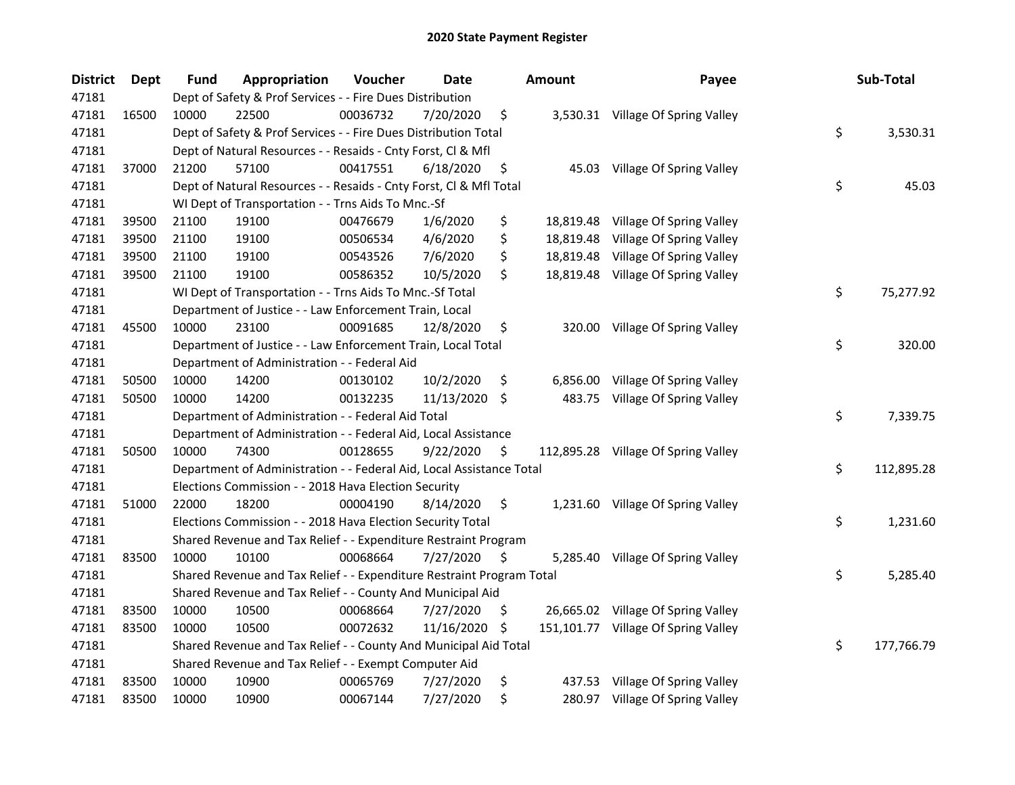| <b>District</b> | Dept  | <b>Fund</b> | Appropriation                                                         | Voucher  | Date          |     | <b>Amount</b> | Payee                               | Sub-Total        |
|-----------------|-------|-------------|-----------------------------------------------------------------------|----------|---------------|-----|---------------|-------------------------------------|------------------|
| 47181           |       |             | Dept of Safety & Prof Services - - Fire Dues Distribution             |          |               |     |               |                                     |                  |
| 47181           | 16500 | 10000       | 22500                                                                 | 00036732 | 7/20/2020     | \$  |               | 3,530.31 Village Of Spring Valley   |                  |
| 47181           |       |             | Dept of Safety & Prof Services - - Fire Dues Distribution Total       |          |               |     |               |                                     | \$<br>3,530.31   |
| 47181           |       |             | Dept of Natural Resources - - Resaids - Cnty Forst, Cl & Mfl          |          |               |     |               |                                     |                  |
| 47181           | 37000 | 21200       | 57100                                                                 | 00417551 | 6/18/2020     | \$  |               | 45.03 Village Of Spring Valley      |                  |
| 47181           |       |             | Dept of Natural Resources - - Resaids - Cnty Forst, Cl & Mfl Total    |          |               |     |               |                                     | \$<br>45.03      |
| 47181           |       |             | WI Dept of Transportation - - Trns Aids To Mnc.-Sf                    |          |               |     |               |                                     |                  |
| 47181           | 39500 | 21100       | 19100                                                                 | 00476679 | 1/6/2020      | \$  |               | 18,819.48 Village Of Spring Valley  |                  |
| 47181           | 39500 | 21100       | 19100                                                                 | 00506534 | 4/6/2020      | \$  |               | 18,819.48 Village Of Spring Valley  |                  |
| 47181           | 39500 | 21100       | 19100                                                                 | 00543526 | 7/6/2020      | \$  |               | 18,819.48 Village Of Spring Valley  |                  |
| 47181           | 39500 | 21100       | 19100                                                                 | 00586352 | 10/5/2020     | \$  |               | 18,819.48 Village Of Spring Valley  |                  |
| 47181           |       |             | WI Dept of Transportation - - Trns Aids To Mnc.-Sf Total              |          |               |     |               |                                     | \$<br>75,277.92  |
| 47181           |       |             | Department of Justice - - Law Enforcement Train, Local                |          |               |     |               |                                     |                  |
| 47181           | 45500 | 10000       | 23100                                                                 | 00091685 | 12/8/2020     | \$  |               | 320.00 Village Of Spring Valley     |                  |
| 47181           |       |             | Department of Justice - - Law Enforcement Train, Local Total          |          |               |     |               |                                     | \$<br>320.00     |
| 47181           |       |             | Department of Administration - - Federal Aid                          |          |               |     |               |                                     |                  |
| 47181           | 50500 | 10000       | 14200                                                                 | 00130102 | 10/2/2020     | \$  |               | 6,856.00 Village Of Spring Valley   |                  |
| 47181           | 50500 | 10000       | 14200                                                                 | 00132235 | 11/13/2020 \$ |     |               | 483.75 Village Of Spring Valley     |                  |
| 47181           |       |             | Department of Administration - - Federal Aid Total                    |          |               |     |               |                                     | \$<br>7,339.75   |
| 47181           |       |             | Department of Administration - - Federal Aid, Local Assistance        |          |               |     |               |                                     |                  |
| 47181           | 50500 | 10000       | 74300                                                                 | 00128655 | 9/22/2020     | \$  |               | 112,895.28 Village Of Spring Valley |                  |
| 47181           |       |             | Department of Administration - - Federal Aid, Local Assistance Total  |          |               |     |               |                                     | \$<br>112,895.28 |
| 47181           |       |             | Elections Commission - - 2018 Hava Election Security                  |          |               |     |               |                                     |                  |
| 47181           | 51000 | 22000       | 18200                                                                 | 00004190 | 8/14/2020     | \$  |               | 1,231.60 Village Of Spring Valley   |                  |
| 47181           |       |             | Elections Commission - - 2018 Hava Election Security Total            |          |               |     |               |                                     | \$<br>1,231.60   |
| 47181           |       |             | Shared Revenue and Tax Relief - - Expenditure Restraint Program       |          |               |     |               |                                     |                  |
| 47181           | 83500 | 10000       | 10100                                                                 | 00068664 | 7/27/2020     | \$. |               | 5,285.40 Village Of Spring Valley   |                  |
| 47181           |       |             | Shared Revenue and Tax Relief - - Expenditure Restraint Program Total |          |               |     |               |                                     | \$<br>5,285.40   |
| 47181           |       |             | Shared Revenue and Tax Relief - - County And Municipal Aid            |          |               |     |               |                                     |                  |
| 47181           | 83500 | 10000       | 10500                                                                 | 00068664 | 7/27/2020     | \$. |               | 26,665.02 Village Of Spring Valley  |                  |
| 47181           | 83500 | 10000       | 10500                                                                 | 00072632 | 11/16/2020    | -\$ |               | 151,101.77 Village Of Spring Valley |                  |
| 47181           |       |             | Shared Revenue and Tax Relief - - County And Municipal Aid Total      |          |               |     |               |                                     | \$<br>177,766.79 |
| 47181           |       |             | Shared Revenue and Tax Relief - - Exempt Computer Aid                 |          |               |     |               |                                     |                  |
| 47181           | 83500 | 10000       | 10900                                                                 | 00065769 | 7/27/2020     | \$  |               | 437.53 Village Of Spring Valley     |                  |
| 47181           | 83500 | 10000       | 10900                                                                 | 00067144 | 7/27/2020     | \$  |               | 280.97 Village Of Spring Valley     |                  |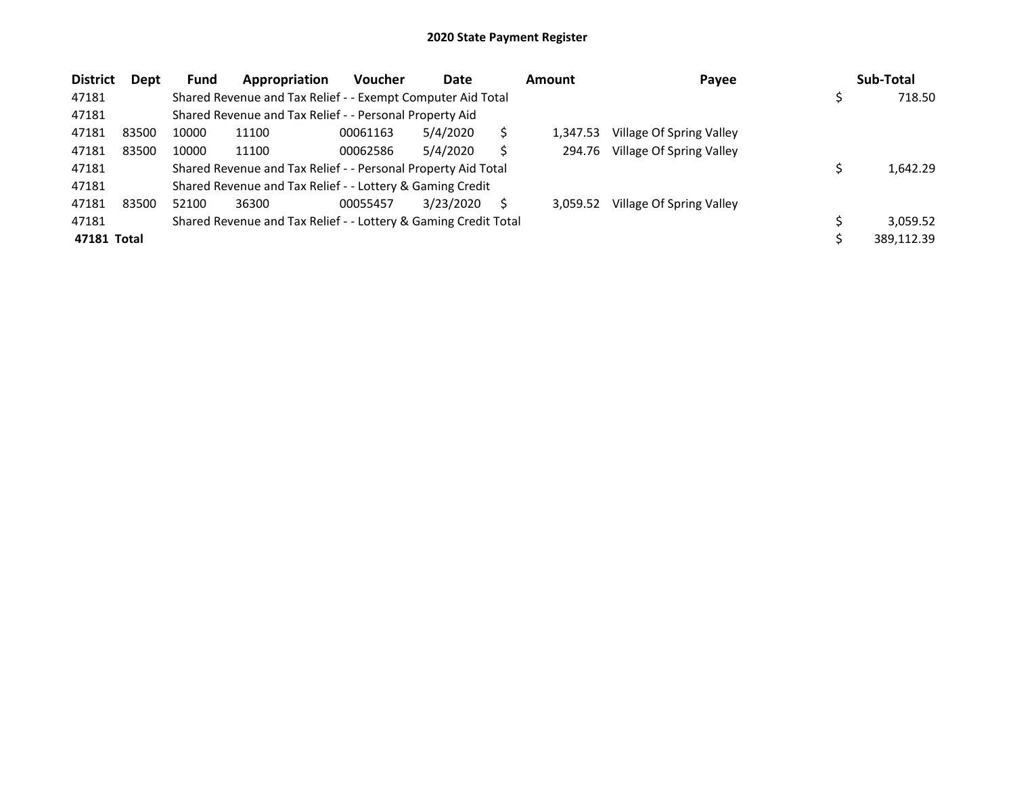| <b>District</b> | <b>Dept</b> | <b>Fund</b> | Appropriation                                                   | <b>Voucher</b> | Date      | <b>Amount</b> | Payee                    | Sub-Total  |
|-----------------|-------------|-------------|-----------------------------------------------------------------|----------------|-----------|---------------|--------------------------|------------|
| 47181           |             |             | Shared Revenue and Tax Relief - - Exempt Computer Aid Total     |                |           |               |                          | 718.50     |
| 47181           |             |             | Shared Revenue and Tax Relief - - Personal Property Aid         |                |           |               |                          |            |
| 47181           | 83500       | 10000       | 11100                                                           | 00061163       | 5/4/2020  | 1.347.53      | Village Of Spring Valley |            |
| 47181           | 83500       | 10000       | 11100                                                           | 00062586       | 5/4/2020  | 294.76        | Village Of Spring Valley |            |
| 47181           |             |             | Shared Revenue and Tax Relief - - Personal Property Aid Total   |                |           |               |                          | 1,642.29   |
| 47181           |             |             | Shared Revenue and Tax Relief - - Lottery & Gaming Credit       |                |           |               |                          |            |
| 47181           | 83500       | 52100       | 36300                                                           | 00055457       | 3/23/2020 | 3.059.52      | Village Of Spring Valley |            |
| 47181           |             |             | Shared Revenue and Tax Relief - - Lottery & Gaming Credit Total |                |           |               |                          | 3,059.52   |
| 47181 Total     |             |             |                                                                 |                |           |               |                          | 389,112.39 |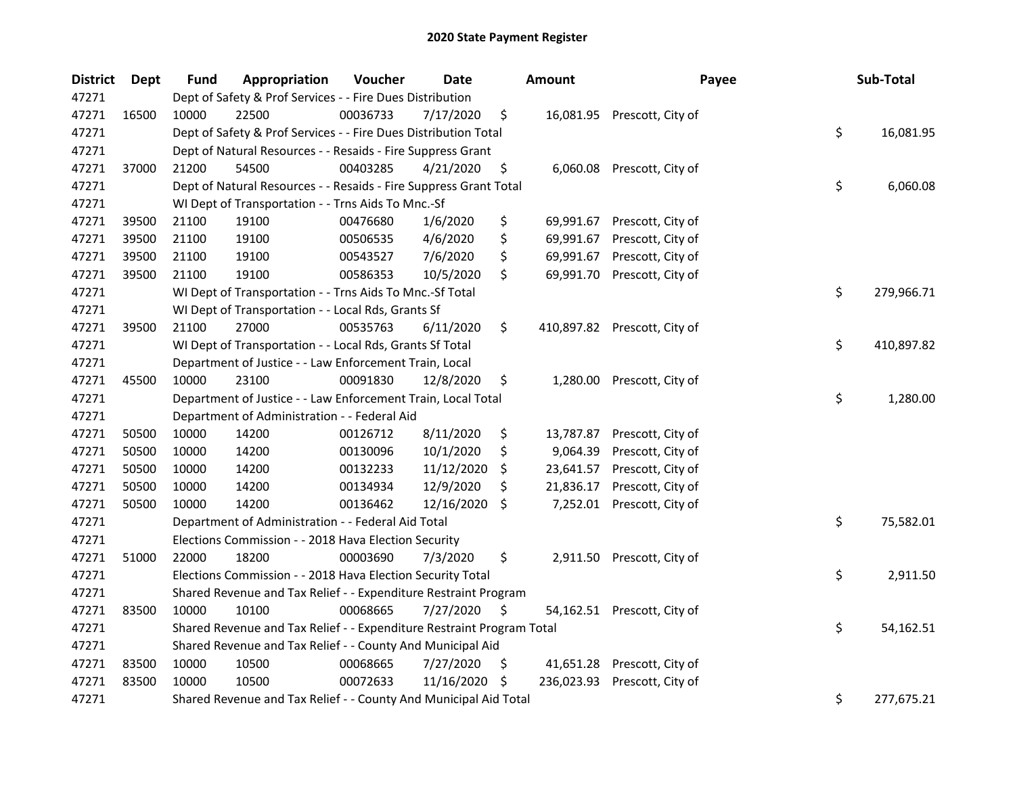| <b>District</b> | Dept  | <b>Fund</b> | Appropriation                                                         | Voucher  | <b>Date</b>   |     | <b>Amount</b> | Payee                        | Sub-Total        |
|-----------------|-------|-------------|-----------------------------------------------------------------------|----------|---------------|-----|---------------|------------------------------|------------------|
| 47271           |       |             | Dept of Safety & Prof Services - - Fire Dues Distribution             |          |               |     |               |                              |                  |
| 47271           | 16500 | 10000       | 22500                                                                 | 00036733 | 7/17/2020     | \$  |               | 16,081.95 Prescott, City of  |                  |
| 47271           |       |             | Dept of Safety & Prof Services - - Fire Dues Distribution Total       |          |               |     |               |                              | \$<br>16,081.95  |
| 47271           |       |             | Dept of Natural Resources - - Resaids - Fire Suppress Grant           |          |               |     |               |                              |                  |
| 47271           | 37000 | 21200       | 54500                                                                 | 00403285 | 4/21/2020     | \$  |               | 6,060.08 Prescott, City of   |                  |
| 47271           |       |             | Dept of Natural Resources - - Resaids - Fire Suppress Grant Total     |          |               |     |               |                              | \$<br>6,060.08   |
| 47271           |       |             | WI Dept of Transportation - - Trns Aids To Mnc.-Sf                    |          |               |     |               |                              |                  |
| 47271           | 39500 | 21100       | 19100                                                                 | 00476680 | 1/6/2020      | \$  |               | 69,991.67 Prescott, City of  |                  |
| 47271           | 39500 | 21100       | 19100                                                                 | 00506535 | 4/6/2020      | \$  | 69,991.67     | Prescott, City of            |                  |
| 47271           | 39500 | 21100       | 19100                                                                 | 00543527 | 7/6/2020      | \$  | 69,991.67     | Prescott, City of            |                  |
| 47271           | 39500 | 21100       | 19100                                                                 | 00586353 | 10/5/2020     | \$  | 69,991.70     | Prescott, City of            |                  |
| 47271           |       |             | WI Dept of Transportation - - Trns Aids To Mnc.-Sf Total              |          |               |     |               |                              | \$<br>279,966.71 |
| 47271           |       |             | WI Dept of Transportation - - Local Rds, Grants Sf                    |          |               |     |               |                              |                  |
| 47271           | 39500 | 21100       | 27000                                                                 | 00535763 | 6/11/2020     | \$  |               | 410,897.82 Prescott, City of |                  |
| 47271           |       |             | WI Dept of Transportation - - Local Rds, Grants Sf Total              |          |               |     |               |                              | \$<br>410,897.82 |
| 47271           |       |             | Department of Justice - - Law Enforcement Train, Local                |          |               |     |               |                              |                  |
| 47271           | 45500 | 10000       | 23100                                                                 | 00091830 | 12/8/2020     | \$  | 1,280.00      | Prescott, City of            |                  |
| 47271           |       |             | Department of Justice - - Law Enforcement Train, Local Total          |          |               |     |               |                              | \$<br>1,280.00   |
| 47271           |       |             | Department of Administration - - Federal Aid                          |          |               |     |               |                              |                  |
| 47271           | 50500 | 10000       | 14200                                                                 | 00126712 | 8/11/2020     | \$  | 13,787.87     | Prescott, City of            |                  |
| 47271           | 50500 | 10000       | 14200                                                                 | 00130096 | 10/1/2020     | \$  | 9,064.39      | Prescott, City of            |                  |
| 47271           | 50500 | 10000       | 14200                                                                 | 00132233 | 11/12/2020    | \$  | 23,641.57     | Prescott, City of            |                  |
| 47271           | 50500 | 10000       | 14200                                                                 | 00134934 | 12/9/2020     | \$  | 21,836.17     | Prescott, City of            |                  |
| 47271           | 50500 | 10000       | 14200                                                                 | 00136462 | 12/16/2020 \$ |     | 7,252.01      | Prescott, City of            |                  |
| 47271           |       |             | Department of Administration - - Federal Aid Total                    |          |               |     |               |                              | \$<br>75,582.01  |
| 47271           |       |             | Elections Commission - - 2018 Hava Election Security                  |          |               |     |               |                              |                  |
| 47271           | 51000 | 22000       | 18200                                                                 | 00003690 | 7/3/2020      | \$  |               | 2,911.50 Prescott, City of   |                  |
| 47271           |       |             | Elections Commission - - 2018 Hava Election Security Total            |          |               |     |               |                              | \$<br>2,911.50   |
| 47271           |       |             | Shared Revenue and Tax Relief - - Expenditure Restraint Program       |          |               |     |               |                              |                  |
| 47271           | 83500 | 10000       | 10100                                                                 | 00068665 | 7/27/2020     | \$  |               | 54,162.51 Prescott, City of  |                  |
| 47271           |       |             | Shared Revenue and Tax Relief - - Expenditure Restraint Program Total |          |               |     |               |                              | \$<br>54,162.51  |
| 47271           |       |             | Shared Revenue and Tax Relief - - County And Municipal Aid            |          |               |     |               |                              |                  |
| 47271           | 83500 | 10000       | 10500                                                                 | 00068665 | 7/27/2020     | \$  | 41,651.28     | Prescott, City of            |                  |
| 47271           | 83500 | 10000       | 10500                                                                 | 00072633 | 11/16/2020    | -\$ | 236,023.93    | Prescott, City of            |                  |
| 47271           |       |             | Shared Revenue and Tax Relief - - County And Municipal Aid Total      |          |               |     |               |                              | \$<br>277,675.21 |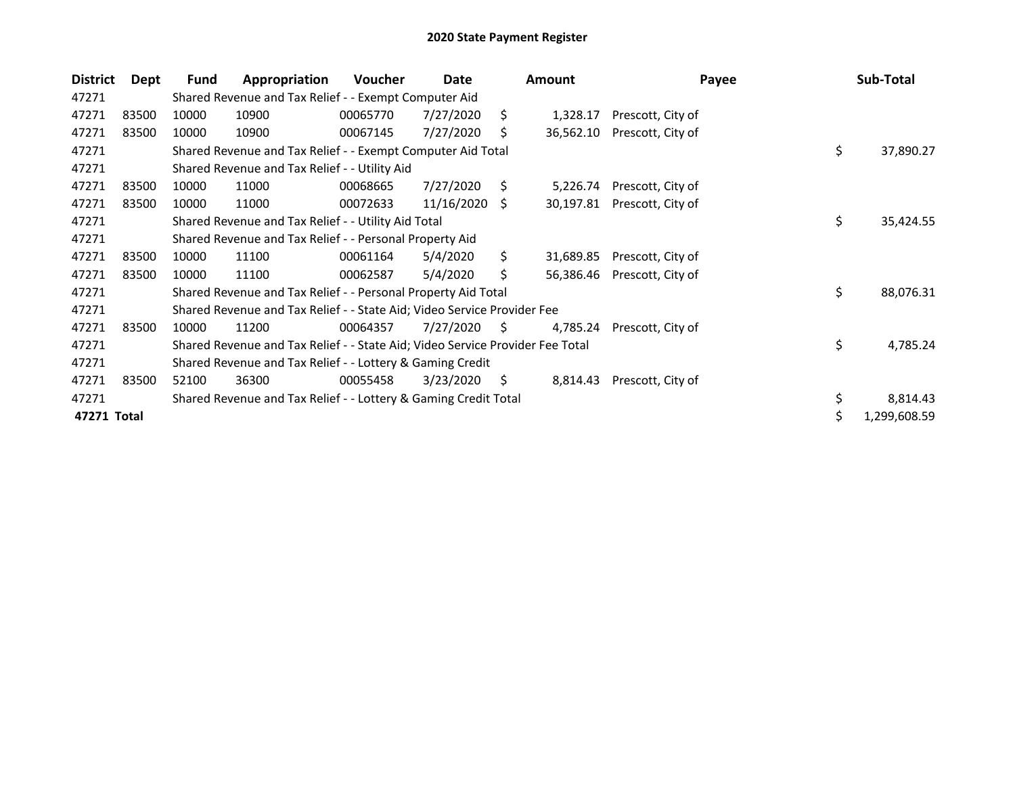| <b>District</b> | Dept  | Fund                                                                                | Appropriation                                                           | <b>Voucher</b> | Date          |     | <b>Amount</b> | Payee             |    | Sub-Total    |  |
|-----------------|-------|-------------------------------------------------------------------------------------|-------------------------------------------------------------------------|----------------|---------------|-----|---------------|-------------------|----|--------------|--|
| 47271           |       |                                                                                     | Shared Revenue and Tax Relief - - Exempt Computer Aid                   |                |               |     |               |                   |    |              |  |
| 47271           | 83500 | 10000                                                                               | 10900                                                                   | 00065770       | 7/27/2020     | Ŝ.  | 1,328.17      | Prescott, City of |    |              |  |
| 47271           | 83500 | 10000                                                                               | 10900                                                                   | 00067145       | 7/27/2020     | S   | 36,562.10     | Prescott, City of |    |              |  |
| 47271           |       |                                                                                     | Shared Revenue and Tax Relief - - Exempt Computer Aid Total             |                |               |     |               |                   | \$ | 37,890.27    |  |
| 47271           |       |                                                                                     | Shared Revenue and Tax Relief - - Utility Aid                           |                |               |     |               |                   |    |              |  |
| 47271           | 83500 | 10000                                                                               | 11000                                                                   | 00068665       | 7/27/2020     | \$  | 5,226.74      | Prescott, City of |    |              |  |
| 47271           | 83500 | 10000                                                                               | 11000                                                                   | 00072633       | 11/16/2020 \$ |     | 30,197.81     | Prescott, City of |    |              |  |
| 47271           |       |                                                                                     | Shared Revenue and Tax Relief - - Utility Aid Total                     |                |               |     |               |                   | \$ | 35,424.55    |  |
| 47271           |       |                                                                                     | Shared Revenue and Tax Relief - - Personal Property Aid                 |                |               |     |               |                   |    |              |  |
| 47271           | 83500 | 10000                                                                               | 11100                                                                   | 00061164       | 5/4/2020      | \$  | 31,689.85     | Prescott, City of |    |              |  |
| 47271           | 83500 | 10000                                                                               | 11100                                                                   | 00062587       | 5/4/2020      | \$  | 56,386.46     | Prescott, City of |    |              |  |
| 47271           |       | Shared Revenue and Tax Relief - - Personal Property Aid Total                       |                                                                         |                |               |     |               |                   |    | 88,076.31    |  |
| 47271           |       |                                                                                     | Shared Revenue and Tax Relief - - State Aid; Video Service Provider Fee |                |               |     |               |                   |    |              |  |
| 47271           | 83500 | 10000                                                                               | 11200                                                                   | 00064357       | 7/27/2020     | S.  | 4,785.24      | Prescott, City of |    |              |  |
| 47271           |       | \$<br>Shared Revenue and Tax Relief - - State Aid; Video Service Provider Fee Total |                                                                         |                |               |     |               |                   |    | 4,785.24     |  |
| 47271           |       | Shared Revenue and Tax Relief - - Lottery & Gaming Credit                           |                                                                         |                |               |     |               |                   |    |              |  |
| 47271           | 83500 | 52100                                                                               | 36300                                                                   | 00055458       | 3/23/2020     | \$. | 8,814.43      | Prescott, City of |    |              |  |
| 47271           |       |                                                                                     | Shared Revenue and Tax Relief - - Lottery & Gaming Credit Total         |                |               |     |               |                   | \$ | 8,814.43     |  |
| 47271 Total     |       |                                                                                     |                                                                         |                |               |     |               |                   | \$ | 1,299,608.59 |  |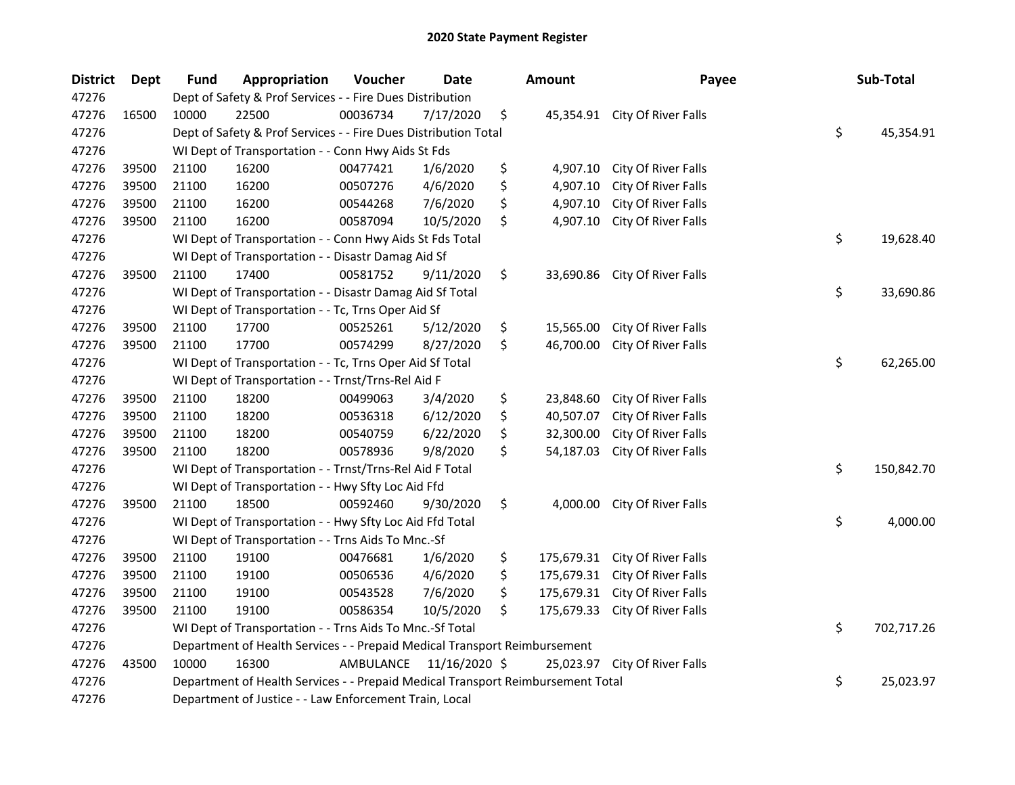| <b>District</b> | <b>Dept</b> | Fund                                                                                  | Appropriation                                            | Voucher   | <b>Date</b>   |    | <b>Amount</b> | Payee                         |    | Sub-Total  |
|-----------------|-------------|---------------------------------------------------------------------------------------|----------------------------------------------------------|-----------|---------------|----|---------------|-------------------------------|----|------------|
| 47276           |             | Dept of Safety & Prof Services - - Fire Dues Distribution                             |                                                          |           |               |    |               |                               |    |            |
| 47276           | 16500       | 10000                                                                                 | 22500                                                    | 00036734  | 7/17/2020     | \$ |               | 45,354.91 City Of River Falls |    |            |
| 47276           |             | Dept of Safety & Prof Services - - Fire Dues Distribution Total<br>\$                 |                                                          |           |               |    |               |                               |    | 45,354.91  |
| 47276           |             | WI Dept of Transportation - - Conn Hwy Aids St Fds                                    |                                                          |           |               |    |               |                               |    |            |
| 47276           | 39500       | 21100                                                                                 | 16200                                                    | 00477421  | 1/6/2020      | \$ | 4,907.10      | City Of River Falls           |    |            |
| 47276           | 39500       | 21100                                                                                 | 16200                                                    | 00507276  | 4/6/2020      | \$ | 4,907.10      | City Of River Falls           |    |            |
| 47276           | 39500       | 21100                                                                                 | 16200                                                    | 00544268  | 7/6/2020      | \$ | 4,907.10      | City Of River Falls           |    |            |
| 47276           | 39500       | 21100                                                                                 | 16200                                                    | 00587094  | 10/5/2020     | \$ | 4,907.10      | City Of River Falls           |    |            |
| 47276           |             |                                                                                       | WI Dept of Transportation - - Conn Hwy Aids St Fds Total |           |               |    |               |                               | \$ | 19,628.40  |
| 47276           |             |                                                                                       | WI Dept of Transportation - - Disastr Damag Aid Sf       |           |               |    |               |                               |    |            |
| 47276           | 39500       | 21100                                                                                 | 17400                                                    | 00581752  | 9/11/2020     | \$ | 33,690.86     | City Of River Falls           |    |            |
| 47276           |             |                                                                                       | WI Dept of Transportation - - Disastr Damag Aid Sf Total |           |               |    |               |                               | \$ | 33,690.86  |
| 47276           |             |                                                                                       | WI Dept of Transportation - - Tc, Trns Oper Aid Sf       |           |               |    |               |                               |    |            |
| 47276           | 39500       | 21100                                                                                 | 17700                                                    | 00525261  | 5/12/2020     | \$ | 15,565.00     | City Of River Falls           |    |            |
| 47276           | 39500       | 21100                                                                                 | 17700                                                    | 00574299  | 8/27/2020     | \$ | 46,700.00     | City Of River Falls           |    |            |
| 47276           |             |                                                                                       | WI Dept of Transportation - - Tc, Trns Oper Aid Sf Total |           |               |    |               |                               | \$ | 62,265.00  |
| 47276           |             |                                                                                       | WI Dept of Transportation - - Trnst/Trns-Rel Aid F       |           |               |    |               |                               |    |            |
| 47276           | 39500       | 21100                                                                                 | 18200                                                    | 00499063  | 3/4/2020      | \$ | 23,848.60     | City Of River Falls           |    |            |
| 47276           | 39500       | 21100                                                                                 | 18200                                                    | 00536318  | 6/12/2020     | \$ | 40,507.07     | City Of River Falls           |    |            |
| 47276           | 39500       | 21100                                                                                 | 18200                                                    | 00540759  | 6/22/2020     | \$ | 32,300.00     | City Of River Falls           |    |            |
| 47276           | 39500       | 21100                                                                                 | 18200                                                    | 00578936  | 9/8/2020      | \$ | 54,187.03     | City Of River Falls           |    |            |
| 47276           |             |                                                                                       | WI Dept of Transportation - - Trnst/Trns-Rel Aid F Total |           |               |    |               |                               | \$ | 150,842.70 |
| 47276           |             | WI Dept of Transportation - - Hwy Sfty Loc Aid Ffd                                    |                                                          |           |               |    |               |                               |    |            |
| 47276           | 39500       | 21100                                                                                 | 18500                                                    | 00592460  | 9/30/2020     | \$ | 4,000.00      | City Of River Falls           |    |            |
| 47276           |             |                                                                                       | WI Dept of Transportation - - Hwy Sfty Loc Aid Ffd Total |           |               |    |               |                               | \$ | 4,000.00   |
| 47276           |             |                                                                                       | WI Dept of Transportation - - Trns Aids To Mnc.-Sf       |           |               |    |               |                               |    |            |
| 47276           | 39500       | 21100                                                                                 | 19100                                                    | 00476681  | 1/6/2020      | \$ | 175,679.31    | City Of River Falls           |    |            |
| 47276           | 39500       | 21100                                                                                 | 19100                                                    | 00506536  | 4/6/2020      | \$ | 175,679.31    | City Of River Falls           |    |            |
| 47276           | 39500       | 21100                                                                                 | 19100                                                    | 00543528  | 7/6/2020      | \$ | 175,679.31    | City Of River Falls           |    |            |
| 47276           | 39500       | 21100                                                                                 | 19100                                                    | 00586354  | 10/5/2020     | \$ | 175,679.33    | City Of River Falls           |    |            |
| 47276           |             |                                                                                       | WI Dept of Transportation - - Trns Aids To Mnc.-Sf Total |           |               |    |               |                               | \$ | 702,717.26 |
| 47276           |             | Department of Health Services - - Prepaid Medical Transport Reimbursement             |                                                          |           |               |    |               |                               |    |            |
| 47276           | 43500       | 10000                                                                                 | 16300                                                    | AMBULANCE | 11/16/2020 \$ |    |               | 25,023.97 City Of River Falls |    |            |
| 47276           |             | \$<br>Department of Health Services - - Prepaid Medical Transport Reimbursement Total |                                                          |           |               |    |               |                               |    | 25,023.97  |
| 47276           |             | Department of Justice - - Law Enforcement Train, Local                                |                                                          |           |               |    |               |                               |    |            |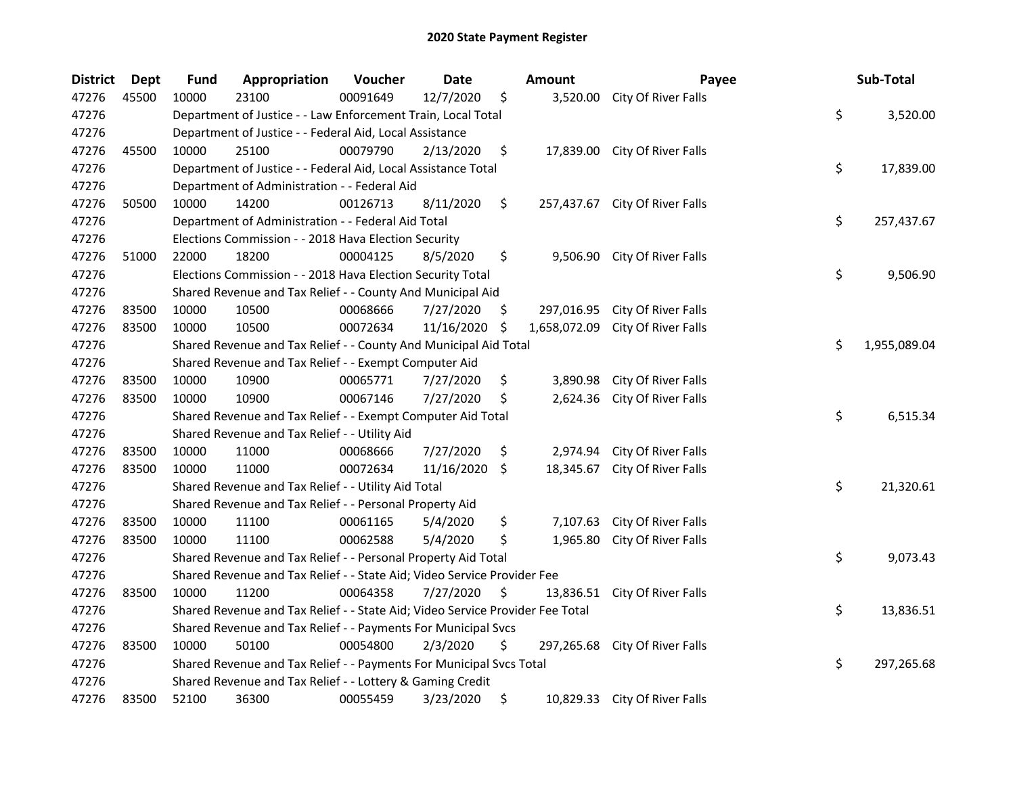| <b>District</b> | <b>Dept</b> | <b>Fund</b>                                                                    | Appropriation                                                                 | Voucher  | Date            |     | <b>Amount</b> | Payee                          |    | Sub-Total    |
|-----------------|-------------|--------------------------------------------------------------------------------|-------------------------------------------------------------------------------|----------|-----------------|-----|---------------|--------------------------------|----|--------------|
| 47276           | 45500       | 10000                                                                          | 23100                                                                         | 00091649 | 12/7/2020       | \$  |               | 3,520.00 City Of River Falls   |    |              |
| 47276           |             | \$<br>Department of Justice - - Law Enforcement Train, Local Total<br>3,520.00 |                                                                               |          |                 |     |               |                                |    |              |
| 47276           |             |                                                                                | Department of Justice - - Federal Aid, Local Assistance                       |          |                 |     |               |                                |    |              |
| 47276           | 45500       | 10000                                                                          | 25100                                                                         | 00079790 | 2/13/2020       | \$  |               | 17,839.00 City Of River Falls  |    |              |
| 47276           |             |                                                                                | Department of Justice - - Federal Aid, Local Assistance Total                 |          |                 |     |               |                                | \$ | 17,839.00    |
| 47276           |             |                                                                                | Department of Administration - - Federal Aid                                  |          |                 |     |               |                                |    |              |
| 47276           | 50500       | 10000                                                                          | 14200                                                                         | 00126713 | 8/11/2020       | \$  |               | 257,437.67 City Of River Falls |    |              |
| 47276           |             |                                                                                | Department of Administration - - Federal Aid Total                            |          |                 |     |               |                                | \$ | 257,437.67   |
| 47276           |             |                                                                                | Elections Commission - - 2018 Hava Election Security                          |          |                 |     |               |                                |    |              |
| 47276           | 51000       | 22000                                                                          | 18200                                                                         | 00004125 | 8/5/2020        | \$  |               | 9,506.90 City Of River Falls   |    |              |
| 47276           |             |                                                                                | Elections Commission - - 2018 Hava Election Security Total                    |          |                 |     |               |                                | \$ | 9,506.90     |
| 47276           |             |                                                                                | Shared Revenue and Tax Relief - - County And Municipal Aid                    |          |                 |     |               |                                |    |              |
| 47276           | 83500       | 10000                                                                          | 10500                                                                         | 00068666 | 7/27/2020       | \$. | 297,016.95    | City Of River Falls            |    |              |
| 47276           | 83500       | 10000                                                                          | 10500                                                                         | 00072634 | 11/16/2020      | \$  | 1,658,072.09  | City Of River Falls            |    |              |
| 47276           |             |                                                                                | Shared Revenue and Tax Relief - - County And Municipal Aid Total              |          |                 |     |               |                                | \$ | 1,955,089.04 |
| 47276           |             |                                                                                | Shared Revenue and Tax Relief - - Exempt Computer Aid                         |          |                 |     |               |                                |    |              |
| 47276           | 83500       | 10000                                                                          | 10900                                                                         | 00065771 | 7/27/2020       | \$  | 3,890.98      | City Of River Falls            |    |              |
| 47276           | 83500       | 10000                                                                          | 10900                                                                         | 00067146 | 7/27/2020       | \$  | 2,624.36      | City Of River Falls            |    |              |
| 47276           |             |                                                                                | Shared Revenue and Tax Relief - - Exempt Computer Aid Total                   |          |                 |     |               |                                | \$ | 6,515.34     |
| 47276           |             |                                                                                | Shared Revenue and Tax Relief - - Utility Aid                                 |          |                 |     |               |                                |    |              |
| 47276           | 83500       | 10000                                                                          | 11000                                                                         | 00068666 | 7/27/2020       | \$  | 2,974.94      | City Of River Falls            |    |              |
| 47276           | 83500       | 10000                                                                          | 11000                                                                         | 00072634 | $11/16/2020$ \$ |     | 18,345.67     | City Of River Falls            |    |              |
| 47276           |             |                                                                                | Shared Revenue and Tax Relief - - Utility Aid Total                           |          |                 |     |               |                                | \$ | 21,320.61    |
| 47276           |             |                                                                                | Shared Revenue and Tax Relief - - Personal Property Aid                       |          |                 |     |               |                                |    |              |
| 47276           | 83500       | 10000                                                                          | 11100                                                                         | 00061165 | 5/4/2020        | \$  | 7,107.63      | City Of River Falls            |    |              |
| 47276           | 83500       | 10000                                                                          | 11100                                                                         | 00062588 | 5/4/2020        | \$  | 1,965.80      | City Of River Falls            |    |              |
| 47276           |             |                                                                                | Shared Revenue and Tax Relief - - Personal Property Aid Total                 |          |                 |     |               |                                | \$ | 9,073.43     |
| 47276           |             | Shared Revenue and Tax Relief - - State Aid; Video Service Provider Fee        |                                                                               |          |                 |     |               |                                |    |              |
| 47276           | 83500       | 10000                                                                          | 11200                                                                         | 00064358 | 7/27/2020       | \$  |               | 13,836.51 City Of River Falls  |    |              |
| 47276           |             |                                                                                | Shared Revenue and Tax Relief - - State Aid; Video Service Provider Fee Total |          |                 |     |               |                                | \$ | 13,836.51    |
| 47276           |             | Shared Revenue and Tax Relief - - Payments For Municipal Svcs                  |                                                                               |          |                 |     |               |                                |    |              |
| 47276           | 83500       | 10000                                                                          | 50100                                                                         | 00054800 | 2/3/2020        | \$  |               | 297,265.68 City Of River Falls |    |              |
| 47276           |             |                                                                                | Shared Revenue and Tax Relief - - Payments For Municipal Svcs Total           |          |                 |     |               |                                | \$ | 297,265.68   |
| 47276           |             |                                                                                | Shared Revenue and Tax Relief - - Lottery & Gaming Credit                     |          |                 |     |               |                                |    |              |
| 47276           | 83500       | 52100                                                                          | 36300                                                                         | 00055459 | 3/23/2020       | \$  |               | 10,829.33 City Of River Falls  |    |              |